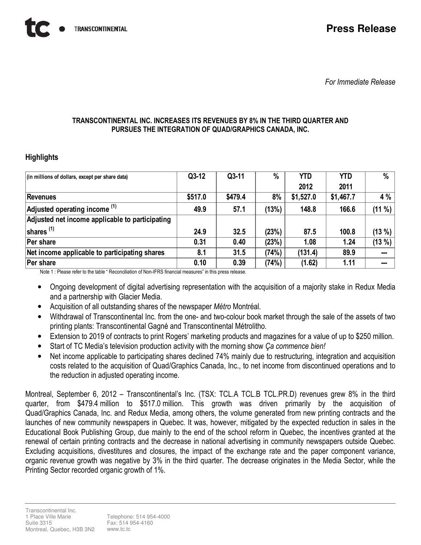For Immediate Release

# TRANSCONTINENTAL INC. INCREASES ITS REVENUES BY 8% IN THE THIRD QUARTER AND PURSUES THE INTEGRATION OF QUAD/GRAPHICS CANADA, INC.

# **Highlights**

| (in millions of dollars, except per share data) | $Q3-12$ | $Q3-11$ | $\%$  | <b>YTD</b> | <b>YTD</b> | %         |
|-------------------------------------------------|---------|---------|-------|------------|------------|-----------|
|                                                 |         |         |       | 2012       | 2011       |           |
| Revenues                                        | \$517.0 | \$479.4 | 8%    | \$1,527.0  | \$1,467.7  | 4 %       |
| Adjusted operating income (1)                   | 49.9    | 57.1    | (13%) | 148.8      | 166.6      | $(11 \%)$ |
| Adjusted net income applicable to participating |         |         |       |            |            |           |
| shares $(1)$                                    | 24.9    | 32.5    | (23%) | 87.5       | 100.8      | $(13 \%)$ |
| Per share                                       | 0.31    | 0.40    | (23%) | 1.08       | 1.24       | $(13 \%)$ |
| Net income applicable to participating shares   | 8.1     | 31.5    | (74%) | (131.4)    | 89.9       | ---       |
| Per share                                       | 0.10    | 0.39    | (74%) | (1.62)     | 1.11       | ---       |

Note 1 : Please refer to the table " Reconciliation of Non-IFRS financial measures" in this press release.

- Ongoing development of digital advertising representation with the acquisition of a majority stake in Redux Media and a partnership with Glacier Media.
- Acquisition of all outstanding shares of the newspaper Métro Montréal.
- Withdrawal of Transcontinental Inc. from the one- and two-colour book market through the sale of the assets of two printing plants: Transcontinental Gagné and Transcontinental Métrolitho.
- Extension to 2019 of contracts to print Rogers' marketing products and magazines for a value of up to \$250 million.
- Start of TC Media's television production activity with the morning show Ca commence bien!
- Net income applicable to participating shares declined 74% mainly due to restructuring, integration and acquisition costs related to the acquisition of Quad/Graphics Canada, Inc., to net income from discontinued operations and to the reduction in adjusted operating income.

Montreal, September 6, 2012 – Transcontinental's Inc. (TSX: TCL.A TCL.B TCL.PR.D) revenues grew 8% in the third quarter, from \$479.4 million to \$517.0 million. This growth was driven primarily by the acquisition of Quad/Graphics Canada, Inc. and Redux Media, among others, the volume generated from new printing contracts and the launches of new community newspapers in Quebec. It was, however, mitigated by the expected reduction in sales in the Educational Book Publishing Group, due mainly to the end of the school reform in Quebec, the incentives granted at the renewal of certain printing contracts and the decrease in national advertising in community newspapers outside Quebec. Excluding acquisitions, divestitures and closures, the impact of the exchange rate and the paper component variance, organic revenue growth was negative by 3% in the third quarter. The decrease originates in the Media Sector, while the Printing Sector recorded organic growth of 1%.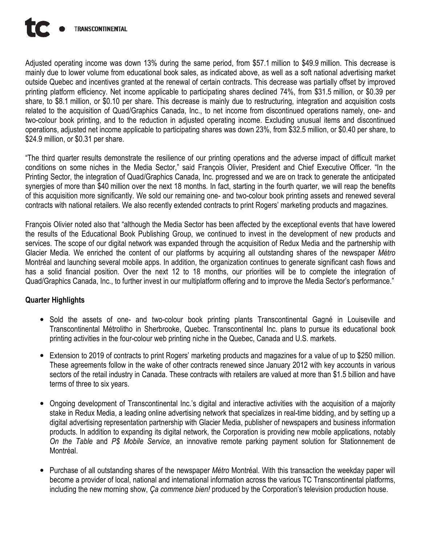

Adjusted operating income was down 13% during the same period, from \$57.1 million to \$49.9 million. This decrease is mainly due to lower volume from educational book sales, as indicated above, as well as a soft national advertising market outside Quebec and incentives granted at the renewal of certain contracts. This decrease was partially offset by improved printing platform efficiency. Net income applicable to participating shares declined 74%, from \$31.5 million, or \$0.39 per share, to \$8.1 million, or \$0.10 per share. This decrease is mainly due to restructuring, integration and acquisition costs related to the acquisition of Quad/Graphics Canada, Inc., to net income from discontinued operations namely, one- and two-colour book printing, and to the reduction in adjusted operating income. Excluding unusual items and discontinued operations, adjusted net income applicable to participating shares was down 23%, from \$32.5 million, or \$0.40 per share, to \$24.9 million, or \$0.31 per share.

"The third quarter results demonstrate the resilience of our printing operations and the adverse impact of difficult market conditions on some niches in the Media Sector," said François Olivier, President and Chief Executive Officer. "In the Printing Sector, the integration of Quad/Graphics Canada, Inc. progressed and we are on track to generate the anticipated synergies of more than \$40 million over the next 18 months. In fact, starting in the fourth quarter, we will reap the benefits of this acquisition more significantly. We sold our remaining one- and two-colour book printing assets and renewed several contracts with national retailers. We also recently extended contracts to print Rogers' marketing products and magazines.

François Olivier noted also that "although the Media Sector has been affected by the exceptional events that have lowered the results of the Educational Book Publishing Group, we continued to invest in the development of new products and services. The scope of our digital network was expanded through the acquisition of Redux Media and the partnership with Glacier Media. We enriched the content of our platforms by acquiring all outstanding shares of the newspaper Métro Montréal and launching several mobile apps. In addition, the organization continues to generate significant cash flows and has a solid financial position. Over the next 12 to 18 months, our priorities will be to complete the integration of Quad/Graphics Canada, Inc., to further invest in our multiplatform offering and to improve the Media Sector's performance."

# Quarter Highlights

- Sold the assets of one- and two-colour book printing plants Transcontinental Gagné in Louiseville and Transcontinental Métrolitho in Sherbrooke, Quebec. Transcontinental Inc. plans to pursue its educational book printing activities in the four-colour web printing niche in the Quebec, Canada and U.S. markets.
- Extension to 2019 of contracts to print Rogers' marketing products and magazines for a value of up to \$250 million. These agreements follow in the wake of other contracts renewed since January 2012 with key accounts in various sectors of the retail industry in Canada. These contracts with retailers are valued at more than \$1.5 billion and have terms of three to six years.
- Ongoing development of Transcontinental Inc.'s digital and interactive activities with the acquisition of a majority stake in Redux Media, a leading online advertising network that specializes in real-time bidding, and by setting up a digital advertising representation partnership with Glacier Media, publisher of newspapers and business information products. In addition to expanding its digital network, the Corporation is providing new mobile applications, notably On the Table and P\$ Mobile Service, an innovative remote parking payment solution for Stationnement de Montréal.
- Purchase of all outstanding shares of the newspaper *Métro* Montréal. With this transaction the weekday paper will become a provider of local, national and international information across the various TC Transcontinental platforms, including the new morning show, Ca commence bien! produced by the Corporation's television production house.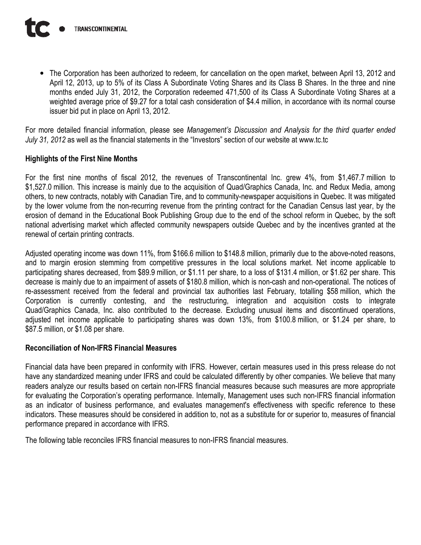• The Corporation has been authorized to redeem, for cancellation on the open market, between April 13, 2012 and April 12, 2013, up to 5% of its Class A Subordinate Voting Shares and its Class B Shares. In the three and nine months ended July 31, 2012, the Corporation redeemed 471,500 of its Class A Subordinate Voting Shares at a weighted average price of \$9.27 for a total cash consideration of \$4.4 million, in accordance with its normal course issuer bid put in place on April 13, 2012.

For more detailed financial information, please see Management's Discussion and Analysis for the third quarter ended July 31, 2012 as well as the financial statements in the "Investors" section of our website at www.tc.tc

# Highlights of the First Nine Months

For the first nine months of fiscal 2012, the revenues of Transcontinental Inc. grew 4%, from \$1,467.7 million to \$1,527.0 million. This increase is mainly due to the acquisition of Quad/Graphics Canada, Inc. and Redux Media, among others, to new contracts, notably with Canadian Tire, and to community-newspaper acquisitions in Quebec. It was mitigated by the lower volume from the non-recurring revenue from the printing contract for the Canadian Census last year, by the erosion of demand in the Educational Book Publishing Group due to the end of the school reform in Quebec, by the soft national advertising market which affected community newspapers outside Quebec and by the incentives granted at the renewal of certain printing contracts.

Adjusted operating income was down 11%, from \$166.6 million to \$148.8 million, primarily due to the above-noted reasons, and to margin erosion stemming from competitive pressures in the local solutions market. Net income applicable to participating shares decreased, from \$89.9 million, or \$1.11 per share, to a loss of \$131.4 million, or \$1.62 per share. This decrease is mainly due to an impairment of assets of \$180.8 million, which is non-cash and non-operational. The notices of re-assessment received from the federal and provincial tax authorities last February, totalling \$58 million, which the Corporation is currently contesting, and the restructuring, integration and acquisition costs to integrate Quad/Graphics Canada, Inc. also contributed to the decrease. Excluding unusual items and discontinued operations, adjusted net income applicable to participating shares was down 13%, from \$100.8 million, or \$1.24 per share, to \$87.5 million, or \$1.08 per share.

# Reconciliation of Non-IFRS Financial Measures

Financial data have been prepared in conformity with IFRS. However, certain measures used in this press release do not have any standardized meaning under IFRS and could be calculated differently by other companies. We believe that many readers analyze our results based on certain non-IFRS financial measures because such measures are more appropriate for evaluating the Corporation's operating performance. Internally, Management uses such non-IFRS financial information as an indicator of business performance, and evaluates management's effectiveness with specific reference to these indicators. These measures should be considered in addition to, not as a substitute for or superior to, measures of financial performance prepared in accordance with IFRS.

The following table reconciles IFRS financial measures to non-IFRS financial measures.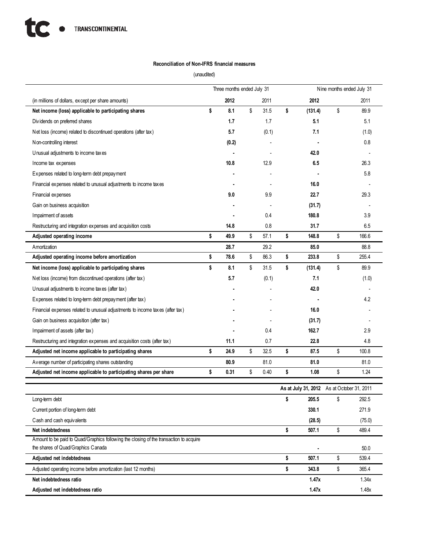### Reconciliation of Non-IFRS financial measures

(unaudited)

|                                                                                        | Three months ended July 31 |       |    |       |    | Nine months ended July 31 |                                            |        |  |
|----------------------------------------------------------------------------------------|----------------------------|-------|----|-------|----|---------------------------|--------------------------------------------|--------|--|
| (in millions of dollars, except per share amounts)                                     |                            | 2012  |    | 2011  |    | 2012                      |                                            | 2011   |  |
| Net income (loss) applicable to participating shares                                   | \$                         | 8.1   | \$ | 31.5  | \$ | (131.4)                   | \$                                         | 89.9   |  |
| Dividends on preferred shares                                                          |                            | 1.7   |    | 1.7   |    | 5.1                       |                                            | 5.1    |  |
| Net loss (income) related to discontinued operations (after tax)                       |                            | 5.7   |    | (0.1) |    | 7.1                       |                                            | (1.0)  |  |
| Non-controlling interest                                                               |                            | (0.2) |    |       |    |                           |                                            | 0.8    |  |
| Unusual adjustments to income taxes                                                    |                            |       |    |       |    | 42.0                      |                                            |        |  |
| Income tax expenses                                                                    |                            | 10.8  |    | 12.9  |    | 6.5                       |                                            | 26.3   |  |
| Expenses related to long-term debt prepayment                                          |                            |       |    |       |    |                           |                                            | 5.8    |  |
| Financial expenses related to unusual adjustments to income taxes                      |                            |       |    |       |    | 16.0                      |                                            |        |  |
| Financial expenses                                                                     |                            | 9.0   |    | 9.9   |    | 22.7                      |                                            | 29.3   |  |
| Gain on business acquisition                                                           |                            |       |    |       |    | (31.7)                    |                                            |        |  |
| Impairment of assets                                                                   |                            |       |    | 0.4   |    | 180.8                     |                                            | 3.9    |  |
| Restructuring and integration expenses and acquisition costs                           |                            | 14.8  |    | 0.8   |    | 31.7                      |                                            | 6.5    |  |
| Adjusted operating income                                                              | \$                         | 49.9  | \$ | 57.1  | \$ | 148.8                     | \$                                         | 166.6  |  |
| Amortization                                                                           |                            | 28.7  |    | 29.2  |    | 85.0                      |                                            | 88.8   |  |
| Adjusted operating income before amortization                                          | \$                         | 78.6  | \$ | 86.3  | \$ | 233.8                     | \$                                         | 255.4  |  |
| Net income (loss) applicable to participating shares                                   | \$                         | 8.1   | \$ | 31.5  | \$ | (131.4)                   | \$                                         | 89.9   |  |
| Net loss (income) from discontinued operations (after tax)                             |                            | 5.7   |    | (0.1) |    | 7.1                       |                                            | (1.0)  |  |
| Unusual adjustments to income taxes (after tax)                                        |                            |       |    |       |    | 42.0                      |                                            |        |  |
| Expenses related to long-term debt prepayment (after tax)                              |                            |       |    |       |    |                           |                                            | 4.2    |  |
| Financial expenses related to unusual adjustments to income taxes (after tax)          |                            |       |    |       |    | 16.0                      |                                            |        |  |
| Gain on business acquisition (after tax)                                               |                            |       |    |       |    | (31.7)                    |                                            |        |  |
| Impairment of assets (after tax)                                                       |                            |       |    | 0.4   |    | 162.7                     |                                            | 2.9    |  |
| Restructuring and integration expenses and acquisition costs (after tax)               |                            | 11.1  |    | 0.7   |    | 22.8                      |                                            | 4.8    |  |
| Adjusted net income applicable to participating shares                                 | \$                         | 24.9  | \$ | 32.5  | \$ | 87.5                      | \$                                         | 100.8  |  |
| Average number of participating shares outstanding                                     |                            | 80.9  |    | 81.0  |    | 81.0                      |                                            | 81.0   |  |
| Adjusted net income applicable to participating shares per share                       | \$                         | 0.31  | \$ | 0.40  | \$ | 1.08                      | \$                                         | 1.24   |  |
|                                                                                        |                            |       |    |       |    |                           | As at July 31, 2012 As at October 31, 2011 |        |  |
| Long-term debt                                                                         |                            |       |    |       | \$ | 205.5                     | \$                                         | 292.5  |  |
| Current portion of long-term debt                                                      |                            |       |    |       |    | 330.1                     |                                            | 271.9  |  |
| Cash and cash equivalents                                                              |                            |       |    |       |    | (28.5)                    |                                            | (75.0) |  |
| Net indebtedness                                                                       |                            |       |    |       | \$ | 507.1                     | \$                                         | 489.4  |  |
| Amount to be paid to Quad/Graphics following the closing of the transaction to acquire |                            |       |    |       |    |                           |                                            |        |  |
| the shares of Quad/Graphics Canada                                                     |                            |       |    |       |    |                           |                                            | 50.0   |  |
| Adjusted net indebtedness                                                              |                            |       |    |       | \$ | 507.1                     | \$                                         | 539.4  |  |
| Adjusted operating income before amortization (last 12 months)                         |                            |       |    |       | \$ | 343.8                     | \$                                         | 365.4  |  |
| Net indebtedness ratio                                                                 |                            |       |    |       |    | 1.47x                     |                                            | 1.34x  |  |
| Adjusted net indebtedness ratio                                                        |                            |       |    |       |    | 1.47x                     |                                            | 1.48x  |  |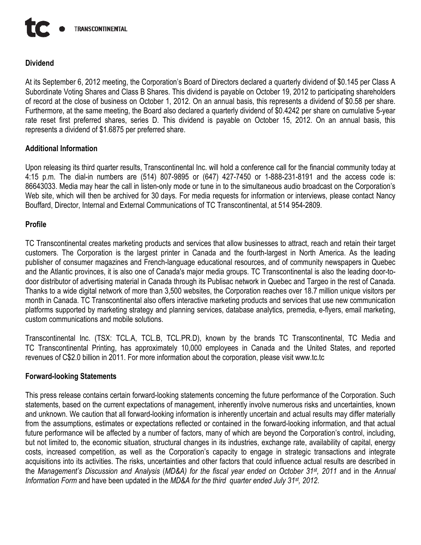

# Dividend

At its September 6, 2012 meeting, the Corporation's Board of Directors declared a quarterly dividend of \$0.145 per Class A Subordinate Voting Shares and Class B Shares. This dividend is payable on October 19, 2012 to participating shareholders of record at the close of business on October 1, 2012. On an annual basis, this represents a dividend of \$0.58 per share. Furthermore, at the same meeting, the Board also declared a quarterly dividend of \$0.4242 per share on cumulative 5-year rate reset first preferred shares, series D. This dividend is payable on October 15, 2012. On an annual basis, this represents a dividend of \$1.6875 per preferred share.

# Additional Information

Upon releasing its third quarter results, Transcontinental Inc. will hold a conference call for the financial community today at 4:15 p.m. The dial-in numbers are (514) 807-9895 or (647) 427-7450 or 1-888-231-8191 and the access code is: 86643033. Media may hear the call in listen-only mode or tune in to the simultaneous audio broadcast on the Corporation's Web site, which will then be archived for 30 days. For media requests for information or interviews, please contact Nancy Bouffard, Director, Internal and External Communications of TC Transcontinental, at 514 954-2809.

# Profile

TC Transcontinental creates marketing products and services that allow businesses to attract, reach and retain their target customers. The Corporation is the largest printer in Canada and the fourth-largest in North America. As the leading publisher of consumer magazines and French-language educational resources, and of community newspapers in Quebec and the Atlantic provinces, it is also one of Canada's major media groups. TC Transcontinental is also the leading door-todoor distributor of advertising material in Canada through its Publisac network in Quebec and Targeo in the rest of Canada. Thanks to a wide digital network of more than 3,500 websites, the Corporation reaches over 18.7 million unique visitors per month in Canada. TC Transcontinental also offers interactive marketing products and services that use new communication platforms supported by marketing strategy and planning services, database analytics, premedia, e-flyers, email marketing, custom communications and mobile solutions.

Transcontinental Inc. (TSX: TCL.A, TCL.B, TCL.PR.D), known by the brands TC Transcontinental, TC Media and TC Transcontinental Printing, has approximately 10,000 employees in Canada and the United States, and reported revenues of C\$2.0 billion in 2011. For more information about the corporation, please visit www.tc.tc

## Forward-looking Statements

This press release contains certain forward-looking statements concerning the future performance of the Corporation. Such statements, based on the current expectations of management, inherently involve numerous risks and uncertainties, known and unknown. We caution that all forward-looking information is inherently uncertain and actual results may differ materially from the assumptions, estimates or expectations reflected or contained in the forward-looking information, and that actual future performance will be affected by a number of factors, many of which are beyond the Corporation's control, including, but not limited to, the economic situation, structural changes in its industries, exchange rate, availability of capital, energy costs, increased competition, as well as the Corporation's capacity to engage in strategic transactions and integrate acquisitions into its activities. The risks, uncertainties and other factors that could influence actual results are described in the Management's Discussion and Analysis (MD&A) for the fiscal year ended on October 31<sup>st</sup>, 2011 and in the Annual Information Form and have been updated in the MD&A for the third quarter ended July 31<sup>st</sup>, 2012.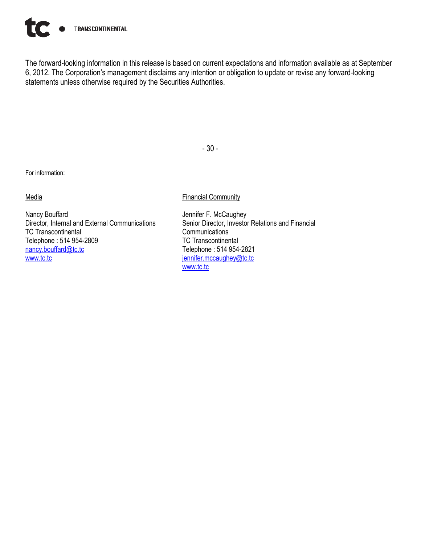

The forward-looking information in this release is based on current expectations and information available as at September 6, 2012. The Corporation's management disclaims any intention or obligation to update or revise any forward-looking statements unless otherwise required by the Securities Authorities.

For information:

### **Media**

Nancy Bouffard Director, Internal and External Communications TC Transcontinental Telephone : 514 954-2809 nancy.bouffard@tc.tc www.tc.tc

### Financial Community

- 30 -

Jennifer F. McCaughey Senior Director, Investor Relations and Financial **Communications** TC Transcontinental Telephone : 514 954-2821 jennifer.mccaughey@tc.tc www.tc.tc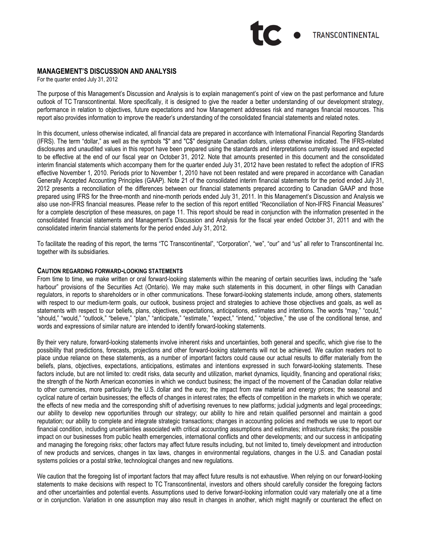# **TRANSCONTINENTAL**

### MANAGEMENT'S DISCUSSION AND ANALYSIS

For the quarter ended July 31, 2012

The purpose of this Management's Discussion and Analysis is to explain management's point of view on the past performance and future outlook of TC Transcontinental. More specifically, it is designed to give the reader a better understanding of our development strategy, performance in relation to objectives, future expectations and how Management addresses risk and manages financial resources. This report also provides information to improve the reader's understanding of the consolidated financial statements and related notes.

In this document, unless otherwise indicated, all financial data are prepared in accordance with International Financial Reporting Standards (IFRS). The term "dollar," as well as the symbols "\$" and "C\$" designate Canadian dollars, unless otherwise indicated. The IFRS-related disclosures and unaudited values in this report have been prepared using the standards and interpretations currently issued and expected to be effective at the end of our fiscal year on October 31, 2012. Note that amounts presented in this document and the consolidated interim financial statements which accompany them for the quarter ended July 31, 2012 have been restated to reflect the adoption of IFRS effective November 1, 2010. Periods prior to November 1, 2010 have not been restated and were prepared in accordance with Canadian Generally Accepted Accounting Principles (GAAP). Note 21 of the consolidated interim financial statements for the period ended July 31, 2012 presents a reconciliation of the differences between our financial statements prepared according to Canadian GAAP and those prepared using IFRS for the three-month and nine-month periods ended July 31, 2011. In this Management's Discussion and Analysis we also use non-IFRS financial measures. Please refer to the section of this report entitled "Reconciliation of Non-IFRS Financial Measures" for a complete description of these measures, on page 11. This report should be read in conjunction with the information presented in the consolidated financial statements and Management's Discussion and Analysis for the fiscal year ended October 31, 2011 and with the consolidated interim financial statements for the period ended July 31, 2012.

To facilitate the reading of this report, the terms "TC Transcontinental", "Corporation", "we", "our" and "us" all refer to Transcontinental Inc. together with its subsidiaries.

#### CAUTION REGARDING FORWARD-LOOKING STATEMENTS

From time to time, we make written or oral forward-looking statements within the meaning of certain securities laws, including the "safe harbour" provisions of the Securities Act (Ontario). We may make such statements in this document, in other filings with Canadian regulators, in reports to shareholders or in other communications. These forward-looking statements include, among others, statements with respect to our medium-term goals, our outlook, business project and strategies to achieve those objectives and goals, as well as statements with respect to our beliefs, plans, objectives, expectations, anticipations, estimates and intentions. The words "may," "could," "should," "would," "outlook," "believe," "plan," "anticipate," "estimate," "expect," "intend," "objective," the use of the conditional tense, and words and expressions of similar nature are intended to identify forward-looking statements.

By their very nature, forward-looking statements involve inherent risks and uncertainties, both general and specific, which give rise to the possibility that predictions, forecasts, projections and other forward-looking statements will not be achieved. We caution readers not to place undue reliance on these statements, as a number of important factors could cause our actual results to differ materially from the beliefs, plans, objectives, expectations, anticipations, estimates and intentions expressed in such forward-looking statements. These factors include, but are not limited to: credit risks, data security and utilization, market dynamics, liquidity, financing and operational risks; the strength of the North American economies in which we conduct business; the impact of the movement of the Canadian dollar relative to other currencies, more particularly the U.S. dollar and the euro; the impact from raw material and energy prices; the seasonal and cyclical nature of certain businesses; the effects of changes in interest rates; the effects of competition in the markets in which we operate; the effects of new media and the corresponding shift of advertising revenues to new platforms; judicial judgments and legal proceedings; our ability to develop new opportunities through our strategy; our ability to hire and retain qualified personnel and maintain a good reputation; our ability to complete and integrate strategic transactions; changes in accounting policies and methods we use to report our financial condition, including uncertainties associated with critical accounting assumptions and estimates; infrastructure risks; the possible impact on our businesses from public health emergencies, international conflicts and other developments; and our success in anticipating and managing the foregoing risks; other factors may affect future results including, but not limited to, timely development and introduction of new products and services, changes in tax laws, changes in environmental regulations, changes in the U.S. and Canadian postal systems policies or a postal strike, technological changes and new regulations.

We caution that the foregoing list of important factors that may affect future results is not exhaustive. When relying on our forward-looking statements to make decisions with respect to TC Transcontinental, investors and others should carefully consider the foregoing factors and other uncertainties and potential events. Assumptions used to derive forward-looking information could vary materially one at a time or in conjunction. Variation in one assumption may also result in changes in another, which might magnify or counteract the effect on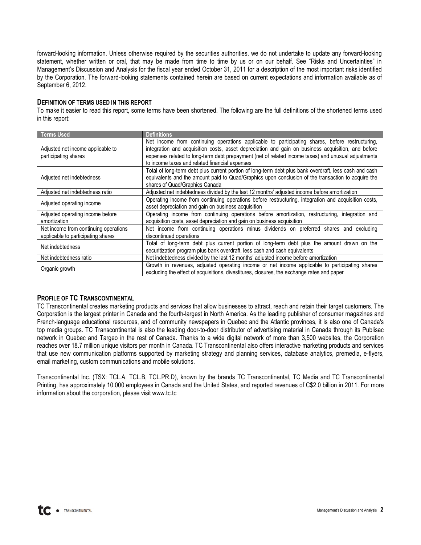forward-looking information. Unless otherwise required by the securities authorities, we do not undertake to update any forward-looking statement, whether written or oral, that may be made from time to time by us or on our behalf. See "Risks and Uncertainties" in Management's Discussion and Analysis for the fiscal year ended October 31, 2011 for a description of the most important risks identified by the Corporation. The forward-looking statements contained herein are based on current expectations and information available as of September 6, 2012.

### DEFINITION OF TERMS USED IN THIS REPORT

To make it easier to read this report, some terms have been shortened. The following are the full definitions of the shortened terms used in this report:

| <b>Terms Used</b>                                                           | <b>Definitions</b>                                                                                                                                                                                                                                                                                                                                             |
|-----------------------------------------------------------------------------|----------------------------------------------------------------------------------------------------------------------------------------------------------------------------------------------------------------------------------------------------------------------------------------------------------------------------------------------------------------|
| Adjusted net income applicable to<br>participating shares                   | Net income from continuing operations applicable to participating shares, before restructuring,<br>integration and acquisition costs, asset depreciation and gain on business acquisition, and before<br>expenses related to long-term debt prepayment (net of related income taxes) and unusual adjustments<br>to income taxes and related financial expenses |
| Adjusted net indebtedness                                                   | Total of long-term debt plus current portion of long-term debt plus bank overdraft, less cash and cash<br>equivalents and the amount paid to Quad/Graphics upon conclusion of the transaction to acquire the<br>shares of Quad/Graphics Canada                                                                                                                 |
| Adjusted net indebtedness ratio                                             | Adjusted net indebtedness divided by the last 12 months' adjusted income before amortization                                                                                                                                                                                                                                                                   |
| Adjusted operating income                                                   | Operating income from continuing operations before restructuring, integration and acquisition costs,<br>asset depreciation and gain on business acquisition                                                                                                                                                                                                    |
| Adjusted operating income before<br>amortization                            | Operating income from continuing operations before amortization, restructuring, integration and<br>acquisition costs, asset depreciation and gain on business acquisition                                                                                                                                                                                      |
| Net income from continuing operations<br>applicable to participating shares | Net income from continuing operations minus dividends on preferred shares and excluding<br>discontinued operations                                                                                                                                                                                                                                             |
| Net indebtedness                                                            | Total of long-term debt plus current portion of long-term debt plus the amount drawn on the<br>securitization program plus bank overdraft, less cash and cash equivalents                                                                                                                                                                                      |
| Net indebtedness ratio                                                      | Net indebtedness divided by the last 12 months' adjusted income before amortization                                                                                                                                                                                                                                                                            |
| Organic growth                                                              | Growth in revenues, adjusted operating income or net income applicable to participating shares<br>excluding the effect of acquisitions, divestitures, closures, the exchange rates and paper                                                                                                                                                                   |

### PROFILE OF TC TRANSCONTINENTAL

TC Transcontinental creates marketing products and services that allow businesses to attract, reach and retain their target customers. The Corporation is the largest printer in Canada and the fourth-largest in North America. As the leading publisher of consumer magazines and French-language educational resources, and of community newspapers in Quebec and the Atlantic provinces, it is also one of Canada's top media groups. TC Transcontinental is also the leading door-to-door distributor of advertising material in Canada through its Publisac network in Quebec and Targeo in the rest of Canada. Thanks to a wide digital network of more than 3,500 websites, the Corporation reaches over 18.7 million unique visitors per month in Canada. TC Transcontinental also offers interactive marketing products and services that use new communication platforms supported by marketing strategy and planning services, database analytics, premedia, e-flyers, email marketing, custom communications and mobile solutions.

Transcontinental Inc. (TSX: TCL.A, TCL.B, TCL.PR.D), known by the brands TC Transcontinental, TC Media and TC Transcontinental Printing, has approximately 10,000 employees in Canada and the United States, and reported revenues of C\$2.0 billion in 2011. For more information about the corporation, please visit www.tc.tc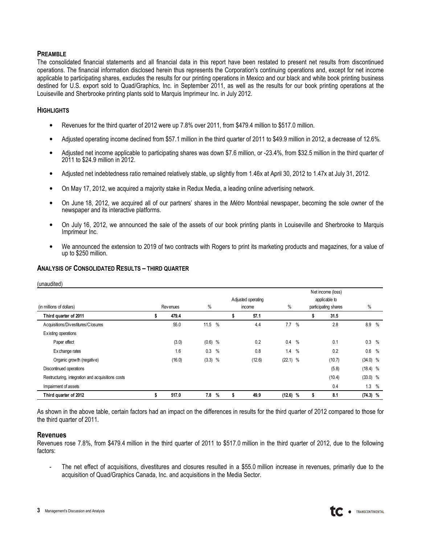### PREAMBLE

The consolidated financial statements and all financial data in this report have been restated to present net results from discontinued operations. The financial information disclosed herein thus represents the Corporation's continuing operations and, except for net income applicable to participating shares, excludes the results for our printing operations in Mexico and our black and white book printing business destined for U.S. export sold to Quad/Graphics, Inc. in September 2011, as well as the results for our book printing operations at the Louiseville and Sherbrooke printing plants sold to Marquis Imprimeur Inc. in July 2012.

### **HIGHLIGHTS**

- Revenues for the third quarter of 2012 were up 7.8% over 2011, from \$479.4 million to \$517.0 million.
- Adjusted operating income declined from \$57.1 million in the third quarter of 2011 to \$49.9 million in 2012, a decrease of 12.6%.
- Adjusted net income applicable to participating shares was down \$7.6 million, or -23.4%, from \$32.5 million in the third quarter of 2011 to \$24.9 million in 2012.
- Adjusted net indebtedness ratio remained relatively stable, up slightly from 1.46x at April 30, 2012 to 1.47x at July 31, 2012.
- On May 17, 2012, we acquired a majority stake in Redux Media, a leading online advertising network.
- On June 18, 2012, we acquired all of our partners' shares in the Métro Montréal newspaper, becoming the sole owner of the newspaper and its interactive platforms.
- On July 16, 2012, we announced the sale of the assets of our book printing plants in Louiseville and Sherbrooke to Marquis Imprimeur Inc.
- We announced the extension to 2019 of two contracts with Rogers to print its marketing products and magazines, for a value of up to \$250 million.

### ANALYSIS OF CONSOLIDATED RESULTS – THIRD QUARTER

| (unaudited)                                       |                 |           |               |   |                              |            |               |                                                            |            |               |
|---------------------------------------------------|-----------------|-----------|---------------|---|------------------------------|------------|---------------|------------------------------------------------------------|------------|---------------|
| (in millions of dollars)                          | <b>Revenues</b> | $\%$      |               |   | Adjusted operating<br>income | $\%$       |               | Net income (loss)<br>applicable to<br>participating shares | %          |               |
| Third quarter of 2011                             | 479.4           |           |               | S | 57.1                         |            |               | \$<br>31.5                                                 |            |               |
| Acquisitions/Divestitures/Closures                | 55.0            | 11.5      | $\frac{0}{0}$ |   | 4.4                          | 7.7        | $\frac{0}{0}$ | 2.8                                                        | 8.9        | $\%$          |
| Existing operations                               |                 |           |               |   |                              |            |               |                                                            |            |               |
| Paper effect                                      | (3.0)           | $(0.6)$ % |               |   | 0.2                          | $0.4\,$    | $\%$          | 0.1                                                        | 0.3        | $\%$          |
| Ex change rates                                   | 1.6             | 0.3       | $\%$          |   | 0.8                          | 1.4        | $\%$          | 0.2                                                        | 0.6        | $\frac{0}{0}$ |
| Organic growth (negative)                         | (16.0)          | $(3.3)$ % |               |   | (12.6)                       | $(22.1)$ % |               | (10.7)                                                     | $(34.0)$ % |               |
| Discontinued operations                           |                 |           |               |   |                              |            |               | (5.8)                                                      | $(18.4)$ % |               |
| Restructuring, integration and acquisitions costs |                 |           |               |   |                              |            |               | (10.4)                                                     | $(33.0)$ % |               |
| Impairment of assets                              |                 |           |               |   |                              |            |               | 0.4                                                        | 1.3        | %             |
| Third quarter of 2012                             | 517.0           | 7.8       | %             | ъ | 49.9                         | (12.6)     | %             | \$<br>8.1                                                  | $(74.3)$ % |               |

As shown in the above table, certain factors had an impact on the differences in results for the third quarter of 2012 compared to those for the third quarter of 2011.

#### Revenues

Revenues rose 7.8%, from \$479.4 million in the third quarter of 2011 to \$517.0 million in the third quarter of 2012, due to the following factors:

- The net effect of acquisitions, divestitures and closures resulted in a \$55.0 million increase in revenues, primarily due to the acquisition of Quad/Graphics Canada, Inc. and acquisitions in the Media Sector.

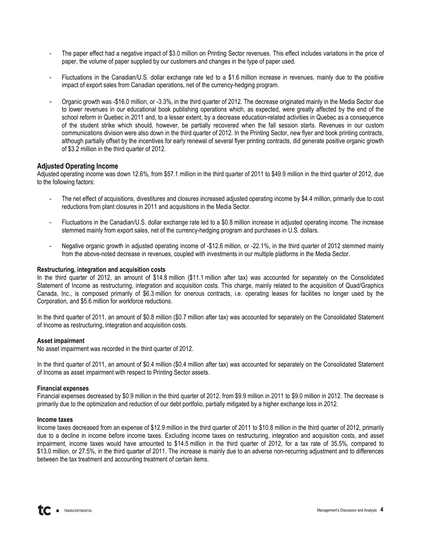- The paper effect had a negative impact of \$3.0 million on Printing Sector revenues. This effect includes variations in the price of paper, the volume of paper supplied by our customers and changes in the type of paper used.
- Fluctuations in the Canadian/U.S. dollar exchange rate led to a \$1.6 million increase in revenues, mainly due to the positive impact of export sales from Canadian operations, net of the currency-hedging program.
- Organic growth was -\$16.0 million, or -3.3%, in the third quarter of 2012. The decrease originated mainly in the Media Sector due to lower revenues in our educational book publishing operations which, as expected, were greatly affected by the end of the school reform in Quebec in 2011 and, to a lesser extent, by a decrease education-related activities in Quebec as a consequence of the student strike which should, however, be partially recovered when the fall session starts. Revenues in our custom communications division were also down in the third quarter of 2012. In the Printing Sector, new flyer and book printing contracts, although partially offset by the incentives for early renewal of several flyer printing contracts, did generate positive organic growth of \$3.2 million in the third quarter of 2012.

### Adjusted Operating Income

Adjusted operating income was down 12.6%, from \$57.1 million in the third quarter of 2011 to \$49.9 million in the third quarter of 2012, due to the following factors:

- The net effect of acquisitions, divestitures and closures increased adjusted operating income by \$4.4 million, primarily due to cost reductions from plant closures in 2011 and acquisitions in the Media Sector.
- Fluctuations in the Canadian/U.S. dollar exchange rate led to a \$0.8 million increase in adjusted operating income. The increase stemmed mainly from export sales, net of the currency-hedging program and purchases in U.S. dollars.
- Negative organic growth in adjusted operating income of -\$12.6 million, or -22.1%, in the third quarter of 2012 stemmed mainly from the above-noted decrease in revenues, coupled with investments in our multiple platforms in the Media Sector.

### Restructuring, integration and acquisition costs

In the third quarter of 2012, an amount of \$14.8 million (\$11.1 million after tax) was accounted for separately on the Consolidated Statement of Income as restructuring, integration and acquisition costs. This charge, mainly related to the acquisition of Quad/Graphics Canada, Inc., is composed primarily of \$6.3 million for onerous contracts, i.e. operating leases for facilities no longer used by the Corporation, and \$5.6 million for workforce reductions.

In the third quarter of 2011, an amount of \$0.8 million (\$0.7 million after tax) was accounted for separately on the Consolidated Statement of Income as restructuring, integration and acquisition costs.

#### Asset impairment

No asset impairment was recorded in the third quarter of 2012.

In the third quarter of 2011, an amount of \$0.4 million (\$0.4 million after tax) was accounted for separately on the Consolidated Statement of Income as asset impairment with respect to Printing Sector assets.

#### Financial expenses

Financial expenses decreased by \$0.9 million in the third quarter of 2012, from \$9.9 million in 2011 to \$9.0 million in 2012. The decrease is primarily due to the optimization and reduction of our debt portfolio, partially mitigated by a higher exchange loss in 2012.

#### Income taxes

Income taxes decreased from an expense of \$12.9 million in the third quarter of 2011 to \$10.8 million in the third quarter of 2012, primarily due to a decline in income before income taxes. Excluding income taxes on restructuring, integration and acquisition costs, and asset impairment, income taxes would have amounted to \$14.5 million in the third quarter of 2012, for a tax rate of 35.5%, compared to \$13.0 million, or 27.5%, in the third quarter of 2011. The increase is mainly due to an adverse non-recurring adjustment and to differences between the tax treatment and accounting treatment of certain items.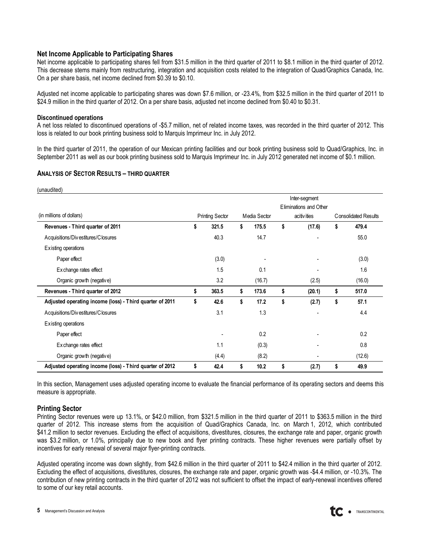### Net Income Applicable to Participating Shares

Net income applicable to participating shares fell from \$31.5 million in the third quarter of 2011 to \$8.1 million in the third quarter of 2012. This decrease stems mainly from restructuring, integration and acquisition costs related to the integration of Quad/Graphics Canada, Inc. On a per share basis, net income declined from \$0.39 to \$0.10.

Adjusted net income applicable to participating shares was down \$7.6 million, or -23.4%, from \$32.5 million in the third quarter of 2011 to \$24.9 million in the third quarter of 2012. On a per share basis, adjusted net income declined from \$0.40 to \$0.31.

### Discontinued operations

A net loss related to discontinued operations of -\$5.7 million, net of related income taxes, was recorded in the third quarter of 2012. This loss is related to our book printing business sold to Marquis Imprimeur Inc. in July 2012.

In the third quarter of 2011, the operation of our Mexican printing facilities and our book printing business sold to Quad/Graphics, Inc. in September 2011 as well as our book printing business sold to Marquis Imprimeur Inc. in July 2012 generated net income of \$0.1 million.

### ANALYSIS OF SECTOR RESULTS – THIRD QUARTER

| (unaudited)                                              |                        |              |                        |                             |
|----------------------------------------------------------|------------------------|--------------|------------------------|-----------------------------|
|                                                          |                        |              | Inter-segment          |                             |
|                                                          |                        |              | Eliminations and Other |                             |
| (in millions of dollars)                                 | <b>Printing Sector</b> | Media Sector | acitivities            | <b>Consolidated Results</b> |
| Revenues - Third quarter of 2011                         | \$<br>321.5            | \$<br>175.5  | \$<br>(17.6)           | \$<br>479.4                 |
| Acquisitions/Divestitures/Closures                       | 40.3                   | 14.7         | ٠                      | 55.0                        |
| Existing operations                                      |                        |              |                        |                             |
| Paper effect                                             | (3.0)                  |              |                        | (3.0)                       |
| Exchange rates effect                                    | 1.5                    | 0.1          |                        | 1.6                         |
| Organic growth (negative)                                | 3.2                    | (16.7)       | (2.5)                  | (16.0)                      |
| Revenues - Third quarter of 2012                         | \$<br>363.5            | \$<br>173.6  | \$<br>(20.1)           | \$<br>517.0                 |
| Adjusted operating income (loss) - Third quarter of 2011 | \$<br>42.6             | \$<br>17.2   | \$<br>(2.7)            | \$<br>57.1                  |
| Acquisitions/Divestitures/Closures                       | 3.1                    | 1.3          |                        | 4.4                         |
| Existing operations                                      |                        |              |                        |                             |
| Paper effect                                             |                        | 0.2          |                        | 0.2                         |
| Exchange rates effect                                    | 1.1                    | (0.3)        |                        | 0.8                         |
| Organic growth (negative)                                | (4.4)                  | (8.2)        |                        | (12.6)                      |
| Adjusted operating income (loss) - Third quarter of 2012 | \$<br>42.4             | \$<br>10.2   | \$<br>(2.7)            | \$<br>49.9                  |

In this section, Management uses adjusted operating income to evaluate the financial performance of its operating sectors and deems this measure is appropriate.

### Printing Sector

Printing Sector revenues were up 13.1%, or \$42.0 million, from \$321.5 million in the third quarter of 2011 to \$363.5 million in the third quarter of 2012. This increase stems from the acquisition of Quad/Graphics Canada, Inc. on March 1, 2012, which contributed \$41.2 million to sector revenues. Excluding the effect of acquisitions, divestitures, closures, the exchange rate and paper, organic growth was \$3.2 million, or 1.0%, principally due to new book and flyer printing contracts. These higher revenues were partially offset by incentives for early renewal of several major flyer-printing contracts.

Adjusted operating income was down slightly, from \$42.6 million in the third quarter of 2011 to \$42.4 million in the third quarter of 2012. Excluding the effect of acquisitions, divestitures, closures, the exchange rate and paper, organic growth was -\$4.4 million, or -10.3%. The contribution of new printing contracts in the third quarter of 2012 was not sufficient to offset the impact of early-renewal incentives offered to some of our key retail accounts.

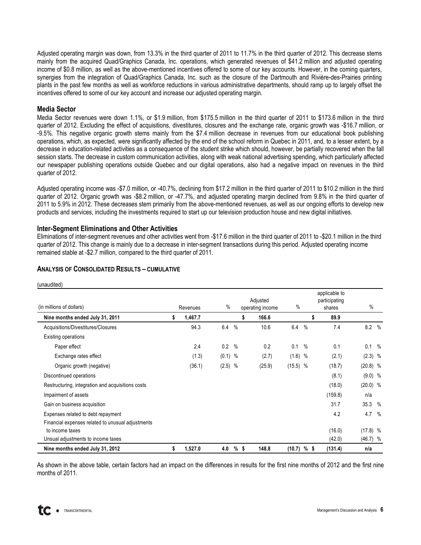Adjusted operating margin was down, from 13.3% in the third quarter of 2011 to 11.7% in the third quarter of 2012. This decrease stems mainly from the acquired Quad/Graphics Canada, Inc. operations, which generated revenues of \$41.2 million and adjusted operating income of \$0.8 million, as well as the above-mentioned incentives offered to some of our key accounts. However, in the coming quarters, synergies from the integration of Quad/Graphics Canada, Inc. such as the closure of the Dartmouth and Rivière-des-Prairies printing plants in the past few months as well as workforce reductions in various administrative departments, should ramp up to largely offset the incentives offered to some of our key account and increase our adjusted operating margin.

### Media Sector

Media Sector revenues were down 1.1%, or \$1.9 million, from \$175.5 million in the third quarter of 2011 to \$173.6 million in the third quarter of 2012. Excluding the effect of acquisitions, divestitures, closures and the exchange rate, organic growth was -\$16.7 million, or -9.5%. This negative organic growth stems mainly from the \$7.4 million decrease in revenues from our educational book publishing operations, which, as expected, were significantly affected by the end of the school reform in Quebec in 2011, and, to a lesser extent, by a decrease in education-related activities as a consequence of the student strike which should, however, be partially recovered when the fall session starts. The decrease in custom communication activities, along with weak national advertising spending, which particularly affected our newspaper publishing operations outside Quebec and our digital operations, also had a negative impact on revenues in the third quarter of 2012.

Adjusted operating income was -\$7.0 million, or -40.7%, declining from \$17.2 million in the third quarter of 2011 to \$10.2 million in the third quarter of 2012. Organic growth was -\$8.2 million, or -47.7%, and adjusted operating margin declined from 9.8% in the third quarter of 2011 to 5.9% in 2012. These decreases stem primarily from the above-mentioned revenues, as well as our ongoing efforts to develop new products and services, including the investments required to start up our television production house and new digital initiatives.

Inter-Segment Eliminations and Other Activities

Eliminations of inter-segment revenues and other activities went from -\$17.6 million in the third quarter of 2011 to -\$20.1 million in the third quarter of 2012. This change is mainly due to a decrease in inter-segment transactions during this period. Adjusted operating income remained stable at -\$2.7 million, compared to the third quarter of 2011.

| (unaudited)<br>(in millions of dollars)           |    | Revenues | $\%$      |               | Adjusted<br>operating income |        | $\%$       |               | applicable to<br>participating<br>shares | $\%$       |               |
|---------------------------------------------------|----|----------|-----------|---------------|------------------------------|--------|------------|---------------|------------------------------------------|------------|---------------|
| Nine months ended July 31, 2011                   | s  | 1,467.7  |           |               | \$                           | 166.6  |            | s             | 89.9                                     |            |               |
| Acquisitions/Divestitures/Closures                |    | 94.3     | 6.4       | $\frac{0}{0}$ |                              | 10.6   | 6.4        | $\%$          | 7.4                                      | 8.2%       |               |
| Existing operations                               |    |          |           |               |                              |        |            |               |                                          |            |               |
| Paper effect                                      |    | 2.4      | 0.2       | $\%$          |                              | 0.2    | 0.1        | $\frac{0}{0}$ | 0.1                                      | 0.1        | $\frac{0}{0}$ |
| Exchange rates effect                             |    | (1.3)    | $(0.1)$ % |               |                              | (2.7)  | $(1.6)$ %  |               | (2.1)                                    | $(2.3)$ %  |               |
| Organic growth (negative)                         |    | (36.1)   | $(2.5)$ % |               |                              | (25.9) | $(15.5)$ % |               | (18.7)                                   | $(20.8)$ % |               |
| Discontinued operations                           |    |          |           |               |                              |        |            |               | (8.1)                                    | $(9.0)$ %  |               |
| Restructuring, integration and acquisitions costs |    |          |           |               |                              |        |            |               | (18.0)                                   | $(20.0)$ % |               |
| Impairment of assets                              |    |          |           |               |                              |        |            |               | (159.8)                                  | n/a        |               |
| Gain on business acquisition                      |    |          |           |               |                              |        |            |               | 31.7                                     | 35.3       | $\%$          |
| Expenses related to debt repayment                |    |          |           |               |                              |        |            |               | 4.2                                      | 4.7        | $\%$          |
| Financial expenses related to unusual adjustments |    |          |           |               |                              |        |            |               |                                          |            |               |
| to income taxes                                   |    |          |           |               |                              |        |            |               | (16.0)                                   | $(17.8)$ % |               |
| Unsual adjustments to income taxes                |    |          |           |               |                              |        |            |               | (42.0)                                   | $(46.7)$ % |               |
| Nine months ended July 31, 2012                   | \$ | 1,527.0  | 4.0       | %\$           |                              | 148.8  | (10.7)     | %\$           | (131.4)                                  | n/a        |               |

### ANALYSIS OF CONSOLIDATED RESULTS – CUMULATIVE

As shown in the above table, certain factors had an impact on the differences in results for the first nine months of 2012 and the first nine months of 2011.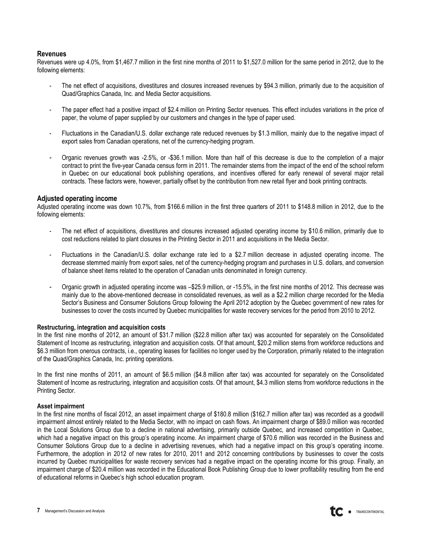### Revenues

Revenues were up 4.0%, from \$1,467.7 million in the first nine months of 2011 to \$1,527.0 million for the same period in 2012, due to the following elements:

- The net effect of acquisitions, divestitures and closures increased revenues by \$94.3 million, primarily due to the acquisition of Quad/Graphics Canada, Inc. and Media Sector acquisitions.
- The paper effect had a positive impact of \$2.4 million on Printing Sector revenues. This effect includes variations in the price of paper, the volume of paper supplied by our customers and changes in the type of paper used.
- Fluctuations in the Canadian/U.S. dollar exchange rate reduced revenues by \$1.3 million, mainly due to the negative impact of export sales from Canadian operations, net of the currency-hedging program.
- Organic revenues growth was -2.5%, or -\$36.1 million. More than half of this decrease is due to the completion of a major contract to print the five-year Canada census form in 2011. The remainder stems from the impact of the end of the school reform in Quebec on our educational book publishing operations, and incentives offered for early renewal of several major retail contracts. These factors were, however, partially offset by the contribution from new retail flyer and book printing contracts.

### Adjusted operating income

Adjusted operating income was down 10.7%, from \$166.6 million in the first three quarters of 2011 to \$148.8 million in 2012, due to the following elements:

- The net effect of acquisitions, divestitures and closures increased adjusted operating income by \$10.6 million, primarily due to cost reductions related to plant closures in the Printing Sector in 2011 and acquisitions in the Media Sector.
- Fluctuations in the Canadian/U.S. dollar exchange rate led to a \$2.7 million decrease in adjusted operating income. The decrease stemmed mainly from export sales, net of the currency-hedging program and purchases in U.S. dollars, and conversion of balance sheet items related to the operation of Canadian units denominated in foreign currency.
- Organic growth in adjusted operating income was –\$25.9 million, or -15.5%, in the first nine months of 2012. This decrease was mainly due to the above-mentioned decrease in consolidated revenues, as well as a \$2.2 million charge recorded for the Media Sector's Business and Consumer Solutions Group following the April 2012 adoption by the Quebec government of new rates for businesses to cover the costs incurred by Quebec municipalities for waste recovery services for the period from 2010 to 2012.

### Restructuring, integration and acquisition costs

In the first nine months of 2012, an amount of \$31.7 million (\$22.8 million after tax) was accounted for separately on the Consolidated Statement of Income as restructuring, integration and acquisition costs. Of that amount, \$20.2 million stems from workforce reductions and \$6.3 million from onerous contracts, i.e., operating leases for facilities no longer used by the Corporation, primarily related to the integration of the Quad/Graphics Canada, Inc. printing operations.

In the first nine months of 2011, an amount of \$6.5 million (\$4.8 million after tax) was accounted for separately on the Consolidated Statement of Income as restructuring, integration and acquisition costs. Of that amount, \$4.3 million stems from workforce reductions in the Printing Sector.

### Asset impairment

In the first nine months of fiscal 2012, an asset impairment charge of \$180.8 million (\$162.7 million after tax) was recorded as a goodwill impairment almost entirely related to the Media Sector, with no impact on cash flows. An impairment charge of \$89.0 million was recorded in the Local Solutions Group due to a decline in national advertising, primarily outside Quebec, and increased competition in Quebec, which had a negative impact on this group's operating income. An impairment charge of \$70.6 million was recorded in the Business and Consumer Solutions Group due to a decline in advertising revenues, which had a negative impact on this group's operating income. Furthermore, the adoption in 2012 of new rates for 2010, 2011 and 2012 concerning contributions by businesses to cover the costs incurred by Quebec municipalities for waste recovery services had a negative impact on the operating income for this group. Finally, an impairment charge of \$20.4 million was recorded in the Educational Book Publishing Group due to lower profitability resulting from the end of educational reforms in Quebec's high school education program.

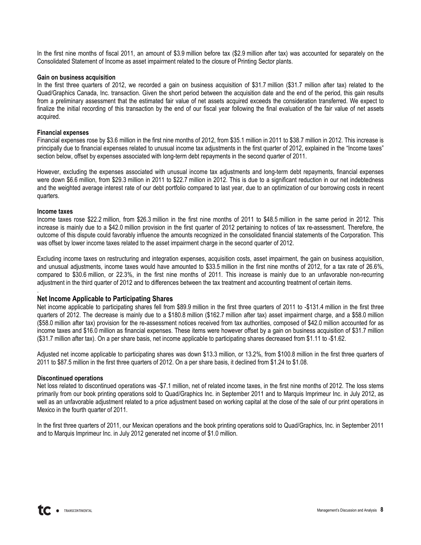In the first nine months of fiscal 2011, an amount of \$3.9 million before tax (\$2.9 million after tax) was accounted for separately on the Consolidated Statement of Income as asset impairment related to the closure of Printing Sector plants.

### Gain on business acquisition

In the first three quarters of 2012, we recorded a gain on business acquisition of \$31.7 million (\$31.7 million after tax) related to the Quad/Graphics Canada, Inc. transaction. Given the short period between the acquisition date and the end of the period, this gain results from a preliminary assessment that the estimated fair value of net assets acquired exceeds the consideration transferred. We expect to finalize the initial recording of this transaction by the end of our fiscal year following the final evaluation of the fair value of net assets acquired.

#### Financial expenses

Financial expenses rose by \$3.6 million in the first nine months of 2012, from \$35.1 million in 2011 to \$38.7 million in 2012. This increase is principally due to financial expenses related to unusual income tax adjustments in the first quarter of 2012, explained in the "Income taxes" section below, offset by expenses associated with long-term debt repayments in the second quarter of 2011.

However, excluding the expenses associated with unusual income tax adjustments and long-term debt repayments, financial expenses were down \$6.6 million, from \$29.3 million in 2011 to \$22.7 million in 2012. This is due to a significant reduction in our net indebtedness and the weighted average interest rate of our debt portfolio compared to last year, due to an optimization of our borrowing costs in recent quarters.

#### Income taxes

.

Income taxes rose \$22.2 million, from \$26.3 million in the first nine months of 2011 to \$48.5 million in the same period in 2012. This increase is mainly due to a \$42.0 million provision in the first quarter of 2012 pertaining to notices of tax re-assessment. Therefore, the outcome of this dispute could favorably influence the amounts recognized in the consolidated financial statements of the Corporation. This was offset by lower income taxes related to the asset impairment charge in the second quarter of 2012.

Excluding income taxes on restructuring and integration expenses, acquisition costs, asset impairment, the gain on business acquisition, and unusual adjustments, income taxes would have amounted to \$33.5 million in the first nine months of 2012, for a tax rate of 26.6%, compared to \$30.6 million, or 22.3%, in the first nine months of 2011. This increase is mainly due to an unfavorable non-recurring adjustment in the third quarter of 2012 and to differences between the tax treatment and accounting treatment of certain items.

### Net Income Applicable to Participating Shares

Net income applicable to participating shares fell from \$89.9 million in the first three quarters of 2011 to -\$131.4 million in the first three quarters of 2012. The decrease is mainly due to a \$180.8 million (\$162.7 million after tax) asset impairment charge, and a \$58.0 million (\$58.0 million after tax) provision for the re-assessment notices received from tax authorities, composed of \$42.0 million accounted for as income taxes and \$16.0 million as financial expenses. These items were however offset by a gain on business acquisition of \$31.7 million (\$31.7 million after tax). On a per share basis, net income applicable to participating shares decreased from \$1.11 to -\$1.62.

Adjusted net income applicable to participating shares was down \$13.3 million, or 13.2%, from \$100.8 million in the first three quarters of 2011 to \$87.5 million in the first three quarters of 2012. On a per share basis, it declined from \$1.24 to \$1.08.

### Discontinued operations

Net loss related to discontinued operations was -\$7.1 million, net of related income taxes, in the first nine months of 2012. The loss stems primarily from our book printing operations sold to Quad/Graphics Inc. in September 2011 and to Marquis Imprimeur Inc. in July 2012, as well as an unfavorable adjustment related to a price adjustment based on working capital at the close of the sale of our print operations in Mexico in the fourth quarter of 2011.

In the first three quarters of 2011, our Mexican operations and the book printing operations sold to Quad/Graphics, Inc. in September 2011 and to Marquis Imprimeur Inc. in July 2012 generated net income of \$1.0 million.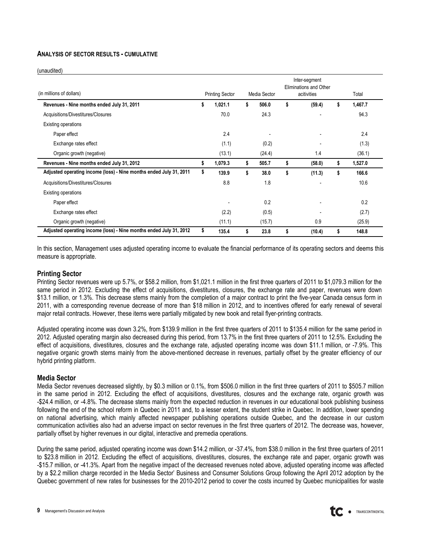### ANALYSIS OF SECTOR RESULTS - CUMULATIVE

(unaudited)

| (in millions of dollars)                                           | <b>Printing Sector</b> | Media Sector | Inter-segment<br>Eliminations and Other<br>acitivities |    | Total   |
|--------------------------------------------------------------------|------------------------|--------------|--------------------------------------------------------|----|---------|
| Revenues - Nine months ended July 31, 2011                         | \$<br>1,021.1          | \$<br>506.0  | \$<br>(59.4)                                           | 5  | 1,467.7 |
| Acquisitions/Divestitures/Closures                                 | 70.0                   | 24.3         |                                                        |    | 94.3    |
| <b>Existing operations</b>                                         |                        |              |                                                        |    |         |
| Paper effect                                                       | 2.4                    |              |                                                        |    | 2.4     |
| Exchange rates effect                                              | (1.1)                  | (0.2)        |                                                        |    | (1.3)   |
| Organic growth (negative)                                          | (13.1)                 | (24.4)       | 1.4                                                    |    | (36.1)  |
| Revenues - Nine months ended July 31, 2012                         | \$<br>1,079.3          | \$<br>505.7  | \$<br>(58.0)                                           | \$ | 1,527.0 |
| Adjusted operating income (loss) - Nine months ended July 31, 2011 | \$<br>139.9            | \$<br>38.0   | \$<br>(11.3)                                           | \$ | 166.6   |
| Acquisitions/Divestitures/Closures                                 | 8.8                    | 1.8          |                                                        |    | 10.6    |
| Existing operations                                                |                        |              |                                                        |    |         |
| Paper effect                                                       |                        | 0.2          |                                                        |    | 0.2     |
| Exchange rates effect                                              | (2.2)                  | (0.5)        |                                                        |    | (2.7)   |
| Organic growth (negative)                                          | (11.1)                 | (15.7)       | 0.9                                                    |    | (25.9)  |
| Adjusted operating income (loss) - Nine months ended July 31, 2012 | \$<br>135.4            | \$<br>23.8   | \$<br>(10.4)                                           | \$ | 148.8   |

In this section, Management uses adjusted operating income to evaluate the financial performance of its operating sectors and deems this measure is appropriate.

### Printing Sector

Printing Sector revenues were up 5.7%, or \$58.2 million, from \$1,021.1 million in the first three quarters of 2011 to \$1,079.3 million for the same period in 2012. Excluding the effect of acquisitions, divestitures, closures, the exchange rate and paper, revenues were down \$13.1 million, or 1.3%. This decrease stems mainly from the completion of a major contract to print the five-year Canada census form in 2011, with a corresponding revenue decrease of more than \$18 million in 2012, and to incentives offered for early renewal of several major retail contracts. However, these items were partially mitigated by new book and retail flyer-printing contracts.

Adjusted operating income was down 3.2%, from \$139.9 million in the first three quarters of 2011 to \$135.4 million for the same period in 2012. Adjusted operating margin also decreased during this period, from 13.7% in the first three quarters of 2011 to 12.5%. Excluding the effect of acquisitions, divestitures, closures and the exchange rate, adjusted operating income was down \$11.1 million, or -7.9%. This negative organic growth stems mainly from the above-mentioned decrease in revenues, partially offset by the greater efficiency of our hybrid printing platform.

### Media Sector

Media Sector revenues decreased slightly, by \$0.3 million or 0.1%, from \$506.0 million in the first three quarters of 2011 to \$505.7 million in the same period in 2012. Excluding the effect of acquisitions, divestitures, closures and the exchange rate, organic growth was -\$24.4 million, or -4.8%. The decrease stems mainly from the expected reduction in revenues in our educational book publishing business following the end of the school reform in Quebec in 2011 and, to a lesser extent, the student strike in Quebec. In addition, lower spending on national advertising, which mainly affected newspaper publishing operations outside Quebec, and the decrease in our custom communication activities also had an adverse impact on sector revenues in the first three quarters of 2012. The decrease was, however, partially offset by higher revenues in our digital, interactive and premedia operations.

During the same period, adjusted operating income was down \$14.2 million, or -37.4%, from \$38.0 million in the first three quarters of 2011 to \$23.8 million in 2012. Excluding the effect of acquisitions, divestitures, closures, the exchange rate and paper, organic growth was -\$15.7 million, or -41.3%. Apart from the negative impact of the decreased revenues noted above, adjusted operating income was affected by a \$2.2 million charge recorded in the Media Sector' Business and Consumer Solutions Group following the April 2012 adoption by the Quebec government of new rates for businesses for the 2010-2012 period to cover the costs incurred by Quebec municipalities for waste

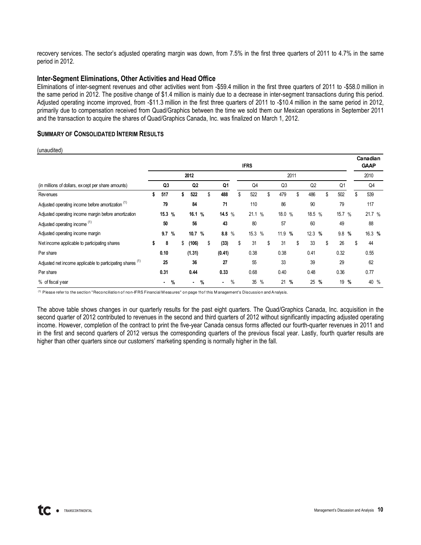recovery services. The sector's adjusted operating margin was down, from 7.5% in the first three quarters of 2011 to 4.7% in the same period in 2012.

### Inter-Segment Eliminations, Other Activities and Head Office

Eliminations of inter-segment revenues and other activities went from -\$59.4 million in the first three quarters of 2011 to -\$58.0 million in the same period in 2012. The positive change of \$1.4 million is mainly due to a decrease in inter-segment transactions during this period. Adjusted operating income improved, from -\$11.3 million in the first three quarters of 2011 to -\$10.4 million in the same period in 2012, primarily due to compensation received from Quad/Graphics between the time we sold them our Mexican operations in September 2011 and the transaction to acquire the shares of Quad/Graphics Canada, Inc. was finalized on March 1, 2012.

### SUMMARY OF CONSOLIDATED INTERIM RESULTS

(unaudited)

|                                                                       |           |   |                |   |            |               | <b>IFRS</b> |    |                |      |           |        |        |      | Canadian<br><b>GAAP</b> |  |
|-----------------------------------------------------------------------|-----------|---|----------------|---|------------|---------------|-------------|----|----------------|------|-----------|--------|--------|------|-------------------------|--|
|                                                                       |           |   | 2012           |   |            |               |             |    |                | 2011 |           |        |        |      | 2010                    |  |
| (in millions of dollars, except per share amounts)                    | Q3        |   | Q <sub>2</sub> |   | Q1         |               | Q4          |    | Q <sub>3</sub> |      | Q2        |        | Q1     |      | Q4                      |  |
| Rev enues                                                             | \$<br>517 |   | \$<br>522      |   | \$<br>488  |               | \$<br>522   | \$ | 479            |      | \$<br>486 | \$     | 502    |      | \$<br>539               |  |
| Adjusted operating income before amortization <sup>(1)</sup>          | 79        |   | 84             |   | 71         |               | 110         |    | 86             |      | 90        |        | 79     |      | 117                     |  |
| Adjusted operating income margin before amortization                  | 15.3 %    |   | 16.1 %         |   | 14.5 $%$   |               | 21.1 %      |    | 18.0 $%$       |      |           | 18.5 % | 15.7 % |      | 21.7 %                  |  |
| Adjusted operating income <sup>(1)</sup>                              | 50        |   | 56             |   | 43         |               | 80          |    | 57             |      | 60        |        | 49     |      | 88                      |  |
| Adjusted operating income margin                                      | 9.7       | % | 10.7 %         |   | 8.8        | $\frac{0}{0}$ | 15.3 %      |    | 11.9 %         |      |           | 12.3 % | 9.8%   |      | 16.3 %                  |  |
| Net income applicable to participating shares                         | \$<br>8   |   | \$<br>(106)    |   | \$<br>(33) |               | \$<br>31    | \$ | 31             |      | \$<br>33  | \$     | 26     |      | \$<br>44                |  |
| Per share                                                             | 0.10      |   | (1.31)         |   | (0.41)     |               | 0.38        |    | 0.38           |      | 0.41      |        | 0.32   |      | 0.55                    |  |
| Adjusted net income applicable to participating shares <sup>(1)</sup> | 25        |   | 36             |   | 27         |               | 55          |    | 33             |      | 39        |        | 29     |      | 62                      |  |
| Per share                                                             | 0.31      |   | 0.44           |   | 0.33       |               | 0.68        |    | 0.40           |      | 0.48      |        | 0.36   |      | 0.77                    |  |
| % of fiscal year                                                      |           | % |                | % | ٠          | %             | 35 %        |    | 21 %           |      |           | 25 %   |        | 19 % | 40 %                    |  |

(1) Please refer to the section "Reconciliation of non-IFRS Financial M easures" on page 11 of this M anagement's Discussion and Analysis.

The above table shows changes in our quarterly results for the past eight quarters. The Quad/Graphics Canada, Inc. acquisition in the second quarter of 2012 contributed to revenues in the second and third quarters of 2012 without significantly impacting adjusted operating income. However, completion of the contract to print the five-year Canada census forms affected our fourth-quarter revenues in 2011 and in the first and second quarters of 2012 versus the corresponding quarters of the previous fiscal year. Lastly, fourth quarter results are higher than other quarters since our customers' marketing spending is normally higher in the fall.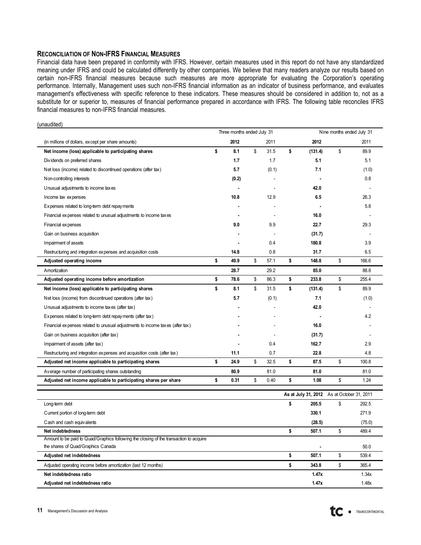### RECONCILIATION OF NON-IFRS FINANCIAL MEASURES

 $(unإ $i$$ 

Financial data have been prepared in conformity with IFRS. However, certain measures used in this report do not have any standardized meaning under IFRS and could be calculated differently by other companies. We believe that many readers analyze our results based on certain non-IFRS financial measures because such measures are more appropriate for evaluating the Corporation's operating performance. Internally, Management uses such non-IFRS financial information as an indicator of business performance, and evaluates management's effectiveness with specific reference to these indicators. These measures should be considered in addition to, not as a substitute for or superior to, measures of financial performance prepared in accordance with IFRS. The following table reconciles IFRS financial measures to non-IFRS financial measures.

|                                                                               | Three months ended July 31 |            | Nine months ended July 31 |                        |        |  |
|-------------------------------------------------------------------------------|----------------------------|------------|---------------------------|------------------------|--------|--|
| (in millions of dollars, except per share amounts)                            | 2012                       | 2011       | 2012                      |                        | 2011   |  |
| Net income (loss) applicable to participating shares                          | \$<br>8.1                  | \$<br>31.5 | \$<br>(131.4)             | \$                     | 89.9   |  |
| Dividends on preferred shares                                                 | 1.7                        | 1.7        | 5.1                       |                        | 5.1    |  |
| Net loss (income) related to discontinued operations (after tax)              | 5.7                        | (0.1)      | 7.1                       |                        | (1.0)  |  |
| Non-controlling interests                                                     | (0.2)                      |            |                           |                        | 0.8    |  |
| Unusual adjustments to income taxes                                           |                            |            | 42.0                      |                        |        |  |
| Income tax expenses                                                           | 10.8                       | 12.9       | 6.5                       |                        | 26.3   |  |
| Expenses related to long-term debt repayments                                 |                            |            |                           |                        | 5.8    |  |
| Financial expenses related to unusual adjustments to income taxes             |                            |            | 16.0                      |                        |        |  |
| Financial expenses                                                            | 9.0                        | 9.9        | 22.7                      |                        | 29.3   |  |
| Gain on business acquisition                                                  |                            |            | (31.7)                    |                        |        |  |
| Impairment of assets                                                          |                            | 0.4        | 180.8                     |                        | 3.9    |  |
| Restructuring and integration expenses and acquisition costs                  | 14.8                       | 0.8        | 31.7                      |                        | 6.5    |  |
| Adjusted operating income                                                     | \$<br>49.9                 | \$<br>57.1 | \$<br>148.8               | \$                     | 166.6  |  |
| Amortization                                                                  | 28.7                       | 29.2       | 85.0                      |                        | 88.8   |  |
| Adjusted operating income before amortization                                 | \$<br>78.6                 | \$<br>86.3 | \$<br>233.8               | \$                     | 255.4  |  |
| Net income (loss) applicable to participating shares                          | \$<br>8.1                  | \$<br>31.5 | \$<br>(131.4)             | \$                     | 89.9   |  |
| Net loss (income) from discontinued operations (after tax)                    | 5.7                        | (0.1)      | 7.1                       |                        | (1.0)  |  |
| Unusual adjustments to income taxes (after tax)                               |                            |            | 42.0                      |                        |        |  |
| Expenses related to long-term debt repayments (after tax)                     |                            |            |                           |                        | 4.2    |  |
| Financial expenses related to unusual adjustments to income taxes (after tax) |                            |            | 16.0                      |                        |        |  |
| Gain on business acquisition (after tax)                                      |                            |            | (31.7)                    |                        |        |  |
| Impairment of assets (after tax)                                              |                            | 0.4        | 162.7                     |                        | 2.9    |  |
| Restructuring and integration expenses and acquisition costs (after tax)      | 11.1                       | 0.7        | 22.8                      |                        | 4.8    |  |
| Adjusted net income applicable to participating shares                        | \$<br>24.9                 | \$<br>32.5 | \$<br>87.5                | \$                     | 100.8  |  |
| Average number of participating shares outstanding                            | 80.9                       | 81.0       | 81.0                      |                        | 81.0   |  |
| Adjusted net income applicable to participating shares per share              | \$<br>0.31                 | \$<br>0.40 | \$<br>1.08                | \$                     | 1.24   |  |
|                                                                               |                            |            | As at July 31, 2012       | As at October 31, 2011 |        |  |
| Long-term debt                                                                |                            |            | \$<br>205.5               | \$                     | 292.5  |  |
| Current portion of long-term debt                                             |                            |            | 330.1                     |                        | 271.9  |  |
| Cash and cash equivalents                                                     |                            |            | (28.5)                    |                        | (75.0) |  |
| Net indebtedness                                                              |                            |            | \$<br>507.1               | \$                     | 489.4  |  |

| <b>Net indebtedness</b>                                                                | 50/11 | 489.4 |
|----------------------------------------------------------------------------------------|-------|-------|
| Amount to be paid to Quad/Graphics following the closing of the transaction to acquire |       |       |
| the shares of Quad/Graphics Canada                                                     |       | 50.0  |
| Adjusted net indebtedness                                                              | 507.1 | 539.4 |
| Adjusted operating income before amortization (last 12 months)                         | 343.8 | 365.4 |
| Net indebtedness ratio                                                                 | 1.47x | 1.34x |
| Adjusted net indebtedness ratio                                                        | 1.47x | l.48x |

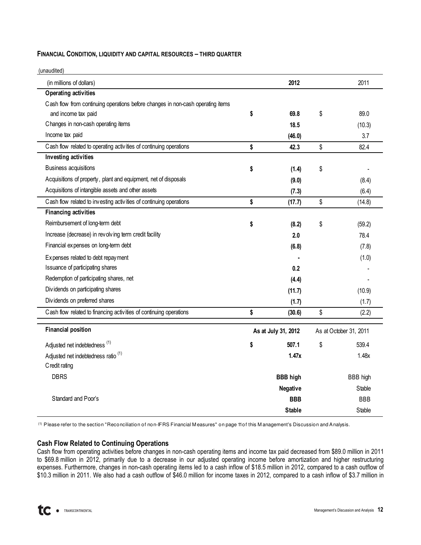### FINANCIAL CONDITION, LIQUIDITY AND CAPITAL RESOURCES – THIRD QUARTER

| (unaudited)                                                                     |                     |                        |
|---------------------------------------------------------------------------------|---------------------|------------------------|
| (in millions of dollars)                                                        | 2012                | 2011                   |
| <b>Operating activities</b>                                                     |                     |                        |
| Cash flow from continuing operations before changes in non-cash operating items |                     |                        |
| and income tax paid                                                             | \$<br>69.8          | \$<br>89.0             |
| Changes in non-cash operating items                                             | 18.5                | (10.3)                 |
| Income tax paid                                                                 | (46.0)              | 3.7                    |
| Cash flow related to operating activities of continuing operations              | \$<br>42.3          | \$<br>82.4             |
| Investing activities                                                            |                     |                        |
| <b>Business acquisitions</b>                                                    | \$<br>(1.4)         | \$                     |
| Acquisitions of property, plant and equipment, net of disposals                 | (9.0)               | (8.4)                  |
| Acquisitions of intangible assets and other assets                              | (7.3)               | (6.4)                  |
| Cash flow related to investing activities of continuing operations              | \$<br>(17.7)        | \$<br>(14.8)           |
| <b>Financing activities</b>                                                     |                     |                        |
| Reimbursement of long-term debt                                                 | \$<br>(8.2)         | \$<br>(59.2)           |
| Increase (decrease) in revolving term credit facility                           | 2.0                 | 78.4                   |
| Financial expenses on long-term debt                                            | (6.8)               | (7.8)                  |
| Expenses related to debt repayment                                              |                     | (1.0)                  |
| Issuance of participating shares                                                | 0.2                 |                        |
| Redemption of participating shares, net                                         | (4.4)               |                        |
| Dividends on participating shares                                               | (11.7)              | (10.9)                 |
| Dividends on preferred shares                                                   | (1.7)               | (1.7)                  |
| Cash flow related to financing activities of continuing operations              | \$<br>(30.6)        | \$<br>(2.2)            |
| <b>Financial position</b>                                                       | As at July 31, 2012 | As at October 31, 2011 |
| Adjusted net indebtedness <sup>(1)</sup>                                        | \$<br>507.1         | \$<br>539.4            |
| Adjusted net indebtedness ratio <sup>(1)</sup>                                  | 1.47x               | 1.48x                  |
| C redit rating                                                                  |                     |                        |
| <b>DBRS</b>                                                                     | <b>BBB high</b>     | <b>BBB</b> high        |
|                                                                                 | Negative            | Stable                 |
| Standard and Poor's                                                             | <b>BBB</b>          | <b>BBB</b>             |
|                                                                                 | <b>Stable</b>       | Stable                 |

(1) Please refer to the section "Reconciliation of non-IFRS Financial M easures" on page 11 of this M anagement's Discussion and Analysis.

### Cash Flow Related to Continuing Operations

Cash flow from operating activities before changes in non-cash operating items and income tax paid decreased from \$89.0 million in 2011 to \$69.8 million in 2012, primarily due to a decrease in our adjusted operating income before amortization and higher restructuring expenses. Furthermore, changes in non-cash operating items led to a cash inflow of \$18.5 million in 2012, compared to a cash outflow of \$10.3 million in 2011. We also had a cash outflow of \$46.0 million for income taxes in 2012, compared to a cash inflow of \$3.7 million in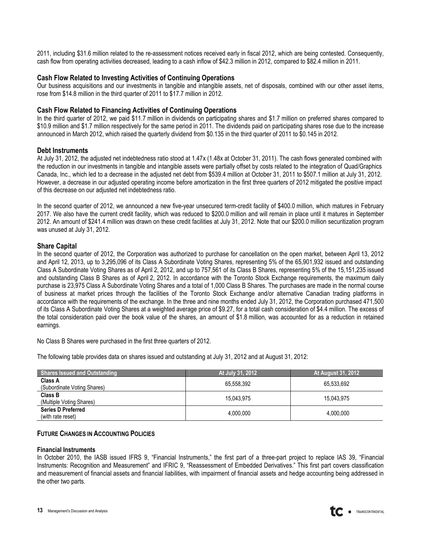2011, including \$31.6 million related to the re-assessment notices received early in fiscal 2012, which are being contested. Consequently, cash flow from operating activities decreased, leading to a cash inflow of \$42.3 million in 2012, compared to \$82.4 million in 2011.

### Cash Flow Related to Investing Activities of Continuing Operations

Our business acquisitions and our investments in tangible and intangible assets, net of disposals, combined with our other asset items, rose from \$14.8 million in the third quarter of 2011 to \$17.7 million in 2012.

### Cash Flow Related to Financing Activities of Continuing Operations

In the third quarter of 2012, we paid \$11.7 million in dividends on participating shares and \$1.7 million on preferred shares compared to \$10.9 million and \$1.7 million respectively for the same period in 2011. The dividends paid on participating shares rose due to the increase announced in March 2012, which raised the quarterly dividend from \$0.135 in the third quarter of 2011 to \$0.145 in 2012.

### Debt Instruments

At July 31, 2012, the adjusted net indebtedness ratio stood at 1.47x (1.48x at October 31, 2011). The cash flows generated combined with the reduction in our investments in tangible and intangible assets were partially offset by costs related to the integration of Quad/Graphics Canada, Inc., which led to a decrease in the adjusted net debt from \$539.4 million at October 31, 2011 to \$507.1 million at July 31, 2012. However, a decrease in our adjusted operating income before amortization in the first three quarters of 2012 mitigated the positive impact of this decrease on our adjusted net indebtedness ratio.

In the second quarter of 2012, we announced a new five-year unsecured term-credit facility of \$400.0 million, which matures in February 2017. We also have the current credit facility, which was reduced to \$200.0 million and will remain in place until it matures in September 2012. An amount of \$241.4 million was drawn on these credit facilities at July 31, 2012. Note that our \$200.0 million securitization program was unused at July 31, 2012.

### Share Capital

In the second quarter of 2012, the Corporation was authorized to purchase for cancellation on the open market, between April 13, 2012 and April 12, 2013, up to 3,295,096 of its Class A Subordinate Voting Shares, representing 5% of the 65,901,932 issued and outstanding Class A Subordinate Voting Shares as of April 2, 2012, and up to 757,561 of its Class B Shares, representing 5% of the 15,151,235 issued and outstanding Class B Shares as of April 2, 2012. In accordance with the Toronto Stock Exchange requirements, the maximum daily purchase is 23,975 Class A Subordinate Voting Shares and a total of 1,000 Class B Shares. The purchases are made in the normal course of business at market prices through the facilities of the Toronto Stock Exchange and/or alternative Canadian trading platforms in accordance with the requirements of the exchange. In the three and nine months ended July 31, 2012, the Corporation purchased 471,500 of its Class A Subordinate Voting Shares at a weighted average price of \$9.27, for a total cash consideration of \$4.4 million. The excess of the total consideration paid over the book value of the shares, an amount of \$1.8 million, was accounted for as a reduction in retained earnings.

No Class B Shares were purchased in the first three quarters of 2012.

The following table provides data on shares issued and outstanding at July 31, 2012 and at August 31, 2012:

| <b>Shares Issued and Outstanding</b>           | At July 31, 2012 | At August 31, 2012 <sup> </sup> |
|------------------------------------------------|------------------|---------------------------------|
| Class A<br>(Subordinate Voting Shares)         | 65.558.392       | 65.533.692                      |
| <b>Class B</b><br>(Multiple Voting Shares)     | 15.043.975       | 15.043.975                      |
| <b>Series D Preferred</b><br>(with rate reset) | 4,000,000        | 4,000,000                       |

### FUTURE CHANGES IN ACCOUNTING POLICIES

#### Financial Instruments

In October 2010, the IASB issued IFRS 9, "Financial Instruments," the first part of a three-part project to replace IAS 39, "Financial Instruments: Recognition and Measurement" and IFRIC 9, "Reassessment of Embedded Derivatives." This first part covers classification and measurement of financial assets and financial liabilities, with impairment of financial assets and hedge accounting being addressed in the other two parts.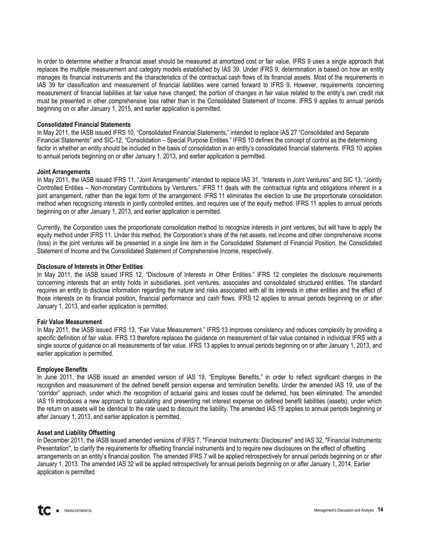In order to determine whether a financial asset should be measured at amortized cost or fair value, IFRS 9 uses a single approach that replaces the multiple measurement and category models established by IAS 39. Under IFRS 9, determination is based on how an entity manages its financial instruments and the characteristics of the contractual cash flows of its financial assets. Most of the requirements in IAS 39 for classification and measurement of financial liabilities were carried forward to IFRS 9. However, requirements concerning measurement of financial liabilities at fair value have changed; the portion of changes in fair value related to the entity's own credit risk must be presented in other comprehensive loss rather than in the Consolidated Statement of Income. IFRS 9 applies to annual periods beginning on or after January 1, 2015, and earlier application is permitted.

### Consolidated Financial Statements

In May 2011, the IASB issued IFRS 10, "Consolidated Financial Statements," intended to replace IAS 27 "Consolidated and Separate Financial Statements" and SIC-12, "Consolidation – Special Purpose Entities." IFRS 10 defines the concept of control as the determining factor in whether an entity should be included in the basis of consolidation in an entity's consolidated financial statements. IFRS 10 applies to annual periods beginning on or after January 1, 2013, and earlier application is permitted.

### Joint Arrangements

In May 2011, the IASB issued IFRS 11, "Joint Arrangements" intended to replace IAS 31, "Interests in Joint Ventures" and SIC 13, "Jointly Controlled Entities – Non-monetary Contributions by Venturers." IFRS 11 deals with the contractual rights and obligations inherent in a joint arrangement, rather than the legal form of the arrangement. IFRS 11 eliminates the election to use the proportionate consolidation method when recognizing interests in jointly controlled entities, and requires use of the equity method. IFRS 11 applies to annual periods beginning on or after January 1, 2013, and earlier application is permitted.

Currently, the Corporation uses the proportionate consolidation method to recognize interests in joint ventures, but will have to apply the equity method under IFRS 11. Under this method, the Corporation's share of the net assets, net income and other comprehensive income (loss) in the joint ventures will be presented in a single line item in the Consolidated Statement of Financial Position, the Consolidated Statement of Income and the Consolidated Statement of Comprehensive Income, respectively.

### Disclosure of Interests in Other Entities

In May 2011, the IASB issued IFRS 12, "Disclosure of Interests in Other Entities." IFRS 12 completes the disclosure requirements concerning interests that an entity holds in subsidiaries, joint ventures, associates and consolidated structured entities. The standard requires an entity to disclose information regarding the nature and risks associated with all its interests in other entities and the effect of those interests on its financial position, financial performance and cash flows. IFRS 12 applies to annual periods beginning on or after January 1, 2013, and earlier application is permitted.

### Fair Value Measurement

In May 2011, the IASB issued IFRS 13, "Fair Value Measurement." IFRS 13 improves consistency and reduces complexity by providing a specific definition of fair value. IFRS 13 therefore replaces the guidance on measurement of fair value contained in individual IFRS with a single source of guidance on all measurements of fair value. IFRS 13 applies to annual periods beginning on or after January 1, 2013, and earlier application is permitted.

### Employee Benefits

In June 2011, the IASB issued an amended version of IAS 19, "Employee Benefits," in order to reflect significant changes in the recognition and measurement of the defined benefit pension expense and termination benefits. Under the amended IAS 19, use of the "corridor" approach, under which the recognition of actuarial gains and losses could be deferred, has been eliminated. The amended IAS 19 introduces a new approach to calculating and presenting net interest expense on defined benefit liabilities (assets), under which the return on assets will be identical to the rate used to discount the liability. The amended IAS 19 applies to annual periods beginning or after January 1, 2013, and earlier application is permitted.

### Asset and Liability Offsetting

In December 2011, the IASB issued amended versions of IFRS 7, "Financial Instruments: Disclosures" and IAS 32, "Financial Instruments: Presentation", to clarify the requirements for offsetting financial instruments and to require new disclosures on the effect of offsetting arrangements on an entity's financial position. The amended IFRS 7 will be applied retrospectively for annual periods beginning on or after January 1, 2013. The amended IAS 32 will be applied retrospectively for annual periods beginning on or after January 1, 2014. Earlier application is permitted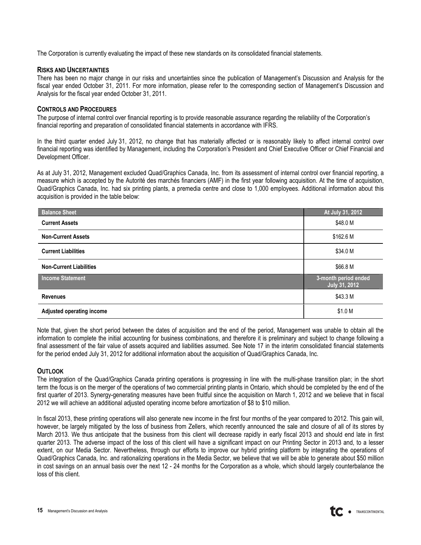The Corporation is currently evaluating the impact of these new standards on its consolidated financial statements.

### RISKS AND UNCERTAINTIES

There has been no major change in our risks and uncertainties since the publication of Management's Discussion and Analysis for the fiscal year ended October 31, 2011. For more information, please refer to the corresponding section of Management's Discussion and Analysis for the fiscal year ended October 31, 2011.

### CONTROLS AND PROCEDURES

The purpose of internal control over financial reporting is to provide reasonable assurance regarding the reliability of the Corporation's financial reporting and preparation of consolidated financial statements in accordance with IFRS.

In the third quarter ended July 31, 2012, no change that has materially affected or is reasonably likely to affect internal control over financial reporting was identified by Management, including the Corporation's President and Chief Executive Officer or Chief Financial and Development Officer.

As at July 31, 2012, Management excluded Quad/Graphics Canada, Inc. from its assessment of internal control over financial reporting, a measure which is accepted by the Autorité des marchés financiers (AMF) in the first year following acquisition. At the time of acquisition, Quad/Graphics Canada, Inc. had six printing plants, a premedia centre and close to 1,000 employees. Additional information about this acquisition is provided in the table below:

| <b>Balance Sheet</b>           | At July 31, 2012                             |
|--------------------------------|----------------------------------------------|
| <b>Current Assets</b>          | \$48.0 M                                     |
| <b>Non-Current Assets</b>      | \$162.6 M                                    |
| <b>Current Liabilities</b>     | \$34.0 M                                     |
| <b>Non-Current Liabilities</b> | \$66.8 M                                     |
| <b>Income Statement</b>        | 3-month period ended<br><b>July 31, 2012</b> |
| <b>Revenues</b>                | \$43.3 M                                     |
| Adjusted operating income      | \$1.0 M                                      |

Note that, given the short period between the dates of acquisition and the end of the period, Management was unable to obtain all the information to complete the initial accounting for business combinations, and therefore it is preliminary and subject to change following a final assessment of the fair value of assets acquired and liabilities assumed. See Note 17 in the interim consolidated financial statements for the period ended July 31, 2012 for additional information about the acquisition of Quad/Graphics Canada, Inc.

### **OUTLOOK**

The integration of the Quad/Graphics Canada printing operations is progressing in line with the multi-phase transition plan; in the short term the focus is on the merger of the operations of two commercial printing plants in Ontario, which should be completed by the end of the first quarter of 2013. Synergy-generating measures have been fruitful since the acquisition on March 1, 2012 and we believe that in fiscal 2012 we will achieve an additional adjusted operating income before amortization of \$8 to \$10 million.

In fiscal 2013, these printing operations will also generate new income in the first four months of the year compared to 2012. This gain will, however, be largely mitigated by the loss of business from Zellers, which recently announced the sale and closure of all of its stores by March 2013. We thus anticipate that the business from this client will decrease rapidly in early fiscal 2013 and should end late in first quarter 2013. The adverse impact of the loss of this client will have a significant impact on our Printing Sector in 2013 and, to a lesser extent, on our Media Sector. Nevertheless, through our efforts to improve our hybrid printing platform by integrating the operations of Quad/Graphics Canada, Inc. and rationalizing operations in the Media Sector, we believe that we will be able to generate about \$50 million in cost savings on an annual basis over the next 12 - 24 months for the Corporation as a whole, which should largely counterbalance the loss of this client.

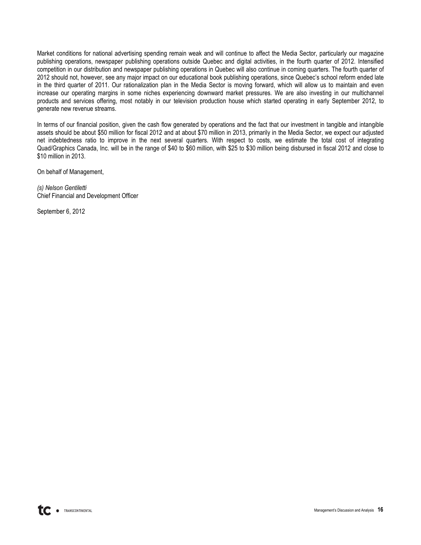Market conditions for national advertising spending remain weak and will continue to affect the Media Sector, particularly our magazine publishing operations, newspaper publishing operations outside Quebec and digital activities, in the fourth quarter of 2012. Intensified competition in our distribution and newspaper publishing operations in Quebec will also continue in coming quarters. The fourth quarter of 2012 should not, however, see any major impact on our educational book publishing operations, since Quebec's school reform ended late in the third quarter of 2011. Our rationalization plan in the Media Sector is moving forward, which will allow us to maintain and even increase our operating margins in some niches experiencing downward market pressures. We are also investing in our multichannel products and services offering, most notably in our television production house which started operating in early September 2012, to generate new revenue streams.

In terms of our financial position, given the cash flow generated by operations and the fact that our investment in tangible and intangible assets should be about \$50 million for fiscal 2012 and at about \$70 million in 2013, primarily in the Media Sector, we expect our adjusted net indebtedness ratio to improve in the next several quarters. With respect to costs, we estimate the total cost of integrating Quad/Graphics Canada, Inc. will be in the range of \$40 to \$60 million, with \$25 to \$30 million being disbursed in fiscal 2012 and close to \$10 million in 2013.

On behalf of Management,

(s) Nelson Gentiletti Chief Financial and Development Officer

September 6, 2012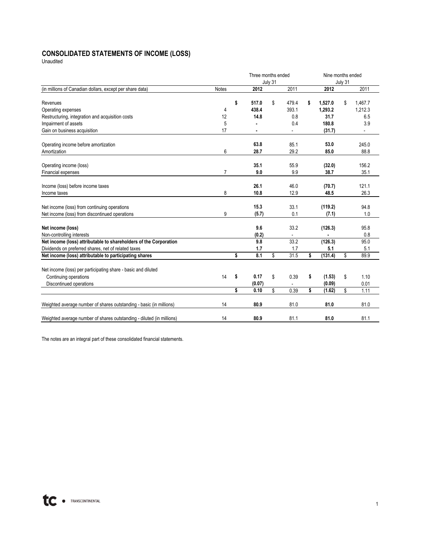# **CONSOLIDATED STATEMENTS OF INCOME (LOSS)**

Unaudited

|                                                                       |                | Three months ended |         |                |    | Nine months ended |         |                          |  |  |  |
|-----------------------------------------------------------------------|----------------|--------------------|---------|----------------|----|-------------------|---------|--------------------------|--|--|--|
|                                                                       |                |                    | July 31 |                |    |                   | July 31 |                          |  |  |  |
| (in millions of Canadian dollars, except per share data)              | <b>Notes</b>   | 2012               |         | 2011           |    | 2012              |         | 2011                     |  |  |  |
| Revenues                                                              |                | \$<br>517.0        | \$      | 479.4          | \$ | 1,527.0           | \$      | 1,467.7                  |  |  |  |
| Operating expenses                                                    | 4              | 438.4              |         | 393.1          |    | 1,293.2           |         | 1,212.3                  |  |  |  |
| Restructuring, integration and acquisition costs                      | 12             | 14.8               |         | 0.8            |    | 31.7              |         | 6.5                      |  |  |  |
| Impairment of assets                                                  | 5              |                    |         | 0.4            |    | 180.8             |         | 3.9                      |  |  |  |
| Gain on business acquisition                                          | 17             |                    |         | $\blacksquare$ |    | (31.7)            |         | $\overline{\phantom{a}}$ |  |  |  |
| Operating income before amortization                                  |                | 63.8               |         | 85.1           |    | 53.0              |         | 245.0                    |  |  |  |
| Amortization                                                          | 6              | 28.7               |         | 29.2           |    | 85.0              |         | 88.8                     |  |  |  |
|                                                                       |                |                    |         |                |    |                   |         |                          |  |  |  |
| Operating income (loss)                                               |                | 35.1               |         | 55.9           |    | (32.0)            |         | 156.2                    |  |  |  |
| Financial expenses                                                    | $\overline{7}$ | 9.0                |         | 9.9            |    | 38.7              |         | 35.1                     |  |  |  |
| Income (loss) before income taxes                                     |                | 26.1               |         | 46.0           |    | (70.7)            |         | 121.1                    |  |  |  |
| Income taxes                                                          | 8              | 10.8               |         | 12.9           |    | 48.5              |         | 26.3                     |  |  |  |
|                                                                       |                |                    |         |                |    |                   |         |                          |  |  |  |
| Net income (loss) from continuing operations                          |                | 15.3               |         | 33.1           |    | (119.2)           |         | 94.8                     |  |  |  |
| Net income (loss) from discontinued operations                        | 9              | (5.7)              |         | 0.1            |    | (7.1)             |         | 1.0                      |  |  |  |
|                                                                       |                |                    |         |                |    |                   |         |                          |  |  |  |
| Net income (loss)                                                     |                | 9.6                |         | 33.2           |    | (126.3)           |         | 95.8                     |  |  |  |
| Non-controlling interests                                             |                | (0.2)              |         | $\blacksquare$ |    |                   |         | 0.8                      |  |  |  |
| Net income (loss) attributable to shareholders of the Corporation     |                | 9.8                |         | 33.2           |    | (126.3)           |         | 95.0                     |  |  |  |
| Dividends on preferred shares, net of related taxes                   |                | 1.7                |         | 1.7            |    | 5.1               |         | 5.1                      |  |  |  |
| Net income (loss) attributable to participating shares                |                | \$<br>8.1          | \$      | 31.5           | \$ | (131.4)           | \$      | 89.9                     |  |  |  |
| Net income (loss) per participating share - basic and diluted         |                |                    |         |                |    |                   |         |                          |  |  |  |
| Continuing operations                                                 | 14             | \$<br>0.17         | \$      | 0.39           | \$ | (1.53)            | \$      | 1.10                     |  |  |  |
| Discontinued operations                                               |                | (0.07)             |         |                |    | (0.09)            |         | 0.01                     |  |  |  |
|                                                                       |                | \$<br>0.10         | \$      | 0.39           | \$ | (1.62)            | \$      | 1.11                     |  |  |  |
| Weighted average number of shares outstanding - basic (in millions)   | 14             | 80.9               |         | 81.0           |    | 81.0              |         | 81.0                     |  |  |  |
|                                                                       |                |                    |         |                |    |                   |         |                          |  |  |  |
| Weighted average number of shares outstanding - diluted (in millions) | 14             | 80.9               |         | 81.1           |    | 81.0              |         | 81.1                     |  |  |  |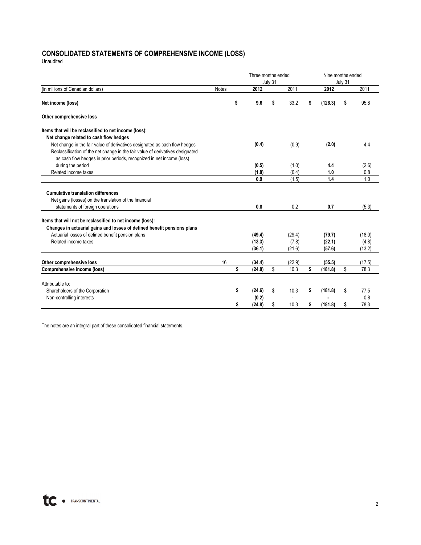# **CONSOLIDATED STATEMENTS OF COMPREHENSIVE INCOME (LOSS)**

Unaudited

|                                                                                |              | Three months ended |        |         |        |    | Nine months ended |    |        |  |  |  |  |
|--------------------------------------------------------------------------------|--------------|--------------------|--------|---------|--------|----|-------------------|----|--------|--|--|--|--|
|                                                                                |              |                    |        | July 31 |        |    | July 31           |    |        |  |  |  |  |
| (in millions of Canadian dollars)                                              | <b>Notes</b> |                    | 2012   |         | 2011   |    | 2012              |    | 2011   |  |  |  |  |
| Net income (loss)                                                              |              | \$                 | 9.6    | \$      | 33.2   | S  | (126.3)           | \$ | 95.8   |  |  |  |  |
| Other comprehensive loss                                                       |              |                    |        |         |        |    |                   |    |        |  |  |  |  |
| Items that will be reclassified to net income (loss):                          |              |                    |        |         |        |    |                   |    |        |  |  |  |  |
| Net change related to cash flow hedges                                         |              |                    |        |         |        |    |                   |    |        |  |  |  |  |
| Net change in the fair value of derivatives designated as cash flow hedges     |              |                    | (0.4)  |         | (0.9)  |    | (2.0)             |    | 4.4    |  |  |  |  |
| Reclassification of the net change in the fair value of derivatives designated |              |                    |        |         |        |    |                   |    |        |  |  |  |  |
| as cash flow hedges in prior periods, recognized in net income (loss)          |              |                    |        |         |        |    |                   |    |        |  |  |  |  |
| during the period                                                              |              |                    | (0.5)  |         | (1.0)  |    | 4.4               |    | (2.6)  |  |  |  |  |
| Related income taxes                                                           |              |                    | (1.8)  |         | (0.4)  |    | 1.0               |    | 0.8    |  |  |  |  |
|                                                                                |              |                    | 0.9    |         | (1.5)  |    | 1.4               |    | 1.0    |  |  |  |  |
|                                                                                |              |                    |        |         |        |    |                   |    |        |  |  |  |  |
| <b>Cumulative translation differences</b>                                      |              |                    |        |         |        |    |                   |    |        |  |  |  |  |
| Net gains (losses) on the translation of the financial                         |              |                    |        |         |        |    |                   |    |        |  |  |  |  |
| statements of foreign operations                                               |              |                    | 0.8    |         | 0.2    |    | 0.7               |    | (5.3)  |  |  |  |  |
| Items that will not be reclassified to net income (loss):                      |              |                    |        |         |        |    |                   |    |        |  |  |  |  |
| Changes in actuarial gains and losses of defined benefit pensions plans        |              |                    |        |         |        |    |                   |    |        |  |  |  |  |
| Actuarial losses of defined benefit pension plans                              |              |                    | (49.4) |         | (29.4) |    | (79.7)            |    | (18.0) |  |  |  |  |
| Related income taxes                                                           |              |                    | (13.3) |         | (7.8)  |    | (22.1)            |    | (4.8)  |  |  |  |  |
|                                                                                |              |                    | (36.1) |         | (21.6) |    | (57.6)            |    | (13.2) |  |  |  |  |
|                                                                                |              |                    |        |         |        |    |                   |    |        |  |  |  |  |
| Other comprehensive loss                                                       | 16           |                    | (34.4) |         | (22.9) |    | (55.5)            |    | (17.5) |  |  |  |  |
| Comprehensive income (loss)                                                    |              | \$                 | (24.8) | \$      | 10.3   | \$ | (181.8)           | \$ | 78.3   |  |  |  |  |
|                                                                                |              |                    |        |         |        |    |                   |    |        |  |  |  |  |
| Attributable to:                                                               |              |                    |        |         |        |    |                   |    |        |  |  |  |  |
| Shareholders of the Corporation                                                |              | \$                 | (24.6) | \$      | 10.3   | s  | (181.8)           | S  | 77.5   |  |  |  |  |
| Non-controlling interests                                                      |              |                    | (0.2)  |         |        |    |                   |    | 0.8    |  |  |  |  |
|                                                                                |              | \$                 | (24.8) | \$      | 10.3   | \$ | (181.8)           | \$ | 78.3   |  |  |  |  |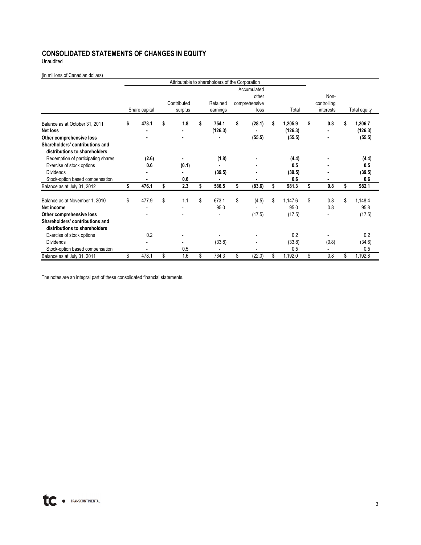### **CONSOLIDATED STATEMENTS OF CHANGES IN EQUITY**

Unaudited

(in millions of Canadian dollars)

|                                                                  |               |                          |    | Attributable to shareholders of the Corporation |                                       |    |              |    |                     |               |
|------------------------------------------------------------------|---------------|--------------------------|----|-------------------------------------------------|---------------------------------------|----|--------------|----|---------------------|---------------|
|                                                                  |               | Contributed              |    | Retained                                        | Accumulated<br>other<br>comprehensive |    | Total        |    | Non-<br>controlling |               |
|                                                                  | Share capital | surplus                  |    | earnings                                        | loss                                  |    |              |    | interests           | Total equity  |
| Balance as at October 31, 2011                                   | \$<br>478.1   | \$<br>1.8                | S  | 754.1                                           | \$<br>(28.1)                          | ς  | 1,205.9      | s  | 0.8                 | 1,206.7       |
| <b>Net loss</b>                                                  |               | ۰                        |    | (126.3)                                         |                                       |    | (126.3)      |    |                     | (126.3)       |
| Other comprehensive loss                                         |               |                          |    |                                                 | (55.5)                                |    | (55.5)       |    | ٠                   | (55.5)        |
| Shareholders' contributions and                                  |               |                          |    |                                                 |                                       |    |              |    |                     |               |
| distributions to shareholders                                    |               |                          |    |                                                 |                                       |    |              |    |                     |               |
| Redemption of participating shares                               | (2.6)<br>0.6  | (0.1)                    |    | (1.8)                                           |                                       |    | (4.4)<br>0.5 |    |                     | (4.4)<br>0.5  |
| Exercise of stock options<br><b>Dividends</b>                    |               |                          |    | (39.5)                                          |                                       |    | (39.5)       |    |                     | (39.5)        |
| Stock-option based compensation                                  |               | 0.6                      |    | $\blacksquare$                                  |                                       |    | 0.6          |    |                     | 0.6           |
| Balance as at July 31, 2012                                      | \$<br>476.1   | \$<br>2.3                | \$ | 586.5                                           | \$<br>(83.6)                          | \$ | 981.3        | \$ | 0.8                 | \$<br>982.1   |
|                                                                  |               |                          |    |                                                 |                                       |    |              |    |                     |               |
| Balance as at November 1, 2010                                   | \$<br>477.9   | \$<br>1.1                | \$ | 673.1                                           | \$<br>(4.5)                           | \$ | 1,147.6      | \$ | 0.8                 | \$<br>1,148.4 |
| Net income                                                       |               | $\overline{\phantom{a}}$ |    | 95.0                                            |                                       |    | 95.0         |    | 0.8                 | 95.8          |
| Other comprehensive loss                                         |               |                          |    |                                                 | (17.5)                                |    | (17.5)       |    |                     | (17.5)        |
| Shareholders' contributions and<br>distributions to shareholders |               |                          |    |                                                 |                                       |    |              |    |                     |               |
| Exercise of stock options                                        | 0.2           |                          |    |                                                 |                                       |    | 0.2          |    |                     | 0.2           |
| <b>Dividends</b>                                                 |               |                          |    | (33.8)                                          |                                       |    | (33.8)       |    | (0.8)               | (34.6)        |
| Stock-option based compensation                                  |               | 0.5                      |    |                                                 |                                       |    | 0.5          |    |                     | 0.5           |
| Balance as at July 31, 2011                                      | \$<br>478.1   | \$<br>1.6                | \$ | 734.3                                           | \$<br>(22.0)                          | \$ | 1,192.0      | \$ | 0.8                 | \$<br>1,192.8 |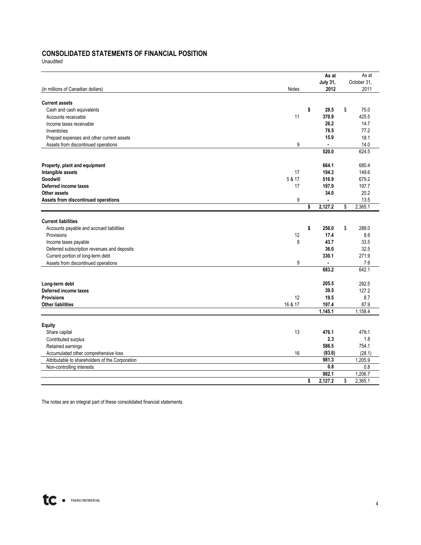### **CONSOLIDATED STATEMENTS OF FINANCIAL POSITION**

Unaudited

|                                                 |         | As at           | As at         |
|-------------------------------------------------|---------|-----------------|---------------|
|                                                 |         | <b>July 31,</b> | October 31.   |
| (in millions of Canadian dollars)               | Notes   | 2012            | 2011          |
| <b>Current assets</b>                           |         |                 |               |
| Cash and cash equivalents                       |         | \$<br>28.5      | \$<br>75.0    |
| Accounts receivable                             | 11      | 370.9           | 425.5         |
| Income taxes receivable                         |         | 26.2            | 14.7          |
| Inventories                                     |         | 78.5            | 77.2          |
| Prepaid expenses and other current assets       |         | 15.9            | 18.1          |
| Assets from discontinued operations             | 9       | $\blacksquare$  | 14.0          |
|                                                 |         | 520.0           | 624.5         |
| Property, plant and equipment                   |         | 664.1           | 680.4         |
| Intangible assets                               | 17      | 194.3           | 149.6         |
| Goodwill                                        | 5 & 17  | 516.9           | 679.2         |
| Deferred income taxes                           | 17      | 197.9           | 197.7         |
| Other assets                                    |         | 34.0            | 20.2          |
| Assets from discontinued operations             | 9       |                 | 13.5          |
|                                                 |         | \$<br>2,127.2   | \$<br>2,365.1 |
| <b>Current liabilities</b>                      |         |                 |               |
| Accounts payable and accrued liabilities        |         | \$<br>256.0     | \$<br>288.0   |
| Provisions                                      | 12      | 17.4            | 8.6           |
| Income taxes payable                            | 8       | 43.7            | 33.5          |
| Deferred subscription revenues and deposits     |         | 36.0            | 32.5          |
| Current portion of long-term debt               |         | 330.1           | 271.9         |
| Assets from discontinued operations             | 9       | $\blacksquare$  | 7.6           |
|                                                 |         | 683.2           | 642.1         |
| Long-term debt                                  |         | 205.5           | 292.5         |
| Deferred income taxes                           |         | 39.5            | 127.2         |
| <b>Provisions</b>                               | 12      | 19.5            | 8.7           |
| <b>Other liabilities</b>                        | 16 & 17 | 197.4           | 87.9          |
|                                                 |         | 1,145.1         | 1,158.4       |
| <b>Equity</b>                                   |         |                 |               |
| Share capital                                   | 13      | 476.1           | 478.1         |
| Contributed surplus                             |         | 2.3             | 1.8           |
| Retained earnings                               |         | 586.5           | 754.1         |
| Accumulated other comprehensive loss            | 16      | (83.6)          | (28.1)        |
| Attributable to shareholders of the Corporation |         | 981.3           | 1.205.9       |
| Non-controlling interests                       |         | 0.8             | 0.8           |
|                                                 |         | 982.1           | 1,206.7       |
|                                                 |         | \$<br>2,127.2   | \$<br>2,365.1 |

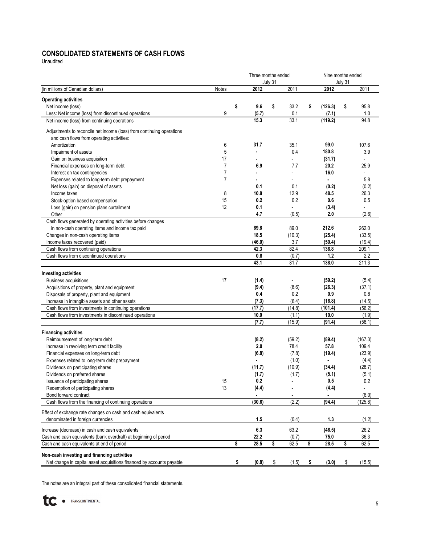### **CONSOLIDATED STATEMENTS OF CASH FLOWS**

Unaudited

|                                                                                                   | Three months ended<br>July 31 |    |        |    |                |    | Nine months ended<br>July 31 |    |                          |  |  |  |
|---------------------------------------------------------------------------------------------------|-------------------------------|----|--------|----|----------------|----|------------------------------|----|--------------------------|--|--|--|
| (in millions of Canadian dollars)                                                                 | Notes                         |    | 2012   |    | 2011           |    | 2012                         |    | 2011                     |  |  |  |
| <b>Operating activities</b>                                                                       |                               |    |        |    |                |    |                              |    |                          |  |  |  |
| Net income (loss)                                                                                 |                               | \$ | 9.6    | \$ | 33.2           | \$ | (126.3)                      | \$ | 95.8                     |  |  |  |
| Less: Net income (loss) from discontinued operations                                              | 9                             |    | (5.7)  |    | 0.1            |    | (7.1)                        |    | 1.0                      |  |  |  |
| Net income (loss) from continuing operations                                                      |                               |    | 15.3   |    | 33.1           |    | (119.2)                      |    | 94.8                     |  |  |  |
| Adjustments to reconcile net income (loss) from continuing operations                             |                               |    |        |    |                |    |                              |    |                          |  |  |  |
| and cash flows from operating activities:                                                         |                               |    |        |    |                |    |                              |    |                          |  |  |  |
| Amortization                                                                                      | 6                             |    | 31.7   |    | 35.1           |    | 99.0                         |    | 107.6                    |  |  |  |
| Impairment of assets                                                                              | 5                             |    |        |    | 0.4            |    | 180.8                        |    | 3.9                      |  |  |  |
| Gain on business acquisition                                                                      | 17                            |    |        |    |                |    | (31.7)                       |    |                          |  |  |  |
| Financial expenses on long-term debt                                                              | 7                             |    | 6.9    |    | 7.7            |    | 20.2                         |    | 25.9                     |  |  |  |
| Interest on tax contingencies                                                                     | $\overline{7}$                |    |        |    | $\overline{a}$ |    | 16.0                         |    | $\overline{\phantom{a}}$ |  |  |  |
| Expenses related to long-term debt prepayment                                                     | $\overline{7}$                |    |        |    |                |    |                              |    | 5.8                      |  |  |  |
| Net loss (gain) on disposal of assets                                                             |                               |    | 0.1    |    | 0.1            |    | (0.2)                        |    | (0.2)                    |  |  |  |
| Income taxes                                                                                      | 8                             |    | 10.8   |    | 12.9           |    | 48.5                         |    | 26.3                     |  |  |  |
| Stock-option based compensation                                                                   | 15                            |    | 0.2    |    | 0.2            |    | 0.6                          |    | 0.5                      |  |  |  |
| Loss (gain) on pension plans curtailment                                                          | 12                            |    | 0.1    |    |                |    | (3.4)                        |    |                          |  |  |  |
| Other                                                                                             |                               |    | 4.7    |    | (0.5)          |    | 2.0                          |    | (2.6)                    |  |  |  |
| Cash flows generated by operating activities before changes                                       |                               |    |        |    |                |    |                              |    |                          |  |  |  |
| in non-cash operating items and income tax paid                                                   |                               |    | 69.8   |    | 89.0           |    | 212.6                        |    | 262.0                    |  |  |  |
| Changes in non-cash operating items                                                               |                               |    | 18.5   |    | (10.3)         |    | (25.4)                       |    | (33.5)                   |  |  |  |
| Income taxes recovered (paid)                                                                     |                               |    | (46.0) |    | 3.7            |    | (50.4)                       |    | (19.4)                   |  |  |  |
| Cash flows from continuing operations                                                             |                               |    | 42.3   |    | 82.4           |    | 136.8                        |    | 209.1                    |  |  |  |
| Cash flows from discontinued operations                                                           |                               |    | 0.8    |    | (0.7)          |    | 1.2                          |    | 2.2                      |  |  |  |
|                                                                                                   |                               |    | 43.1   |    | 81.7           |    | 138.0                        |    | 211.3                    |  |  |  |
| Investing activities                                                                              |                               |    |        |    |                |    |                              |    |                          |  |  |  |
| <b>Business acquisitions</b>                                                                      | 17                            |    | (1.4)  |    | $\blacksquare$ |    | (59.2)                       |    | (5.4)                    |  |  |  |
| Acquisitions of property, plant and equipment                                                     |                               |    | (9.4)  |    | (8.6)          |    | (26.3)                       |    | (37.1)                   |  |  |  |
| Disposals of property, plant and equipment                                                        |                               |    | 0.4    |    | 0.2            |    | 0.9                          |    | 0.8                      |  |  |  |
| Increase in intangible assets and other assets                                                    |                               |    | (7.3)  |    | (6.4)          |    | (16.8)                       |    | (14.5)                   |  |  |  |
| Cash flows from investments in continuing operations                                              |                               |    | (17.7) |    | (14.8)         |    | (101.4)                      |    | (56.2)                   |  |  |  |
| Cash flows from investments in discontinued operations                                            |                               |    | 10.0   |    | (1.1)          |    | 10.0                         |    | (1.9)                    |  |  |  |
|                                                                                                   |                               |    | (7.7)  |    | (15.9)         |    | (91.4)                       |    | (58.1)                   |  |  |  |
| <b>Financing activities</b>                                                                       |                               |    |        |    |                |    |                              |    |                          |  |  |  |
| Reimbursement of long-term debt                                                                   |                               |    | (8.2)  |    | (59.2)         |    | (89.4)                       |    | (167.3)                  |  |  |  |
| Increase in revolving term credit facility                                                        |                               |    | 2.0    |    | 78.4           |    | 57.8                         |    | 109.4                    |  |  |  |
| Financial expenses on long-term debt                                                              |                               |    | (6.8)  |    | (7.8)          |    | (19.4)                       |    | (23.9)                   |  |  |  |
| Expenses related to long-term debt prepayment                                                     |                               |    |        |    | (1.0)          |    |                              |    | (4.4)                    |  |  |  |
| Dividends on participating shares                                                                 |                               |    | (11.7) |    | (10.9)         |    | (34.4)                       |    | (28.7)                   |  |  |  |
| Dividends on preferred shares                                                                     |                               |    | (1.7)  |    | (1.7)          |    | (5.1)                        |    | (5.1)                    |  |  |  |
| Issuance of participating shares                                                                  | 15                            |    | 0.2    |    |                |    | 0.5                          |    | $0.2\,$                  |  |  |  |
| Redemption of participating shares                                                                | 13                            |    | (4.4)  |    |                |    | (4.4)                        |    |                          |  |  |  |
| Bond forward contract                                                                             |                               |    |        |    |                |    | ۰                            |    | (6.0)                    |  |  |  |
| Cash flows from the financing of continuing operations                                            |                               |    | (30.6) |    | (2.2)          |    | (94.4)                       |    | (125.8)                  |  |  |  |
|                                                                                                   |                               |    |        |    |                |    |                              |    |                          |  |  |  |
| Effect of exchange rate changes on cash and cash equivalents<br>denominated in foreign currencies |                               |    | 1.5    |    | (0.4)          |    | 1.3                          |    | (1.2)                    |  |  |  |
|                                                                                                   |                               |    |        |    |                |    |                              |    |                          |  |  |  |
| Increase (decrease) in cash and cash equivalents                                                  |                               |    | 6.3    |    | 63.2           |    | (46.5)                       |    | 26.2                     |  |  |  |
| Cash and cash equivalents (bank overdraft) at beginning of period                                 |                               |    | 22.2   |    | (0.7)          |    | 75.0                         |    | 36.3                     |  |  |  |
| Cash and cash equivalents at end of period                                                        |                               | \$ | 28.5   | \$ | 62.5           | \$ | 28.5                         | \$ | 62.5                     |  |  |  |
| Non-cash investing and financing activities                                                       |                               |    |        |    |                |    |                              |    |                          |  |  |  |
| Net change in capital asset acquisitions financed by accounts payable                             |                               | \$ | (0.8)  | \$ | (1.5)          | \$ | (3.0)                        | \$ | (15.5)                   |  |  |  |

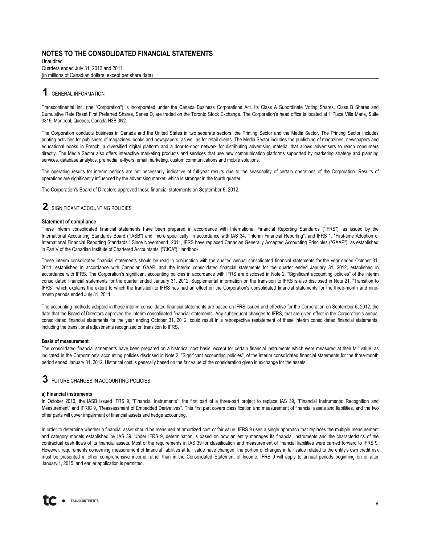Unaudited Quarters ended July 31, 2012 and 2011 (in millions of Canadian dollars, except per share data)

### **1** GENERAL INFORMATION

Transcontinental Inc. (the "Corporation") is incorporated under the Canada Business Corporations Act. Its Class A Subordinate Voting Shares, Class B Shares and Cumulative Rate Reset First Preferred Shares, Series D, are traded on the Toronto Stock Exchange. The Corporation's head office is located at 1 Place Ville Marie, Suite 3315, Montreal, Quebec, Canada H3B 3N2.

The Corporation conducts business in Canada and the United States in two separate sectors: the Printing Sector and the Media Sector. The Printing Sector includes printing activities for publishers of magazines, books and newspapers, as well as for retail clients. The Media Sector includes the publishing of magazines, newspapers and educational books in French, a diversified digital platform and a door-to-door network for distributing advertising material that allows advertisers to reach consumers directly. The Media Sector also offers interactive marketing products and services that use new communication platforms supported by marketing strategy and planning services, database analytics, premedia, e-flyers, email marketing, custom communications and mobile solutions.

The operating results for interim periods are not necessarily indicative of full-year results due to the seasonality of certain operations of the Corporation. Results of operations are significantly influenced by the advertising market, which is stronger in the fourth quarter.

The Corporation's Board of Directors approved these financial statements on September 6, 2012.

### **2** SIGNIFICANT ACCOUNTING POLICIES

#### **Statement of compliance**

These interim consolidated financial statements have been prepared in accordance with International Financial Reporting Standards ("IFRS"), as issued by the International Accounting Standards Board ("IASB") and, more specifically, in accordance with IAS 34, "Interim Financial Reporting", and IFRS 1, "First-time Adoption of International Financial Reporting Standards." Since November 1, 2011, IFRS have replaced Canadian Generally Accepted Accounting Principles ("GAAP"), as established in Part V of the Canadian Institute of Chartered Accountants' ("CICA") Handbook.

These interim consolidated financial statements should be read in conjunction with the audited annual consolidated financial statements for the year ended October 31, 2011, established in accordance with Canadian GAAP, and the interim consolidated financial statements for the quarter ended January 31, 2012, established in accordance with IFRS. The Corporation's significant accounting policies in accordance with IFRS are disclosed in Note 2, "Significant accounting policies" of the interim consolidated financial statements for the quarter ended January 31, 2012. Supplemental information on the transition to IFRS is also disclosed in Note 21, "Transition to IFRS", which explains the extent to which the transition to IFRS has had an effect on the Corporation's consolidated financial statements for the three-month and ninemonth periods ended July 31, 2011.

The accounting methods adopted in these interim consolidated financial statements are based on IFRS issued and effective for the Corporation on September 6, 2012, the date that the Board of Directors approved the interim consolidated financial statements. Any subsequent changes to IFRS, that are given effect in the Corporation's annual consolidated financial statements for the year ending October 31, 2012, could result in a retrospective restatement of these interim consolidated financial statements, including the transitional adjustments recognized on transition to IFRS.

#### **Basis of measurement**

The consolidated financial statements have been prepared on a historical cost basis, except for certain financial instruments which were measured at their fair value, as indicated in the Corporation's accounting policies disclosed in Note 2, "Significant accounting policies", of the interim consolidated financial statements for the three-month period ended January 31, 2012. Historical cost is generally based on the fair value of the consideration given in exchange for the assets.

### **3** FUTURE CHANGES IN ACCOUNTING POLICIES

#### **a) Financial instruments**

In October 2010, the IASB issued IFRS 9, "Financial Instruments", the first part of a three-part project to replace IAS 39, "Financial Instruments: Recognition and Measurement" and IFRIC 9, "Reassessment of Embedded Derivatives". This first part covers classification and measurement of financial assets and liabilities, and the two other parts will cover impairment of financial assets and hedge accounting.

In order to determine whether a financial asset should be measured at amortized cost or fair value, IFRS 9 uses a single approach that replaces the multiple measurement and category models established by IAS 39. Under IFRS 9, determination is based on how an entity manages its financial instruments and the characteristics of the contractual cash flows of its financial assets. Most of the requirements in IAS 39 for classification and measurement of financial liabilities were carried forward to IFRS 9. However, requirements concerning measurement of financial liabilities at fair value have changed; the portion of changes in fair value related to the entity's own credit risk must be presented in other comprehensive income rather than in the Consolidated Statement of Income. IFRS 9 will apply to annual periods beginning on or after January 1, 2015, and earlier application is permitted.

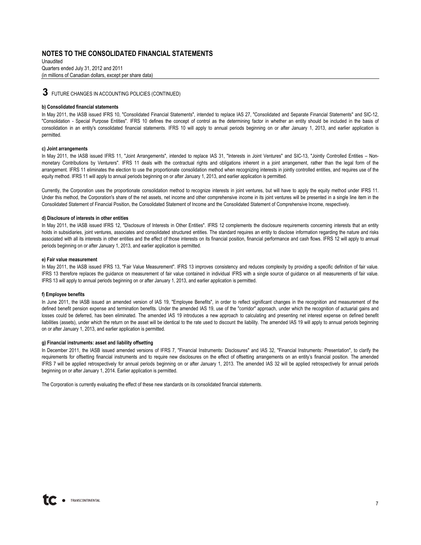Unaudited Quarters ended July 31, 2012 and 2011 (in millions of Canadian dollars, except per share data)

### **3** FUTURE CHANGES IN ACCOUNTING POLICIES (CONTINUED)

#### **b) Consolidated financial statements**

In May 2011, the IASB issued IFRS 10, "Consolidated Financial Statements", intended to replace IAS 27, "Consolidated and Separate Financial Statements" and SIC-12, "Consolidation - Special Purpose Entities". IFRS 10 defines the concept of control as the determining factor in whether an entity should be included in the basis of consolidation in an entity's consolidated financial statements. IFRS 10 will apply to annual periods beginning on or after January 1, 2013, and earlier application is permitted.

#### **c) Joint arrangements**

In May 2011, the IASB issued IFRS 11, "Joint Arrangements", intended to replace IAS 31, "Interests in Joint Ventures" and SIC-13, "Jointly Controlled Entities – Nonmonetary Contributions by Venturers". IFRS 11 deals with the contractual rights and obligations inherent in a joint arrangement, rather than the legal form of the arrangement. IFRS 11 eliminates the election to use the proportionate consolidation method when recognizing interests in jointly controlled entities, and requires use of the equity method. IFRS 11 will apply to annual periods beginning on or after January 1, 2013, and earlier application is permitted.

Currently, the Corporation uses the proportionate consolidation method to recognize interests in joint ventures, but will have to apply the equity method under IFRS 11. Under this method, the Corporation's share of the net assets, net income and other comprehensive income in its joint ventures will be presented in a single line item in the Consolidated Statement of Financial Position, the Consolidated Statement of Income and the Consolidated Statement of Comprehensive Income, respectively.

#### **d) Disclosure of interests in other entities**

In May 2011, the IASB issued IFRS 12, "Disclosure of Interests in Other Entities". IFRS 12 complements the disclosure requirements concerning interests that an entity holds in subsidiaries, joint ventures, associates and consolidated structured entities. The standard requires an entity to disclose information regarding the nature and risks associated with all its interests in other entities and the effect of those interests on its financial position, financial performance and cash flows. IFRS 12 will apply to annual periods beginning on or after January 1, 2013, and earlier application is permitted.

#### **e) Fair value measurement**

In May 2011, the IASB issued IFRS 13, "Fair Value Measurement". IFRS 13 improves consistency and reduces complexity by providing a specific definition of fair value. IFRS 13 therefore replaces the guidance on measurement of fair value contained in individual IFRS with a single source of guidance on all measurements of fair value. IFRS 13 will apply to annual periods beginning on or after January 1, 2013, and earlier application is permitted.

#### **f) Employee benefits**

In June 2011, the IASB issued an amended version of IAS 19, "Employee Benefits", in order to reflect significant changes in the recognition and measurement of the defined benefit pension expense and termination benefits. Under the amended IAS 19, use of the "corridor" approach, under which the recognition of actuarial gains and losses could be deferred, has been eliminated. The amended IAS 19 introduces a new approach to calculating and presenting net interest expense on defined benefit liabilities (assets), under which the return on the asset will be identical to the rate used to discount the liability. The amended IAS 19 will apply to annual periods beginning on or after January 1, 2013, and earlier application is permitted.

#### **g) Financial instruments: asset and liability offsetting**

In December 2011, the IASB issued amended versions of IFRS 7, "Financial Instruments: Disclosures" and IAS 32, "Financial Instruments: Presentation", to clarify the requirements for offsetting financial instruments and to require new disclosures on the effect of offsetting arrangements on an entity's financial position. The amended IFRS 7 will be applied retrospectively for annual periods beginning on or after January 1, 2013. The amended IAS 32 will be applied retrospectively for annual periods beginning on or after January 1, 2014. Earlier application is permitted.

The Corporation is currently evaluating the effect of these new standards on its consolidated financial statements.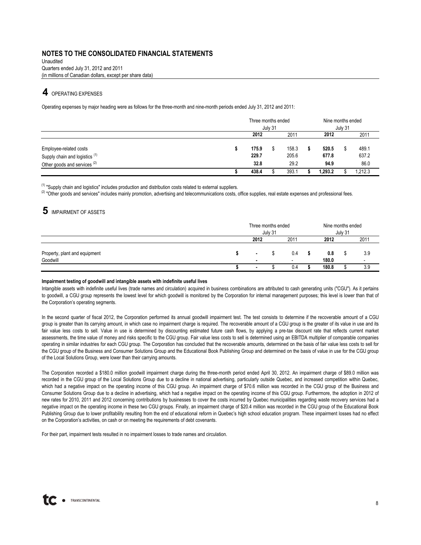Quarters ended July 31, 2012 and 2011 Unaudited (in millions of Canadian dollars, except per share data)

### **4** OPERATING EXPENSES

Operating expenses by major heading were as follows for the three-month and nine-month periods ended July 31, 2012 and 2011:

|                                                                                                                | Three months ended<br>July 31 |  |                        |  | Nine months ended<br>July 31 |  |                        |  |
|----------------------------------------------------------------------------------------------------------------|-------------------------------|--|------------------------|--|------------------------------|--|------------------------|--|
|                                                                                                                | 2012                          |  | 2011                   |  | 2012                         |  | 2011                   |  |
| Employee-related costs<br>Supply chain and logistics <sup>(1)</sup><br>Other goods and services <sup>(2)</sup> | 175.9<br>229.7<br>32.8        |  | 158.3<br>205.6<br>29.2 |  | 520.5<br>677.8<br>94.9       |  | 489.1<br>637.2<br>86.0 |  |
|                                                                                                                | 438.4                         |  | 393.7                  |  | 1.293.2                      |  | 1.212.3                |  |

<sup>(1)</sup> "Supply chain and logistics" includes production and distribution costs related to external suppliers.

<sup>(2)</sup> "Other goods and services" includes mainly promotion, advertising and telecommunications costs, office supplies, real estate expenses and professional fees.

### **5** IMPAIRMENT OF ASSETS

|                                           |                | Three months ended<br>July 31 |                                 |  | Nine months ended | July 31 |                                 |
|-------------------------------------------|----------------|-------------------------------|---------------------------------|--|-------------------|---------|---------------------------------|
|                                           | 2012           |                               | 2011                            |  | 2012              |         | 2011                            |
| Property, plant and equipment<br>Goodwill | $\blacksquare$ |                               | 0.4<br>$\overline{\phantom{0}}$ |  | 0.8<br>180.0      |         | 3.9<br>$\overline{\phantom{0}}$ |
|                                           | $\blacksquare$ |                               | 0.4                             |  | 180.8             |         | 3.9                             |

#### **Impairment testing of goodwill and intangible assets with indefinite useful lives**

Intangible assets with indefinite useful lives (trade names and circulation) acquired in business combinations are attributed to cash generating units ("CGU"). As it pertains to goodwill, a CGU group represents the lowest level for which goodwill is monitored by the Corporation for internal management purposes; this level is lower than that of the Corporation's operating segments.

In the second quarter of fiscal 2012, the Corporation performed its annual goodwill impairment test. The test consists to determine if the recoverable amount of a CGU group is greater than its carrying amount, in which case no impairment charge is required. The recoverable amount of a CGU group is the greater of its value in use and its fair value less costs to sell. Value in use is determined by discounting estimated future cash flows, by applying a pre-tax discount rate that reflects current market assessments, the time value of money and risks specific to the CGU group. Fair value less costs to sell is determined using an EBITDA multiplier of comparable companies operating in similar industries for each CGU group. The Corporation has concluded that the recoverable amounts, determined on the basis of fair value less costs to sell for the CGU group of the Business and Consumer Solutions Group and the Educational Book Publishing Group and determined on the basis of value in use for the CGU group of the Local Solutions Group, were lower than their carrying amounts.

The Corporation recorded a \$180.0 million goodwill impairment charge during the three-month period ended April 30, 2012. An impairment charge of \$89.0 million was recorded in the CGU group of the Local Solutions Group due to a decline in national advertising, particularly outside Quebec, and increased competition within Quebec, which had a negative impact on the operating income of this CGU group. An impairment charge of \$70.6 million was recorded in the CGU group of the Business and Consumer Solutions Group due to a decline in advertising, which had a negative impact on the operating income of this CGU group. Furthermore, the adoption in 2012 of new rates for 2010, 2011 and 2012 concerning contributions by businesses to cover the costs incurred by Quebec municipalities regarding waste recovery services had a negative impact on the operating income in these two CGU groups. Finally, an impairment charge of \$20.4 million was recorded in the CGU group of the Educational Book Publishing Group due to lower profitability resulting from the end of educational reform in Quebec's high school education program. These impairment losses had no effect on the Corporation's activities, on cash or on meeting the requirements of debt covenants.

For their part, impairment tests resulted in no impairment losses to trade names and circulation.

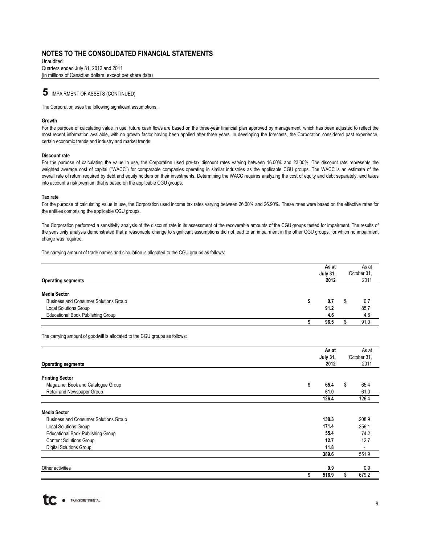Unaudited Quarters ended July 31, 2012 and 2011 (in millions of Canadian dollars, except per share data)

**5** IMPAIRMENT OF ASSETS (CONTINUED)

The Corporation uses the following significant assumptions:

#### **Growth**

For the purpose of calculating value in use, future cash flows are based on the three-year financial plan approved by management, which has been adjusted to reflect the most recent information available, with no growth factor having been applied after three years. In developing the forecasts, the Corporation considered past experience, certain economic trends and industry and market trends.

#### **Discount rate**

For the purpose of calculating the value in use, the Corporation used pre-tax discount rates varying between 16.00% and 23.00%. The discount rate represents the weighted average cost of capital ("WACC") for comparable companies operating in similar industries as the applicable CGU groups. The WACC is an estimate of the overall rate of return required by debt and equity holders on their investments. Determining the WACC requires analyzing the cost of equity and debt separately, and takes into account a risk premium that is based on the applicable CGU groups.

#### **Tax rate**

For the purpose of calculating value in use, the Corporation used income tax rates varying between 26.00% and 26.90%. These rates were based on the effective rates for the entities comprising the applicable CGU groups.

The Corporation performed a sensitivity analysis of the discount rate in its assessment of the recoverable amounts of the CGU groups tested for impairment. The results of the sensitivity analysis demonstrated that a reasonable change to significant assumptions did not lead to an impairment in the other CGU groups, for which no impairment charge was required.

The carrying amount of trade names and circulation is allocated to the CGU groups as follows:

| <b>Operating segments</b>                                    | As at<br><b>July 31,</b><br>2012 | As at<br>October 31,<br>2011 |
|--------------------------------------------------------------|----------------------------------|------------------------------|
| <b>Media Sector</b><br>Business and Consumer Solutions Group | 0.7                              | 0.7                          |
| <b>Local Solutions Group</b>                                 | 91.2                             | 85.7                         |
| <b>Educational Book Publishing Group</b>                     | 4.6                              | 4.6                          |
|                                                              | 96.5                             | 91.0                         |

The carrying amount of goodwill is allocated to the CGU groups as follows:

|                                              | As at           |   | As at       |
|----------------------------------------------|-----------------|---|-------------|
|                                              | <b>July 31,</b> |   | October 31, |
| <b>Operating segments</b>                    | 2012            |   | 2011        |
| <b>Printing Sector</b>                       |                 |   |             |
| Magazine, Book and Catalogue Group           | \$<br>65.4      | S | 65.4        |
| Retail and Newspaper Group                   | 61.0            |   | 61.0        |
|                                              | 126.4           |   | 126.4       |
| <b>Media Sector</b>                          |                 |   |             |
| <b>Business and Consumer Solutions Group</b> | 138.3           |   | 208.9       |
| <b>Local Solutions Group</b>                 | 171.4           |   | 256.1       |
| <b>Educational Book Publishing Group</b>     | 55.4            |   | 74.2        |
| <b>Content Solutions Group</b>               | 12.7            |   | 12.7        |
| <b>Digital Solutions Group</b>               | 11.8            |   |             |
|                                              | 389.6           |   | 551.9       |
|                                              | 0.9             |   | 0.9         |
| Other activities                             |                 |   |             |
|                                              | 516.9           |   | 679.2       |

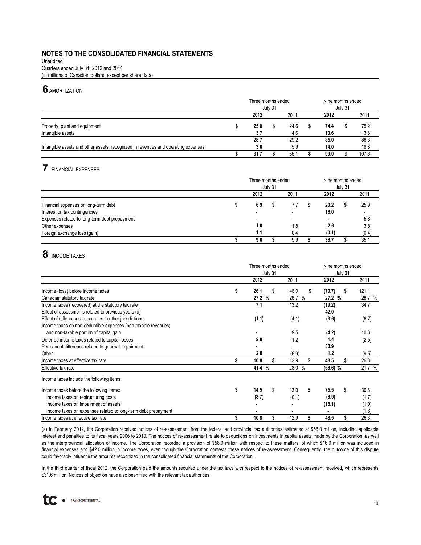(in millions of Canadian dollars, except per share data) Unaudited Quarters ended July 31, 2012 and 2011

### **6** AMORTIZATION

|                                                                                   | Three months ended | July 31 |      |  | Nine months ended |  |       |
|-----------------------------------------------------------------------------------|--------------------|---------|------|--|-------------------|--|-------|
|                                                                                   | 2012               |         | 2011 |  | 2012              |  | 2011  |
| Property, plant and equipment                                                     | 25.0               |         | 24.6 |  | 74.4              |  | 75.2  |
| Intangible assets                                                                 | 3.7                |         | 4.6  |  | 10.6              |  | 13.6  |
|                                                                                   | 28.7               |         | 29.2 |  | 85.0              |  | 88.8  |
| Intangible assets and other assets, recognized in revenues and operating expenses | 3.0                |         | 5.9  |  | 14.0              |  | 18.8  |
|                                                                                   | 31.7               |         | 35.  |  | 99.0              |  | 107.6 |

# **7** FINANCIAL EXPENSES

|                                               | Three months ended<br>July 31 |  |                          |  |                | Nine months ended<br>July 31 |       |  |  |
|-----------------------------------------------|-------------------------------|--|--------------------------|--|----------------|------------------------------|-------|--|--|
|                                               | 2012                          |  | 2011                     |  | 2012           |                              | 2011  |  |  |
| Financial expenses on long-term debt          | 6.9                           |  | 7.7                      |  | 20.2           |                              | 25.9  |  |  |
| Interest on tax contingencies                 | $\overline{\phantom{a}}$      |  |                          |  | 16.0           |                              | -     |  |  |
| Expenses related to long-term debt prepayment |                               |  | $\overline{\phantom{a}}$ |  | $\blacksquare$ |                              | 5.8   |  |  |
| Other expenses                                | 1.0                           |  | 1.8                      |  | 2.6            |                              | 3.8   |  |  |
| Foreign exchange loss (gain)                  | 1.1                           |  | 0.4                      |  | (0.1)          |                              | (0.4) |  |  |
|                                               | 9.0                           |  | 9.9                      |  | 38.7           |                              | 35.1  |  |  |

# **8** INCOME TAXES

|                                                                | Three months ended |        |         |        |    | Nine months ended |         |        |
|----------------------------------------------------------------|--------------------|--------|---------|--------|----|-------------------|---------|--------|
|                                                                |                    |        | July 31 |        |    |                   | July 31 |        |
|                                                                |                    | 2012   |         | 2011   |    | 2012              |         | 2011   |
| Income (loss) before income taxes                              | \$                 | 26.1   | \$      | 46.0   | \$ | (70.7)            | \$      | 121.1  |
| Canadian statutory tax rate                                    |                    | 27.2 % |         | 28.7 % |    | 27.2 %            |         | 28.7 % |
| Income taxes (recovered) at the statutory tax rate             |                    | 7.1    |         | 13.2   |    | (19.2)            |         | 34.7   |
| Effect of assessments related to previous years (a)            |                    |        |         |        |    | 42.0              |         |        |
| Effect of differences in tax rates in other jurisdictions      |                    | (1.1)  |         | (4.1)  |    | (3.6)             |         | (6.7)  |
| Income taxes on non-deductible expenses (non-taxable revenues) |                    |        |         |        |    |                   |         |        |
| and non-taxable portion of capital gain                        |                    |        |         | 9.5    |    | (4.2)             |         | 10.3   |
| Deferred income taxes related to capital losses                |                    | 2.8    |         | 1.2    |    | 1.4               |         | (2.5)  |
| Permanent difference related to goodwill impairment            |                    |        |         |        |    | 30.9              |         |        |
| Other                                                          |                    | 2.0    |         | (6.9)  |    | 1.2               |         | (9.5)  |
| Income taxes at effective tax rate                             |                    | 10.8   | \$      | 12.9   |    | 48.5              | \$      | 26.3   |
| Effective tax rate                                             |                    | 41.4 % |         | 28.0 % |    | $(68.6)$ %        |         | 21.7 % |
| Income taxes include the following items:                      |                    |        |         |        |    |                   |         |        |
| Income taxes before the following items:                       | \$                 | 14.5   | \$      | 13.0   | \$ | 75.5              | \$      | 30.6   |
| Income taxes on restructuring costs                            |                    | (3.7)  |         | (0.1)  |    | (8.9)             |         | (1.7)  |
| Income taxes on impairment of assets                           |                    |        |         |        |    | (18.1)            |         | (1.0)  |
| Income taxes on expenses related to long-term debt prepayment  |                    |        |         |        |    | ٠                 |         | (1.6)  |
| Income taxes at effective tax rate                             |                    | 10.8   | \$      | 12.9   |    | 48.5              | \$      | 26.3   |

(a) In February 2012, the Corporation received notices of re-assessment from the federal and provincial tax authorities estimated at \$58.0 million, including applicable interest and penalties to its fiscal years 2006 to 2010. The notices of re-assessment relate to deductions on investments in capital assets made by the Corporation, as well as the interprovincial allocation of income. The Corporation recorded a provision of \$58.0 million with respect to these matters, of which \$16.0 million was included in financial expenses and \$42.0 million in income taxes, even though the Corporation contests these notices of re-assessment. Consequently, the outcome of this dispute could favorably influence the amounts recognized in the consolidated financial statements of the Corporation.

In the third quarter of fiscal 2012, the Corporation paid the amounts required under the tax laws with respect to the notices of re-assessment received, which represents \$31.6 million. Notices of objection have also been filed with the relevant tax authorities.

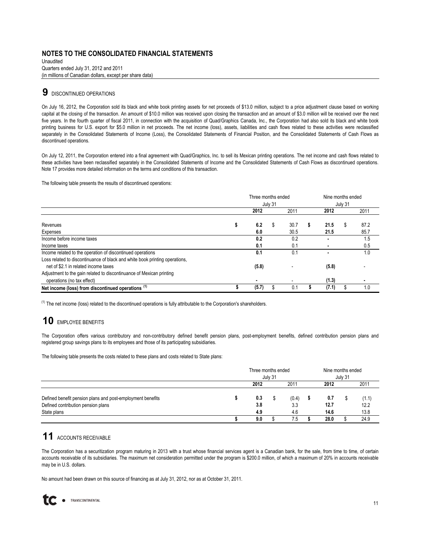Quarters ended July 31, 2012 and 2011 (in millions of Canadian dollars, except per share data) Unaudited

# **9** DISCONTINUED OPERATIONS

On July 16, 2012, the Corporation sold its black and white book printing assets for net proceeds of \$13.0 million, subject to a price adjustment clause based on working capital at the closing of the transaction. An amount of \$10.0 million was received upon closing the transaction and an amount of \$3.0 million will be received over the next five years. In the fourth quarter of fiscal 2011, in connection with the acquisition of Quad/Graphics Canada, Inc., the Corporation had also sold its black and white book printing business for U.S. export for \$5.0 million in net proceeds. The net income (loss), assets, liabilities and cash flows related to these activities were reclassified separately in the Consolidated Statements of Income (Loss), the Consolidated Statements of Financial Position, and the Consolidated Statements of Cash Flows as discontinued operations.

On July 12, 2011, the Corporation entered into a final agreement with Quad/Graphics, Inc. to sell its Mexican printing operations. The net income and cash flows related to these activities have been reclassified separately in the Consolidated Statements of Income and the Consolidated Statements of Cash Flows as discontinued operations. Note 17 provides more detailed information on the terms and conditions of this transaction.

The following table presents the results of discontinued operations:

|                                                                             | Three months ended<br>July 31 |       |    | Nine months ended<br>July 31 |       |  |      |
|-----------------------------------------------------------------------------|-------------------------------|-------|----|------------------------------|-------|--|------|
|                                                                             |                               | 2012  |    | 2011                         | 2012  |  | 2011 |
| Revenues                                                                    |                               | 6.2   | \$ | 30.7                         | 21.5  |  | 87.2 |
| Expenses                                                                    |                               | 6.0   |    | 30.5                         | 21.5  |  | 85.7 |
| Income before income taxes                                                  |                               | 0.2   |    | 0.2                          |       |  | 1.5  |
| Income taxes                                                                |                               | 0.1   |    | 0.1                          |       |  | 0.5  |
| Income related to the operation of discontinued operations                  |                               | 0.1   |    | 0.1                          |       |  | 1.0  |
| Loss related to discontinuance of black and white book printing operations, |                               |       |    |                              |       |  |      |
| net of \$2.1 in related income taxes                                        |                               | (5.8) |    |                              | (5.8) |  |      |
| Adjustment to the gain related to discontinuance of Mexican printing        |                               |       |    |                              |       |  |      |
| operations (no tax effect)                                                  |                               | ۰     |    |                              | (1.3) |  |      |
| Net income (loss) from discontinued operations (1)                          |                               | (5.7) |    | 0.1                          | (7.1) |  | 1.0  |

 $(1)$  The net income (loss) related to the discontinued operations is fully attributable to the Corporation's shareholders.

# **10** EMPLOYEE BENEFITS

The Corporation offers various contributory and non-contributory defined benefit pension plans, post-employment benefits, defined contribution pension plans and registered group savings plans to its employees and those of its participating subsidiaries.

The following table presents the costs related to these plans and costs related to State plans:

|                                                                                                  | Three months ended<br>July 31 |            |  | Nine months ended<br>July 31 |             |  |               |
|--------------------------------------------------------------------------------------------------|-------------------------------|------------|--|------------------------------|-------------|--|---------------|
|                                                                                                  |                               | 2012       |  | 2011                         | 2012        |  | 2011          |
| Defined benefit pension plans and post-employment benefits<br>Defined contribution pension plans |                               | 0.3<br>3.8 |  | (0.4)<br>3.3                 | 0.7<br>12.7 |  | (1.1)<br>12.2 |
| State plans                                                                                      |                               | 4.9        |  | 4.6                          | 14.6        |  | 13.8          |
|                                                                                                  |                               | 9.0        |  | 7.5                          | 28.0        |  | 24.9          |

# **11** ACCOUNTS RECEIVABLE

The Corporation has a securitization program maturing in 2013 with a trust whose financial services agent is a Canadian bank, for the sale, from time to time, of certain accounts receivable of its subsidiaries. The maximum net consideration permitted under the program is \$200.0 million, of which a maximum of 20% in accounts receivable may be in U.S. dollars.

No amount had been drawn on this source of financing as at July 31, 2012, nor as at October 31, 2011.

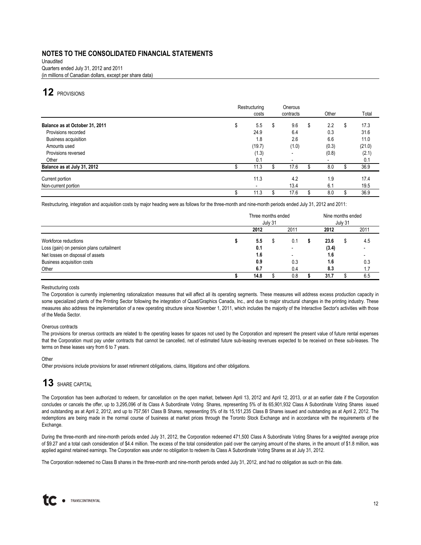Unaudited Quarters ended July 31, 2012 and 2011 (in millions of Canadian dollars, except per share data)

# **12** PROVISIONS

|                                | Restructuring | costs  | Onerous<br>contracts     | Other                    |   | Total  |
|--------------------------------|---------------|--------|--------------------------|--------------------------|---|--------|
| Balance as at October 31, 2011 | D             | 5.5    | \$<br>9.6                | \$<br>2.2                | S | 17.3   |
| Provisions recorded            |               | 24.9   | 6.4                      | 0.3                      |   | 31.6   |
| Business acquisition           |               | 1.8    | 2.6                      | 6.6                      |   | 11.0   |
| Amounts used                   |               | (19.7) | (1.0)                    | (0.3)                    |   | (21.0) |
| Provisions reversed            |               | (1.3)  | ۰                        | (0.8)                    |   | (2.1)  |
| Other                          |               | 0.1    | $\overline{\phantom{a}}$ | $\overline{\phantom{a}}$ |   | 0.1    |
| Balance as at July 31, 2012    |               | 11.3   | 17.6                     | 8.0                      |   | 36.9   |
| Current portion                |               | 11.3   | 4.2                      | 1.9                      |   | 17.4   |
| Non-current portion            |               |        | 13.4                     | 6.1                      |   | 19.5   |
|                                |               | 11.3   | 17.6                     | 8.0                      |   | 36.9   |

Restructuring, integration and acquisition costs by major heading were as follows for the three-month and nine-month periods ended July 31, 2012 and 2011:

|                                          | Three months ended<br>July 31 |      |  |                          |  | Nine months ended<br>July 31 |  |      |  |
|------------------------------------------|-------------------------------|------|--|--------------------------|--|------------------------------|--|------|--|
|                                          |                               | 2012 |  | 2011                     |  | 2012                         |  | 2011 |  |
| Workforce reductions                     |                               | 5.5  |  | 0.1                      |  | 23.6                         |  | 4.5  |  |
| Loss (gain) on pension plans curtailment |                               | 0.1  |  |                          |  | (3.4)                        |  |      |  |
| Net losses on disposal of assets         |                               | 1.6  |  | $\overline{\phantom{a}}$ |  | 1.6                          |  |      |  |
| Business acquisition costs               |                               | 0.9  |  | 0.3                      |  | 1.6                          |  | 0.3  |  |
| Other                                    |                               | 6.7  |  | 0.4                      |  | 8.3                          |  | 1.7  |  |
|                                          |                               | 14.8 |  | 0.8                      |  | 31.7                         |  | 6.5  |  |

#### Restructuring costs

The Corporation is currently implementing rationalization measures that will affect all its operating segments. These measures will address excess production capacity in some specialized plants of the Printing Sector following the integration of Quad/Graphics Canada, Inc., and due to major structural changes in the printing industry. These measures also address the implementation of a new operating structure since November 1, 2011, which includes the majority of the Interactive Sector's activities with those of the Media Sector.

#### Onerous contracts

The provisions for onerous contracts are related to the operating leases for spaces not used by the Corporation and represent the present value of future rental expenses that the Corporation must pay under contracts that cannot be cancelled, net of estimated future sub-leasing revenues expected to be received on these sub-leases. The terms on these leases vary from 6 to 7 years.

#### **Other**

Other provisions include provisions for asset retirement obligations, claims, litigations and other obligations.

# **13** SHARE CAPITAL

The Corporation has been authorized to redeem, for cancellation on the open market, between April 13, 2012 and April 12, 2013, or at an earlier date if the Corporation concludes or cancels the offer, up to 3,295,096 of its Class A Subordinate Voting Shares, representing 5% of its 65,901,932 Class A Subordinate Voting Shares issued and outstanding as at April 2, 2012, and up to 757,561 Class B Shares, representing 5% of its 15,151,235 Class B Shares issued and outstanding as at April 2, 2012. The redemptions are being made in the normal course of business at market prices through the Toronto Stock Exchange and in accordance with the requirements of the Exchange.

During the three-month and nine-month periods ended July 31, 2012, the Corporation redeemed 471,500 Class A Subordinate Voting Shares for a weighted average price of \$9.27 and a total cash consideration of \$4.4 million. The excess of the total consideration paid over the carrying amount of the shares, in the amount of \$1.8 million, was applied against retained earnings. The Corporation was under no obligation to redeem its Class A Subordinate Voting Shares as at July 31, 2012.

The Corporation redeemed no Class B shares in the three-month and nine-month periods ended July 31, 2012, and had no obligation as such on this date.

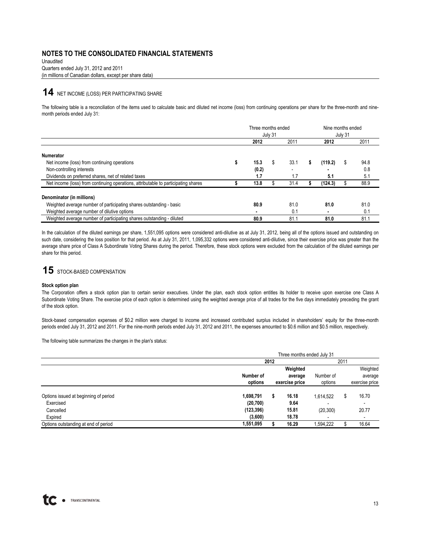(in millions of Canadian dollars, except per share data) Unaudited Quarters ended July 31, 2012 and 2011

### **14** NET INCOME (LOSS) PER PARTICIPATING SHARE

The following table is a reconciliation of the items used to calculate basic and diluted net income (loss) from continuing operations per share for the three-month and ninemonth periods ended July 31:

|                                                                                    | Three months ended<br>July 31 |       |   | Nine months ended<br>July 31 |   |         |   |      |
|------------------------------------------------------------------------------------|-------------------------------|-------|---|------------------------------|---|---------|---|------|
|                                                                                    |                               | 2012  |   | 2011                         |   | 2012    |   | 2011 |
| <b>Numerator</b>                                                                   |                               |       |   |                              |   |         |   |      |
| Net income (loss) from continuing operations                                       |                               | 15.3  | S | 33.1                         | S | (119.2) | S | 94.8 |
| Non-controlling interests                                                          |                               | (0.2) |   |                              |   |         |   | 0.8  |
| Dividends on preferred shares, net of related taxes                                |                               | 1.7   |   | 1.7                          |   | 5.1     |   | 5.1  |
| Net income (loss) from continuing operations, attributable to participating shares |                               | 13.8  |   | 31.4                         |   | (124.3) |   | 88.9 |
| Denominator (in millions)                                                          |                               |       |   |                              |   |         |   |      |
| Weighted average number of participating shares outstanding - basic                |                               | 80.9  |   | 81.0                         |   | 81.0    |   | 81.0 |
| Weighted average number of dilutive options                                        |                               |       |   | 0.1                          |   | ۰       |   | 0.1  |
| Weighted average number of participating shares outstanding - diluted              |                               | 80.9  |   | 81.1                         |   | 81.0    |   | 81.1 |

In the calculation of the diluted earnings per share, 1,551,095 options were considered anti-dilutive as at July 31, 2012, being all of the options issued and outstanding on such date, considering the loss position for that period. As at July 31, 2011, 1,095,332 options were considered anti-dilutive, since their exercise price was greater than the average share price of Class A Subordinate Voting Shares during the period. Therefore, these stock options were excluded from the calculation of the diluted earnings per share for this period.

# 15 STOCK-BASED COMPENSATION

#### **Stock option plan**

The Corporation offers a stock option plan to certain senior executives. Under the plan, each stock option entitles its holder to receive upon exercise one Class A Subordinate Voting Share. The exercise price of each option is determined using the weighted average price of all trades for the five days immediately preceding the grant of the stock option.

Stock-based compensation expenses of \$0.2 million were charged to income and increased contributed surplus included in shareholders' equity for the three-month periods ended July 31, 2012 and 2011. For the nine-month periods ended July 31, 2012 and 2011, the expenses amounted to \$0.6 million and \$0.5 million, respectively.

The following table summarizes the changes in the plan's status:

|                                       | Three months ended July 31 |      |                |           |  |                          |  |  |
|---------------------------------------|----------------------------|------|----------------|-----------|--|--------------------------|--|--|
|                                       |                            | 2012 |                | 2011      |  |                          |  |  |
|                                       |                            |      | Weighted       |           |  | Weighted                 |  |  |
|                                       | Number of                  |      | average        | Number of |  | average                  |  |  |
|                                       | options                    |      | exercise price | options   |  | exercise price           |  |  |
| Options issued at beginning of period | 1,698,791                  |      | 16.18          | 1.614.522 |  | 16.70                    |  |  |
| Exercised                             | (20, 700)                  |      | 9.64           |           |  | -                        |  |  |
| Cancelled                             | (123, 396)                 |      | 15.81          | (20, 300) |  | 20.77                    |  |  |
| Expired                               | (3,600)                    |      | 18.78          |           |  | $\overline{\phantom{a}}$ |  |  |
| Options outstanding at end of period  | 1,551,095                  |      | 16.29          | 1,594,222 |  | 16.64                    |  |  |

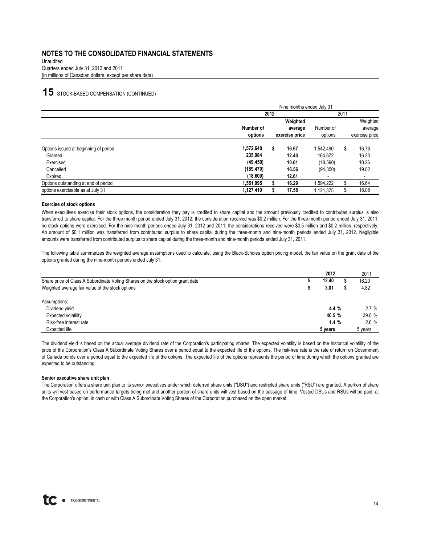Unaudited Quarters ended July 31, 2012 and 2011 (in millions of Canadian dollars, except per share data)

### **15** STOCK-BASED COMPENSATION (CONTINUED)

|                                       | Nine months ended July 31 |      |                |           |  |                |  |  |
|---------------------------------------|---------------------------|------|----------------|-----------|--|----------------|--|--|
|                                       |                           | 2012 |                | 2011      |  |                |  |  |
|                                       |                           |      | Weighted       |           |  | Weighted       |  |  |
|                                       | Number of                 |      | average        | Number of |  | average        |  |  |
|                                       | options                   |      | exercise price | options   |  | exercise price |  |  |
| Options issued at beginning of period | 1,572,640                 |      | 16.67          | 1.542.490 |  | 16.76          |  |  |
| Granted                               | 235,984                   |      | 12.40          | 164.672   |  | 16.20          |  |  |
| Exercised                             | (49, 450)                 |      | 10.01          | (18, 590) |  | 10.26          |  |  |
| Cancelled                             | (189, 479)                |      | 16.56          | (94, 350) |  | 19.02          |  |  |
| Expired                               | (18,600)                  |      | 12.61          |           |  | -              |  |  |
| Options outstanding at end of period  | 1,551,095                 |      | 16.29          | 1.594.222 |  | 16.64          |  |  |
| options exercisable as at July 31     | 1,127,419                 |      | 17.58          | 1,121,375 |  | 18.08          |  |  |

#### **Exercise of stock options**

When executives exercise their stock options, the consideration they pay is credited to share capital and the amount previously credited to contributed surplus is also transferred to share capital. For the three-month period ended July 31, 2012, the consideration received was \$0.2 million. For the three-month period ended July 31, 2011, no stock options were exercised. For the nine-month periods ended July 31, 2012 and 2011, the considerations received were \$0.5 million and \$0.2 million, respectively. An amount of \$0.1 million was transferred from contributed surplus to share capital during the three-month and nine-month periods ended July 31, 2012. Negligible amounts were transferred from contributed surplus to share capital during the three-month and nine-month periods ended July 31, 2011.

The following table summarizes the weighted average assumptions used to calculate, using the Black-Scholes option pricing model, the fair value on the grant date of the options granted during the nine-month periods ended July 31:

|                                                                                 | 2012    | 2011    |
|---------------------------------------------------------------------------------|---------|---------|
| Share price of Class A Subordinate Voting Shares on the stock option grant date | 12.40   | 16.20   |
| Weighted average fair value of the stock options                                | 3.01    | 4.82    |
| Assumptions:                                                                    |         |         |
| Dividend yield                                                                  | 4.4%    | 2.7%    |
| <b>Expected volatility</b>                                                      | 40.5 %  | 39.0%   |
| Risk-free interest rate                                                         | 1.4%    | $2.6\%$ |
| Expected life                                                                   | 5 years | 5 years |

The dividend yield is based on the actual average dividend rate of the Corporation's participating shares. The expected volatility is based on the historical volatility of the price of the Corporation's Class A Subordinate Voting Shares over a period equal to the expected life of the options. The risk-free rate is the rate of return on Government of Canada bonds over a period equal to the expected life of the options. The expected life of the options represents the period of time during which the options granted are expected to be outstanding.

#### **Senior executive share unit plan**

The Corporation offers a share unit plan to its senior executives under which deferred share units ("DSU") and restricted share units ("RSU") are granted. A portion of share units will vest based on performance targets being met and another portion of share units will vest based on the passage of time. Vested DSUs and RSUs will be paid, at the Corporation's option, in cash or with Class A Subordinate Voting Shares of the Corporation purchased on the open market.

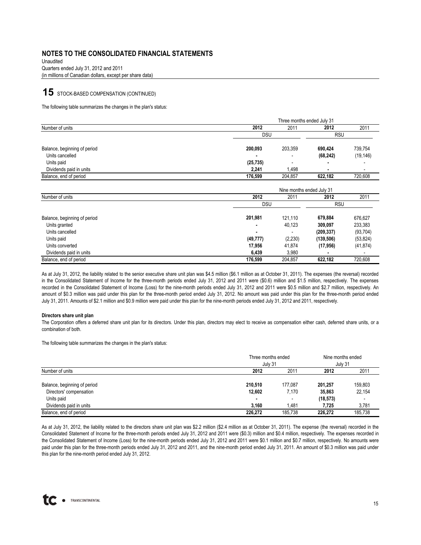Quarters ended July 31, 2012 and 2011 Unaudited (in millions of Canadian dollars, except per share data)

### **15** STOCK-BASED COMPENSATION (CONTINUED)

The following table summarizes the changes in the plan's status:

|                              |            | Three months ended July 31 |           |                          |  |  |  |  |  |
|------------------------------|------------|----------------------------|-----------|--------------------------|--|--|--|--|--|
| Number of units              | 2012       | 2011                       | 2012      | 2011                     |  |  |  |  |  |
|                              | <b>DSU</b> | <b>RSU</b>                 |           |                          |  |  |  |  |  |
| Balance, beginning of period | 200,093    | 203,359                    | 690.424   | 739,754                  |  |  |  |  |  |
| Units cancelled              |            |                            | (68, 242) | (19, 146)                |  |  |  |  |  |
| Units paid                   | (25, 735)  | $\overline{\phantom{a}}$   |           |                          |  |  |  |  |  |
| Dividends paid in units      | 2.241      | 1.498                      | ٠         | $\overline{\phantom{0}}$ |  |  |  |  |  |
| Balance, end of period       | 176.599    | 204.857                    | 622.182   | 720.608                  |  |  |  |  |  |

|                              | Nine months ended July 31 |         |            |                          |  |  |  |  |
|------------------------------|---------------------------|---------|------------|--------------------------|--|--|--|--|
| Number of units              | 2012                      | 2011    | 2012       | 2011                     |  |  |  |  |
|                              | <b>RSU</b><br><b>DSU</b>  |         |            |                          |  |  |  |  |
| Balance, beginning of period | 201,981                   | 121.110 | 679.884    | 676,627                  |  |  |  |  |
| Units granted                | ٠                         | 40,123  | 309,097    | 233,383                  |  |  |  |  |
| Units cancelled              | ٠                         |         | (209, 337) | (93, 704)                |  |  |  |  |
| Units paid                   | (49, 777)                 | (2,230) | (139, 506) | (53, 824)                |  |  |  |  |
| Units converted              | 17,956                    | 41.874  | (17, 956)  | (41, 874)                |  |  |  |  |
| Dividends paid in units      | 6,439                     | 3,980   |            | $\overline{\phantom{a}}$ |  |  |  |  |
| Balance, end of period       | 176.599                   | 204,857 | 622.182    | 720,608                  |  |  |  |  |

As at July 31, 2012, the liability related to the senior executive share unit plan was \$4.5 million (\$6.1 million as at October 31, 2011). The expenses (the reversal) recorded in the Consolidated Statement of Income for the three-month periods ended July 31, 2012 and 2011 were (\$0.6) million and \$1.5 million, respectively. The expenses recorded in the Consolidated Statement of Income (Loss) for the nine-month periods ended July 31, 2012 and 2011 were \$0.5 million and \$2.7 million, respectively. An amount of \$0.3 million was paid under this plan for the three-month period ended July 31, 2012. No amount was paid under this plan for the three-month period ended July 31, 2011. Amounts of \$2.1 million and \$0.9 million were paid under this plan for the nine-month periods ended July 31, 2012 and 2011, respectively.

#### **Directors share unit plan**

The Corporation offers a deferred share unit plan for its directors. Under this plan, directors may elect to receive as compensation either cash, deferred share units, or a combination of both.

The following table summarizes the changes in the plan's status:

|                              |         | Three months ended<br>July 31 |           |         |  |
|------------------------------|---------|-------------------------------|-----------|---------|--|
| Number of units              | 2012    | 2011                          | 2012      | 2011    |  |
| Balance, beginning of period | 210,510 | 177.087                       | 201.257   | 159,803 |  |
| Directors' compensation      | 12,602  | 7.170                         | 35,863    | 22,154  |  |
| Units paid                   | ٠       | $\overline{\phantom{a}}$      | (18, 573) |         |  |
| Dividends paid in units      | 3.160   | 1.481                         | 7.725     | 3.781   |  |
| Balance, end of period       | 226.272 | 185.738                       | 226.272   | 185.738 |  |

As at July 31, 2012, the liability related to the directors share unit plan was \$2.2 million (\$2.4 million as at October 31, 2011). The expense (the reversal) recorded in the Consolidated Statement of Income for the three-month periods ended July 31, 2012 and 2011 were (\$0.3) million and \$0.4 million, respectively. The expenses recorded in the Consolidated Statement of Income (Loss) for the nine-month periods ended July 31, 2012 and 2011 were \$0.1 million and \$0.7 million, respectively. No amounts were paid under this plan for the three-month periods ended July 31, 2012 and 2011, and the nine-month period ended July 31, 2011. An amount of \$0.3 million was paid under this plan for the nine-month period ended July 31, 2012.

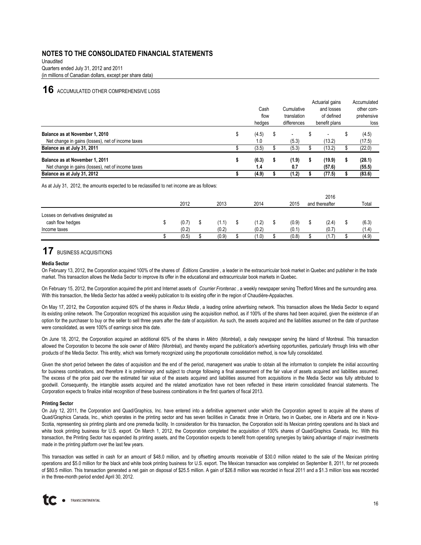(in millions of Canadian dollars, except per share data) Unaudited Quarters ended July 31, 2012 and 2011

### **16** ACCUMULATED OTHER COMPREHENSIVE LOSS

|                                                   | Cash<br>flow<br>hedges |   | Cumulative<br>translation<br>differences |   | Actuarial gains<br>and losses<br>of defined<br>benefit plans | Accumulated<br>other com-<br>prehensive<br>loss |
|---------------------------------------------------|------------------------|---|------------------------------------------|---|--------------------------------------------------------------|-------------------------------------------------|
| Balance as at November 1, 2010                    | (4.5)                  | S |                                          |   |                                                              | (4.5)                                           |
| Net change in gains (losses), net of income taxes | 1.0                    |   | (5.3)                                    |   | (13.2)                                                       | (17.5)                                          |
| Balance as at July 31, 2011                       | (3.5)                  |   | (5.3)                                    |   | (13.2)                                                       | (22.0)                                          |
| Balance as at November 1, 2011                    | (6.3)                  |   | (1.9)                                    | s | (19.9)                                                       | (28.1)                                          |
| Net change in gains (losses), net of income taxes | 1.4                    |   | 0.7                                      |   | (57.6)                                                       | (55.5)                                          |
| Balance as at July 31, 2012                       | (4.9)                  |   | (1.2)                                    |   | (77.5)                                                       | (83.6)                                          |

As at July 31, 2012, the amounts expected to be reclassified to net income are as follows:

|                                                         |       |       |       |       |  | 2016             |  |       |
|---------------------------------------------------------|-------|-------|-------|-------|--|------------------|--|-------|
|                                                         | 2012  | 2013  | 2014  | 2015  |  | and thereafter   |  | Total |
| Losses on derivatives designated as<br>cash flow hedges | (0.7) | (1.1) | (1.2) | (0.9) |  | (2.4)            |  | (6.3) |
| Income taxes                                            | (0.2) | (0.2) | (0.2) | (0.1) |  | (0.7)            |  | (1.4) |
|                                                         | (0.5) | (0.9) | (1.0) | (0.8) |  | 1.7 <sup>5</sup> |  | (4.9) |

## **17** BUSINESS ACQUISITIONS

#### **Media Sector**

On February 13, 2012, the Corporation acquired 100% of the shares of *Éditions Caractère* , a leader in the extracurricular book market in Quebec and publisher in the trade market. This transaction allows the Media Sector to improve its offer in the educational and extracurricular book markets in Quebec.

On February 15, 2012, the Corporation acquired the print and Internet assets of *Courrier Frontenac* , a weekly newspaper serving Thetford Mines and the surrounding area. With this transaction, the Media Sector has added a weekly publication to its existing offer in the region of Chaudière-Appalaches.

On May 17, 2012, the Corporation acquired 60% of the shares in *Redux Media* , a leading online advertising network. This transaction allows the Media Sector to expand its existing online network. The Corporation recognized this acquisition using the acquisition method, as if 100% of the shares had been acquired, given the existence of an option for the purchaser to buy or the seller to sell three years after the date of acquisition. As such, the assets acquired and the liabilities assumed on the date of purchase were consolidated, as were 100% of earnings since this date.

On June 18, 2012, the Corporation acquired an additional 60% of the shares in *Métro* (Montréal), a daily newspaper serving the Island of Montreal. This transaction allowed the Corporation to become the sole owner of *Métro* (Montréal), and thereby expand the publication's advertising opportunities, particularly through links with other products of the Media Sector. This entity, which was formerly recognized using the proportionate consolidation method, is now fully consolidated.

Given the short period between the dates of acquisition and the end of the period, management was unable to obtain all the information to complete the initial accounting for business combinations, and therefore it is preliminary and subject to change following a final assessment of the fair value of assets acquired and liabilities assumed. The excess of the price paid over the estimated fair value of the assets acquired and liabilities assumed from acquisitions in the Media Sector was fully attributed to goodwill. Consequently, the intangible assets acquired and the related amortization have not been reflected in these interim consolidated financial statements. The Corporation expects to finalize initial recognition of these business combinations in the first quarters of fiscal 2013.

#### **Printing Sector**

On July 12, 2011, the Corporation and Quad/Graphics, Inc. have entered into a definitive agreement under which the Corporation agreed to acquire all the shares of Quad/Graphics Canada, Inc., which operates in the printing sector and has seven facilities in Canada: three in Ontario, two in Quebec, one in Alberta and one in Nova-Scotia, representing six printing plants and one premedia facility. In consideration for this transaction, the Corporation sold its Mexican printing operations and its black and white book printing business for U.S. export. On March 1, 2012, the Corporation completed the acquisition of 100% shares of Quad/Graphics Canada, Inc. With this transaction, the Printing Sector has expanded its printing assets, and the Corporation expects to benefit from operating synergies by taking advantage of major investments made in the printing platform over the last few years.

This transaction was settled in cash for an amount of \$48.0 million, and by offsetting amounts receivable of \$30.0 million related to the sale of the Mexican printing operations and \$5.0 million for the black and white book printing business for U.S. export. The Mexican transaction was completed on September 8, 2011, for net proceeds of \$80.5 million. This transaction generated a net gain on disposal of \$25.5 million. A gain of \$26.8 million was recorded in fiscal 2011 and a \$1.3 million loss was recorded in the three-month period ended April 30, 2012.

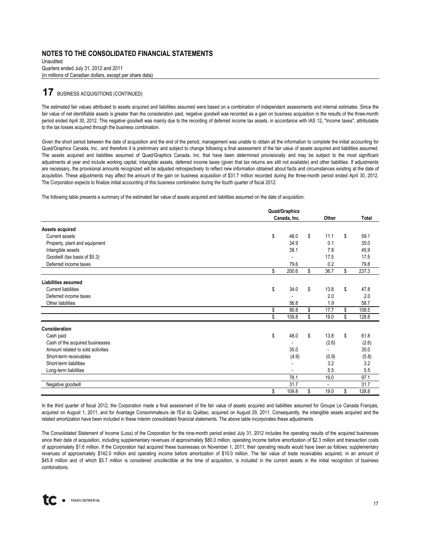Unaudited Quarters ended July 31, 2012 and 2011 (in millions of Canadian dollars, except per share data)

### **17** BUSINESS ACQUISITIONS (CONTINUED)

The estimated fair values attributed to assets acquired and liabilities assumed were based on a combination of independent assessments and internal estimates. Since the fair value of net identifiable assets is greater than the consideration paid, negative goodwill was recorded as a gain on business acquisition in the results of the three-month period ended April 30, 2012. This negative goodwill was mainly due to the recording of deferred income tax assets, in accordance with IAS 12, "Income taxes", attributable to the tax losses acquired through the business combination.

Given the short period between the date of acquisition and the end of the period, management was unable to obtain all the information to complete the initial accounting for Quad/Graphics Canada, Inc., and therefore it is preliminary and subject to change following a final assessment of the fair value of assets acquired and liabilities assumed. The assets acquired and liabilities assumed of Quad/Graphics Canada, Inc. that have been determined provisionally and may be subject to the most significant adjustments at year end include working capital, intangible assets, deferred income taxes (given that tax returns are still not available) and other liabilities. If adjustments are necessary, the provisional amounts recognized will be adjusted retrospectively to reflect new information obtained about facts and circumstances existing at the date of acquisition. These adjustments may affect the amount of the gain on business acquisition of \$31.7 million recorded during the three-month period ended April 30, 2012. The Corporation expects to finalize initial accounting of this business combination during the fourth quarter of fiscal 2012.

The following table presents a summary of the estimated fair value of assets acquired and liabilities assumed on the date of acquisition:

|                                   | <b>Quad/Graphics</b> |                |             |
|-----------------------------------|----------------------|----------------|-------------|
|                                   | Canada, Inc.         | Other          | Total       |
| Assets acquired                   |                      |                |             |
| Current assets                    | \$<br>48.0           | \$<br>11.1     | \$<br>59.1  |
| Property, plant and equipment     | 34.9                 | 0.1            | 35.0        |
| Intangible assets                 | 38.1                 | 7.8            | 45.9        |
| Goodwill (tax basis of \$5.3)     |                      | 17.5           | 17.5        |
| Deferred income taxes             | 79.6                 | 0.2            | 79.8        |
|                                   | \$<br>200.6          | \$<br>36.7     | \$<br>237.3 |
| Liabilities assumed               |                      |                |             |
| <b>Current liabilities</b>        | \$<br>34.0           | \$<br>13.8     | \$<br>47.8  |
| Deferred income taxes             |                      | 2.0            | 2.0         |
| Other liabilities                 | 56.8                 | 1.9            | 58.7        |
|                                   | \$<br>90.8           | \$<br>17.7     | \$<br>108.5 |
|                                   | \$<br>109.8          | \$<br>19.0     | \$<br>128.8 |
| Consideration                     |                      |                |             |
| Cash paid                         | \$<br>48.0           | \$<br>13.8     | \$<br>61.8  |
| Cash of the acquired businesses   |                      | (2.6)          | (2.6)       |
| Amount related to sold activities | 35.0                 |                | 35.0        |
| Short-term receivables            | (4.9)                | (0.9)          | (5.8)       |
| Short-term liabilities            |                      | 3.2            | 3.2         |
| Long-term liabilities             |                      | 5.5            | 5.5         |
|                                   | 78.1                 | 19.0           | 97.1        |
| Negative goodwill                 | 31.7                 | $\overline{a}$ | 31.7        |
|                                   | \$<br>109.8          | \$<br>19.0     | \$<br>128.8 |

In the third quarter of fiscal 2012, the Corporation made a final assessment of the fair value of assets acquired and liabilities assumed for Groupe Le Canada Français, acquired on August 1, 2011, and for Avantage Consommateurs de l'Est du Québec, acquired on August 29, 2011. Consequently, the intangible assets acquired and the related amortization have been included in these interim consolidated financial statements. The above table incorporates these adjustments.

The Consolidated Statement of Income (Loss) of the Corporation for the nine-month period ended July 31, 2012 includes the operating results of the acquired businesses since their date of acquisition, including supplementary revenues of approximately \$80.0 million, operating income before amortization of \$2.3 million and transaction costs of approximately \$1.6 million. If the Corporation had acquired these businesses on November 1, 2011, their operating results would have been as follows: supplementary revenues of approximately \$142.0 million and operating income before amortization of \$10.0 million. The fair value of trade receivables acquired, in an amount of \$45.8 million and of which \$5.7 million is considered uncollectible at the time of acquisition, is included in the current assets in the initial recognition of business combinations.

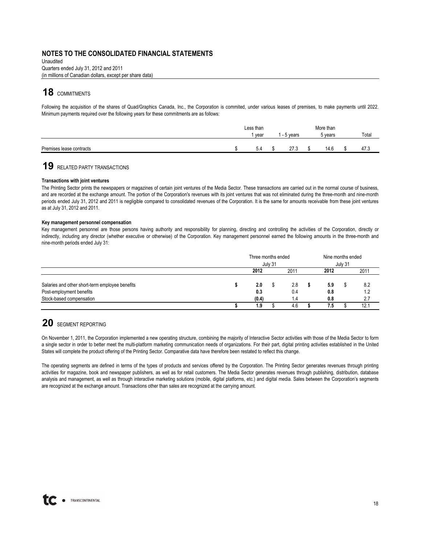(in millions of Canadian dollars, except per share data) Quarters ended July 31, 2012 and 2011 Unaudited

# 18 COMMITMENTS

Following the acquisition of the shares of Quad/Graphics Canada, Inc., the Corporation is commited, under various leases of premises, to make payments until 2022. Minimum payments required over the following years for these commitments are as follows:

|                          | Less than |           | More than |       |
|--------------------------|-----------|-----------|-----------|-------|
|                          | l vear    | - 5 vears | 5 vears   | Total |
|                          |           |           |           |       |
| Premises lease contracts | 5.4       | 27.3      | 14.6      | 47.3  |

# **19** RELATED PARTY TRANSACTIONS

#### **Transactions with joint ventures**

The Printing Sector prints the newspapers or magazines of certain joint ventures of the Media Sector. These transactions are carried out in the normal course of business, and are recorded at the exchange amount. The portion of the Corporation's revenues with its joint ventures that was not eliminated during the three-month and nine-month periods ended July 31, 2012 and 2011 is negligible compared to consolidated revenues of the Corporation. It is the same for amounts receivable from these joint ventures as at July 31, 2012 and 2011.

#### **Key management personnel compensation**

Key management personnel are those persons having authority and responsibility for planning, directing and controlling the activities of the Corporation, directly or indirectly, including any director (whether executive or otherwise) of the Corporation. Key management personnel earned the following amounts in the three-month and nine-month periods ended July 31:

|                                                                                                         | Three months ended  | July 31 |                   | Nine months ended<br>July 31 |  |                   |
|---------------------------------------------------------------------------------------------------------|---------------------|---------|-------------------|------------------------------|--|-------------------|
|                                                                                                         | 2012                |         | 2011              | 2012                         |  | 2011              |
| Salaries and other short-term employee benefits<br>Post-employment benefits<br>Stock-based compensation | 2.0<br>0.3<br>(0.4) |         | 2.8<br>0.4<br>1.4 | 5.9<br>0.8<br>0.8            |  | 8.2<br>1.2<br>2.7 |
|                                                                                                         | 1.9                 |         | 4.6               | 7.5                          |  | 12.1              |

# **20** SEGMENT REPORTING

On November 1, 2011, the Corporation implemented a new operating structure, combining the majority of Interactive Sector activities with those of the Media Sector to form a single sector in order to better meet the multi-platform marketing communication needs of organizations. For their part, digital printing activities established in the United States will complete the product offering of the Printing Sector. Comparative data have therefore been restated to reflect this change.

The operating segments are defined in terms of the types of products and services offered by the Corporation. The Printing Sector generates revenues through printing activities for magazine, book and newspaper publishers, as well as for retail customers. The Media Sector generates revenues through publishing, distribution, database analysis and management, as well as through interactive marketing solutions (mobile, digital platforms, etc.) and digital media. Sales between the Corporation's segments are recognized at the exchange amount. Transactions other than sales are recognized at the carrying amount.

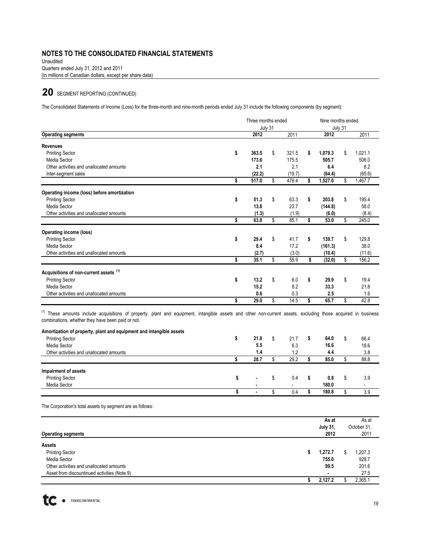(in millions of Canadian dollars, except per share data) Unaudited Quarters ended July 31, 2012 and 2011

# **20** SEGMENT REPORTING (CONTINUED)

The Consolidated Statements of Income (Loss) for the three-month and nine-month periods ended July 31 include the following components (by segment):

| July 31<br>2012<br>363.5<br>173.6<br>2.1<br>(22.2)<br>517.0<br>51.3<br>13.8 | \$<br>\$<br>\$                               | 2011<br>321.5<br>175.5<br>2.1<br>(19.7)<br>479.4 | \$<br>\$                                     | 2012<br>1,079.3<br>505.7<br>6.4<br>(64.4)<br>1,527.0 | July 31<br>\$<br>\$                                  | 2011<br>1.021.1<br>506.0<br>6.2<br>(65.6)<br>1,467.7                                                                                                                                             |
|-----------------------------------------------------------------------------|----------------------------------------------|--------------------------------------------------|----------------------------------------------|------------------------------------------------------|------------------------------------------------------|--------------------------------------------------------------------------------------------------------------------------------------------------------------------------------------------------|
|                                                                             |                                              |                                                  |                                              |                                                      |                                                      |                                                                                                                                                                                                  |
|                                                                             |                                              |                                                  |                                              |                                                      |                                                      |                                                                                                                                                                                                  |
|                                                                             |                                              |                                                  |                                              |                                                      |                                                      |                                                                                                                                                                                                  |
|                                                                             |                                              |                                                  |                                              |                                                      |                                                      |                                                                                                                                                                                                  |
|                                                                             |                                              |                                                  |                                              |                                                      |                                                      |                                                                                                                                                                                                  |
|                                                                             |                                              |                                                  |                                              |                                                      |                                                      |                                                                                                                                                                                                  |
|                                                                             |                                              |                                                  |                                              |                                                      |                                                      |                                                                                                                                                                                                  |
|                                                                             |                                              |                                                  |                                              |                                                      |                                                      |                                                                                                                                                                                                  |
|                                                                             |                                              | 63.3                                             | \$                                           | 203.8                                                | \$                                                   | 195.4                                                                                                                                                                                            |
|                                                                             |                                              | 23.7                                             |                                              | (144.8)                                              |                                                      | 58.0                                                                                                                                                                                             |
| (1.3)                                                                       |                                              | (1.9)                                            |                                              | (6.0)                                                |                                                      | (8.4)                                                                                                                                                                                            |
|                                                                             |                                              | 85.1                                             | Ŝ                                            |                                                      |                                                      | 245.0                                                                                                                                                                                            |
|                                                                             |                                              |                                                  |                                              |                                                      |                                                      |                                                                                                                                                                                                  |
|                                                                             |                                              |                                                  |                                              |                                                      |                                                      | 129.8                                                                                                                                                                                            |
|                                                                             |                                              |                                                  |                                              |                                                      |                                                      | 38.0                                                                                                                                                                                             |
|                                                                             |                                              |                                                  |                                              |                                                      |                                                      |                                                                                                                                                                                                  |
|                                                                             |                                              |                                                  |                                              |                                                      |                                                      | (11.6)                                                                                                                                                                                           |
|                                                                             |                                              |                                                  |                                              |                                                      |                                                      | 156.2                                                                                                                                                                                            |
|                                                                             |                                              |                                                  |                                              |                                                      |                                                      |                                                                                                                                                                                                  |
| 13.2                                                                        | \$                                           | 6.0                                              | \$                                           | 29.9                                                 | \$                                                   | 19.4                                                                                                                                                                                             |
| 15.2                                                                        |                                              | 8.2                                              |                                              | 33.3                                                 |                                                      | 21.8                                                                                                                                                                                             |
| 0.6                                                                         |                                              |                                                  |                                              | 2.5                                                  |                                                      | 1.6                                                                                                                                                                                              |
| 29.0                                                                        | \$                                           | 14.5                                             | \$                                           | 65.7                                                 | \$                                                   | 42.8                                                                                                                                                                                             |
|                                                                             |                                              |                                                  |                                              |                                                      |                                                      |                                                                                                                                                                                                  |
|                                                                             |                                              |                                                  |                                              |                                                      |                                                      |                                                                                                                                                                                                  |
| 21.8                                                                        | \$                                           | 21.7                                             | \$                                           | 64.0                                                 | \$                                                   | 66.4                                                                                                                                                                                             |
| 5.5                                                                         |                                              | 6.3                                              |                                              | 16.6                                                 |                                                      | 18.6                                                                                                                                                                                             |
| 1.4                                                                         |                                              | 1.2                                              |                                              | 4.4                                                  |                                                      | 3.8                                                                                                                                                                                              |
|                                                                             |                                              |                                                  |                                              |                                                      |                                                      | 88.8                                                                                                                                                                                             |
|                                                                             |                                              |                                                  |                                              |                                                      |                                                      |                                                                                                                                                                                                  |
|                                                                             | \$                                           | 0.4                                              | \$                                           | 0.8                                                  | \$                                                   | 3.9                                                                                                                                                                                              |
|                                                                             |                                              |                                                  |                                              | 180.0                                                |                                                      |                                                                                                                                                                                                  |
|                                                                             | \$                                           | 0.4                                              | \$                                           | 180.8                                                | \$                                                   | 3.9                                                                                                                                                                                              |
|                                                                             | 63.8<br>29.4<br>8.4<br>(2.7)<br>35.1<br>28.7 | \$<br>\$<br>\$<br>\$                             | 41.7<br>17.2<br>(3.0)<br>55.9<br>0.3<br>29.2 | \$<br>\$<br>\$                                       | 53.0<br>139.7<br>(161.3)<br>(10.4)<br>(32.0)<br>85.0 | \$<br>\$<br>\$<br><sup>(1)</sup> These amounts include acquisitions of property, plant and equipment, intangible assets and other non-current assets, excluding those acquired in business<br>\$ |

| <b>Operating segments</b>                    | As at<br><b>July 31,</b><br>2012 | As at<br>October 31,<br>2011 |
|----------------------------------------------|----------------------------------|------------------------------|
| Assets                                       |                                  |                              |
| <b>Printing Sector</b>                       | 1.272.7                          | 1,207.3                      |
| Media Sector                                 | 755.0                            | 928.7                        |
| Other activities and unallocated amounts     | 99.5                             | 201.6                        |
| Asset from discountinued activities (Note 9) |                                  | 27.5                         |
|                                              | 2,127.2                          | 2,365.1                      |

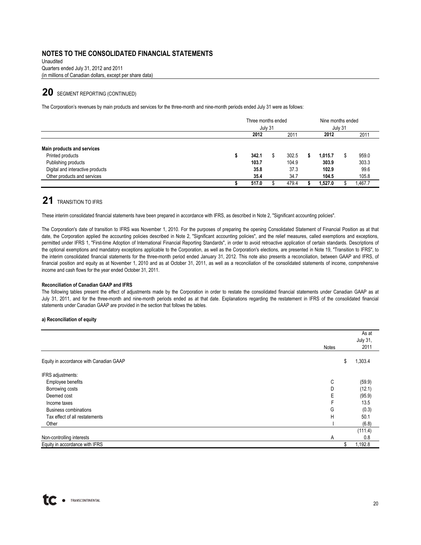Unaudited Quarters ended July 31, 2012 and 2011 (in millions of Canadian dollars, except per share data)

# 20 SEGMENT REPORTING (CONTINUED)

The Corporation's revenues by main products and services for the three-month and nine-month periods ended July 31 were as follows:

|                                  | Three months ended<br>July 31 |  |       | Nine months ended<br>July 31 |         |  |        |
|----------------------------------|-------------------------------|--|-------|------------------------------|---------|--|--------|
|                                  | 2012                          |  | 2011  |                              | 2012    |  | 2011   |
| Main products and services       |                               |  |       |                              |         |  |        |
| Printed products                 | 342.1                         |  | 302.5 |                              | 1.015.7 |  | 959.0  |
| Publishing products              | 103.7                         |  | 104.9 |                              | 303.9   |  | 303.3  |
| Digital and interactive products | 35.8                          |  | 37.3  |                              | 102.9   |  | 99.6   |
| Other products and services      | 35.4                          |  | 34.7  |                              | 104.5   |  | 105.8  |
|                                  | 517.0                         |  | 479.4 |                              | 1.527.0 |  | .467.7 |

# **21** TRANSITION TO IFRS

These interim consolidated financial statements have been prepared in accordance with IFRS, as described in Note 2, "Significant accounting policies".

The Corporation's date of transition to IFRS was November 1, 2010. For the purposes of preparing the opening Consolidated Statement of Financial Position as at that date, the Corporation applied the accounting policies described in Note 2, "Significant accounting policies", and the relief measures, called exemptions and exceptions, permitted under IFRS 1, "First-time Adoption of International Financial Reporting Standards", in order to avoid retroactive application of certain standards. Descriptions of the optional exemptions and mandatory exceptions applicable to the Corporation, as well as the Corporation's elections, are presented in Note 19, "Transition to IFRS", to the interim consolidated financial statements for the three-month period ended January 31, 2012. This note also presents a reconciliation, between GAAP and IFRS, of financial position and equity as at November 1, 2010 and as at October 31, 2011, as well as a reconciliation of the consolidated statements of income, comprehensive income and cash flows for the year ended October 31, 2011.

#### **Reconciliation of Canadian GAAP and IFRS**

The following tables present the effect of adjustments made by the Corporation in order to restate the consolidated financial statements under Canadian GAAP as at July 31, 2011, and for the three-month and nine-month periods ended as at that date. Explanations regarding the restatement in IFRS of the consolidated financial statements under Canadian GAAP are provided in the section that follows the tables.

#### **a) Reconciliation of equity**

|                                         | Notes | As at<br><b>July 31,</b><br>2011 |
|-----------------------------------------|-------|----------------------------------|
| Equity in accordance with Canadian GAAP |       | 1,303.4<br>\$                    |
| IFRS adjustments:                       |       |                                  |
| Employee benefits                       | С     | (59.9)                           |
| Borrowing costs                         | D     | (12.1)                           |
| Deemed cost                             | Е     | (95.9)                           |
| Income taxes                            | F     | 13.5                             |
| <b>Business combinations</b>            | G     | (0.3)                            |
| Tax effect of all restatements          | Н     | 50.1                             |
| Other                                   |       | (6.8)                            |
|                                         |       | (111.4)                          |
| Non-controlling interests               | Α     | 0.8                              |
| Equity in accordance with IFRS          |       | 1,192.8                          |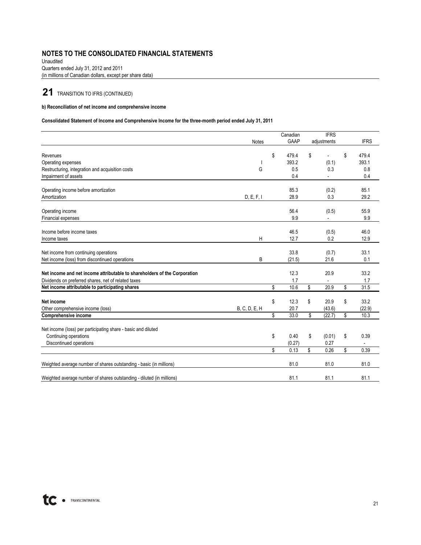(in millions of Canadian dollars, except per share data) Unaudited Quarters ended July 31, 2012 and 2011

# **21** TRANSITION TO IFRS (CONTINUED)

#### **b) Reconciliation of net income and comprehensive income**

### **Consolidated Statement of Income and Comprehensive Income for the three-month period ended July 31, 2011**

|                                                                           |               | Canadian    | <b>IFRS</b>          |             |
|---------------------------------------------------------------------------|---------------|-------------|----------------------|-------------|
|                                                                           | <b>Notes</b>  | <b>GAAP</b> | adjustments          | <b>IFRS</b> |
|                                                                           |               |             |                      |             |
| Revenues                                                                  |               | \$<br>479.4 | \$<br>$\blacksquare$ | \$<br>479.4 |
| Operating expenses                                                        |               | 393.2       | (0.1)                | 393.1       |
| Restructuring, integration and acquisition costs                          | G             | 0.5         | 0.3                  | 0.8         |
| Impairment of assets                                                      |               | 0.4         |                      | 0.4         |
|                                                                           |               |             |                      |             |
| Operating income before amortization                                      |               | 85.3        | (0.2)                | 85.1        |
| Amortization                                                              | D, E, F, I    | 28.9        | 0.3                  | 29.2        |
| Operating income                                                          |               | 56.4        | (0.5)                | 55.9        |
| Financial expenses                                                        |               | 9.9         |                      | 9.9         |
|                                                                           |               |             |                      |             |
| Income before income taxes                                                |               | 46.5        | (0.5)                | 46.0        |
| Income taxes                                                              | Η             | 12.7        | 0.2                  | 12.9        |
| Net income from continuing operations                                     |               | 33.8        | (0.7)                | 33.1        |
| Net income (loss) from discontinued operations                            | B             | (21.5)      | 21.6                 | 0.1         |
|                                                                           |               |             |                      |             |
| Net income and net income attributable to shareholders of the Corporation |               | 12.3        | 20.9                 | 33.2        |
| Dividends on preferred shares, net of related taxes                       |               | 1.7         |                      | 1.7         |
| Net income attributable to participating shares                           |               | \$<br>10.6  | \$<br>20.9           | \$<br>31.5  |
| Net income                                                                |               | \$<br>12.3  | \$<br>20.9           | \$<br>33.2  |
| Other comprehensive income (loss)                                         | B, C, D, E, H | 20.7        | (43.6)               | (22.9)      |
| <b>Comprehensive income</b>                                               |               | \$<br>33.0  | \$<br>(22.7)         | \$<br>10.3  |
|                                                                           |               |             |                      |             |
| Net income (loss) per participating share - basic and diluted             |               |             |                      |             |
| Continuing operations                                                     |               | \$<br>0.40  | \$<br>(0.01)         | \$<br>0.39  |
| Discontinued operations                                                   |               | (0.27)      | 0.27                 |             |
|                                                                           |               | \$<br>0.13  | \$<br>0.26           | \$<br>0.39  |
| Weighted average number of shares outstanding - basic (in millions)       |               | 81.0        | 81.0                 | 81.0        |
| Weighted average number of shares outstanding - diluted (in millions)     |               | 81.1        | 81.1                 | 81.1        |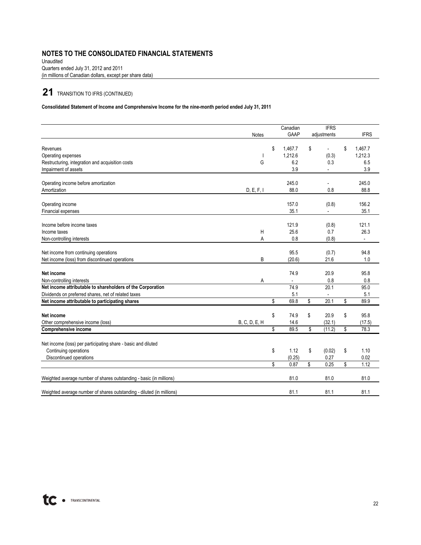Unaudited Quarters ended July 31, 2012 and 2011 (in millions of Canadian dollars, except per share data)

# **21** TRANSITION TO IFRS (CONTINUED)

### **Consolidated Statement of Income and Comprehensive Income for the nine-month period ended July 31, 2011**

|                                                                       | <b>Notes</b>  | Canadian<br>GAAP         | <b>IFRS</b><br>adjustments | <b>IFRS</b>              |
|-----------------------------------------------------------------------|---------------|--------------------------|----------------------------|--------------------------|
| Revenues                                                              |               | \$<br>1,467.7            | \$<br>$\overline{a}$       | \$<br>1,467.7            |
| Operating expenses                                                    |               | 1,212.6                  | (0.3)                      | 1,212.3                  |
| Restructuring, integration and acquisition costs                      | G             | 6.2                      | 0.3                        | 6.5                      |
| Impairment of assets                                                  |               | 3.9                      |                            | 3.9                      |
| Operating income before amortization                                  |               | 245.0                    |                            | 245.0                    |
| Amortization                                                          | D, E, F, I    | 88.0                     | 0.8                        | 88.8                     |
| Operating income                                                      |               | 157.0                    | (0.8)                      | 156.2                    |
| Financial expenses                                                    |               | 35.1                     |                            | 35.1                     |
| Income before income taxes                                            |               | 121.9                    | (0.8)                      | 121.1                    |
| Income taxes                                                          | H             | 25.6                     | 0.7                        | 26.3                     |
| Non-controlling interests                                             | Α             | 0.8                      | (0.8)                      | $\overline{\phantom{a}}$ |
| Net income from continuing operations                                 |               | 95.5                     | (0.7)                      | 94.8                     |
| Net income (loss) from discontinued operations                        | B             | (20.6)                   | 21.6                       | 1.0                      |
| Net income                                                            |               | 74.9                     | 20.9                       | 95.8                     |
| Non-controlling interests                                             | A             | $\overline{\phantom{a}}$ | 0.8                        | 0.8                      |
| Net income attributable to shareholders of the Corporation            |               | 74.9                     | 20.1                       | 95.0                     |
| Dividends on preferred shares, net of related taxes                   |               | 5.1                      |                            | 5.1                      |
| Net income attributable to participating shares                       |               | \$<br>69.8               | \$<br>20.1                 | \$<br>89.9               |
| Net income                                                            |               | \$<br>74.9               | \$<br>20.9                 | \$<br>95.8               |
| Other comprehensive income (loss)                                     | B, C, D, E, H | 14.6                     | (32.1)                     | (17.5)                   |
| Comprehensive income                                                  |               | \$<br>89.5               | \$<br>(11.2)               | \$<br>78.3               |
| Net income (loss) per participating share - basic and diluted         |               |                          |                            |                          |
| Continuing operations                                                 |               | \$<br>1.12               | \$<br>(0.02)               | \$<br>1.10               |
| Discontinued operations                                               |               | (0.25)                   | 0.27                       | 0.02                     |
|                                                                       |               | \$<br>0.87               | \$<br>0.25                 | \$<br>1.12               |
| Weighted average number of shares outstanding - basic (in millions)   |               | 81.0                     | 81.0                       | 81.0                     |
| Weighted average number of shares outstanding - diluted (in millions) |               | 81.1                     | 81.1                       | 81.1                     |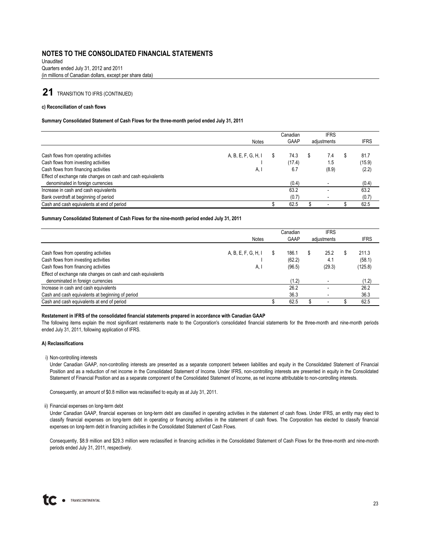(in millions of Canadian dollars, except per share data) Unaudited Quarters ended July 31, 2012 and 2011

# **21** TRANSITION TO IFRS (CONTINUED)

#### **c) Reconciliation of cash flows**

#### **Summary Consolidated Statement of Cash Flows for the three-month period ended July 31, 2011**

|                                                              |                     | Canadian    | <b>IFRS</b>              |             |
|--------------------------------------------------------------|---------------------|-------------|--------------------------|-------------|
|                                                              | <b>Notes</b>        | <b>GAAP</b> | adjustments              | <b>IFRS</b> |
|                                                              |                     |             |                          |             |
| Cash flows from operating activities                         | A, B, E, F, G, H, I | 74.3        | 7.4                      | 81.7        |
| Cash flows from investing activities                         |                     | (17.4)      | 1.5                      | (15.9)      |
| Cash flows from financing activities                         | A, I                | 6.7         | (8.9)                    | (2.2)       |
| Effect of exchange rate changes on cash and cash equivalents |                     |             |                          |             |
| denominated in foreign currencies                            |                     | (0.4)       |                          | (0.4)       |
| Increase in cash and cash equivalents                        |                     | 63.2        |                          | 63.2        |
| Bank overdraft at beginning of period                        |                     | (0.7)       |                          | (0.7)       |
| Cash and cash equivalents at end of period                   |                     | 62.5        | $\overline{\phantom{0}}$ | 62.5        |

#### **Summary Consolidated Statement of Cash Flows for the nine-month period ended July 31, 2011**

|                                                              |                     | Canadian |             | <b>IFRS</b> |             |
|--------------------------------------------------------------|---------------------|----------|-------------|-------------|-------------|
|                                                              | <b>Notes</b>        | GAAP     | adjustments |             | <b>IFRS</b> |
|                                                              |                     |          |             |             |             |
| Cash flows from operating activities                         | A, B, E, F, G, H, I | 186.1    |             | 25.2        | 211.3       |
| Cash flows from investing activities                         |                     | (62.2)   |             | 4.1         | (58.1)      |
| Cash flows from financing activities                         | A, I                | (96.5)   |             | (29.3)      | (125.8)     |
| Effect of exchange rate changes on cash and cash equivalents |                     |          |             |             |             |
| denominated in foreign currencies                            |                     | (1.2)    |             |             | (1.2)       |
| Increase in cash and cash equivalents                        |                     | 26.2     |             |             | 26.2        |
| Cash and cash equivalents at beginning of period             |                     | 36.3     |             |             | 36.3        |
| Cash and cash equivalents at end of period                   |                     | 62.5     |             | -           | 62.5        |

#### **Restatement in IFRS of the consolidated financial statements prepared in accordance with Canadian GAAP**

The following items explain the most significant restatements made to the Corporation's consolidated financial statements for the three-month and nine-month periods ended July 31, 2011, following application of IFRS.

#### **A) Reclassifications**

#### i) Non-controlling interests

Under Canadian GAAP, non-controlling interests are presented as a separate component between liabilities and equity in the Consolidated Statement of Financial Position and as a reduction of net income in the Consolidated Statement of Income. Under IFRS, non-controlling interests are presented in equity in the Consolidated Statement of Financial Position and as a separate component of the Consolidated Statement of Income, as net income attributable to non-controlling interests.

Consequently, an amount of \$0.8 million was reclassified to equity as at July 31, 2011.

#### ii) Financial expenses on long-term debt

Under Canadian GAAP, financial expenses on long-term debt are classified in operating activities in the statement of cash flows. Under IFRS, an entity may elect to classify financial expenses on long-term debt in operating or financing activities in the statement of cash flows. The Corporation has elected to classify financial expenses on long-term debt in financing activities in the Consolidated Statement of Cash Flows.

Consequently, \$8.9 million and \$29.3 million were reclassified in financing activities in the Consolidated Statement of Cash Flows for the three-month and nine-month periods ended July 31, 2011, respectively.

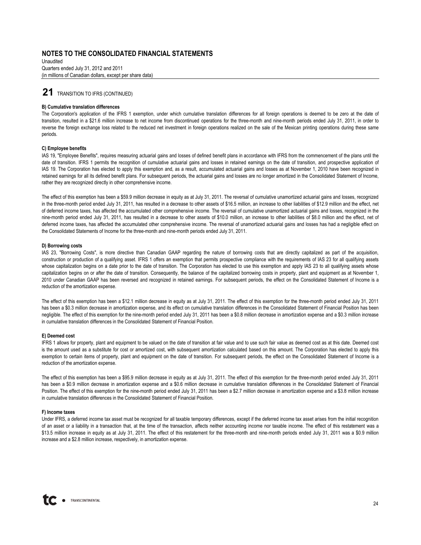Quarters ended July 31, 2012 and 2011 (in millions of Canadian dollars, except per share data) Unaudited

## **21** TRANSITION TO IFRS (CONTINUED)

#### **B) Cumulative translation differences**

The Corporation's application of the IFRS 1 exemption, under which cumulative translation differences for all foreign operations is deemed to be zero at the date of transition, resulted in a \$21.6 million increase to net income from discontinued operations for the three-month and nine-month periods ended July 31, 2011, in order to reverse the foreign exchange loss related to the reduced net investment in foreign operations realized on the sale of the Mexican printing operations during these same periods.

#### **C) Employee benefits**

IAS 19, "Employee Benefits", requires measuring actuarial gains and losses of defined benefit plans in accordance with IFRS from the commencement of the plans until the date of transition. IFRS 1 permits the recognition of cumulative actuarial gains and losses in retained earnings on the date of transition, and prospective application of IAS 19. The Corporation has elected to apply this exemption and, as a result, accumulated actuarial gains and losses as at November 1, 2010 have been recognized in retained earnings for all its defined benefit plans. For subsequent periods, the actuarial gains and losses are no longer amortized in the Consolidated Statement of Income, rather they are recognized directly in other comprehensive income.

The effect of this exemption has been a \$59.9 million decrease in equity as at July 31, 2011. The reversal of cumulative unamortized actuarial gains and losses, recognized in the three-month period ended July 31, 2011, has resulted in a decrease to other assets of \$16.5 million, an increase to other liabilities of \$12.9 million and the effect, net of deferred income taxes, has affected the accumulated other comprehensive income. The reversal of cumulative unamortized actuarial gains and losses, recognized in the nine-month period ended July 31, 2011, has resulted in a decrease to other assets of \$10.0 million, an increase to other liabilities of \$8.0 million and the effect, net of deferred income taxes, has affected the accumulated other comprehensive income. The reversal of unamortized actuarial gains and losses has had a negligible effect on the Consolidated Statements of Income for the three-month and nine-month periods ended July 31, 2011.

#### **D) Borrowing costs**

IAS 23, "Borrowing Costs", is more directive than Canadian GAAP regarding the nature of borrowing costs that are directly capitalized as part of the acquisition, construction or production of a qualifying asset. IFRS 1 offers an exemption that permits prospective compliance with the requirements of IAS 23 for all qualifying assets whose capitalization begins on a date prior to the date of transition. The Corporation has elected to use this exemption and apply IAS 23 to all qualifying assets whose capitalization begins on or after the date of transition. Consequently, the balance of the capitalized borrowing costs in property, plant and equipment as at November 1, 2010 under Canadian GAAP has been reversed and recognized in retained earnings. For subsequent periods, the effect on the Consolidated Statement of Income is a reduction of the amortization expense.

The effect of this exemption has been a \$12.1 million decrease in equity as at July 31, 2011. The effect of this exemption for the three-month period ended July 31, 2011 has been a \$0.3 million decrease in amortization expense, and its effect on cumulative translation differences in the Consolidated Statement of Financial Position has been negligible. The effect of this exemption for the nine-month period ended July 31, 2011 has been a \$0.8 million decrease in amortization expense and a \$0.3 million increase in cumulative translation differences in the Consolidated Statement of Financial Position.

#### **E) Deemed cost**

IFRS 1 allows for property, plant and equipment to be valued on the date of transition at fair value and to use such fair value as deemed cost as at this date. Deemed cost is the amount used as a substitute for cost or amortized cost, with subsequent amortization calculated based on this amount. The Corporation has elected to apply this exemption to certain items of property, plant and equipment on the date of transition. For subsequent periods, the effect on the Consolidated Statement of Income is a reduction of the amortization expense.

The effect of this exemption has been a \$95.9 million decrease in equity as at July 31, 2011. The effect of this exemption for the three-month period ended July 31, 2011 has been a \$0.9 million decrease in amortization expense and a \$0.6 million decrease in cumulative translation differences in the Consolidated Statement of Financial Position. The effect of this exemption for the nine-month period ended July 31, 2011 has been a \$2.7 million decrease in amortization expense and a \$3.8 million increase in cumulative translation differences in the Consolidated Statement of Financial Position.

#### **F) Income taxes**

Under IFRS, a deferred income tax asset must be recognized for all taxable temporary differences, except if the deferred income tax asset arises from the initial recognition of an asset or a liability in a transaction that, at the time of the transaction, affects neither accounting income nor taxable income. The effect of this restatement was a \$13.5 million increase in equity as at July 31, 2011. The effect of this restatement for the three-month and nine-month periods ended July 31, 2011 was a \$0.9 million increase and a \$2.8 million increase, respectively, in amortization expense.